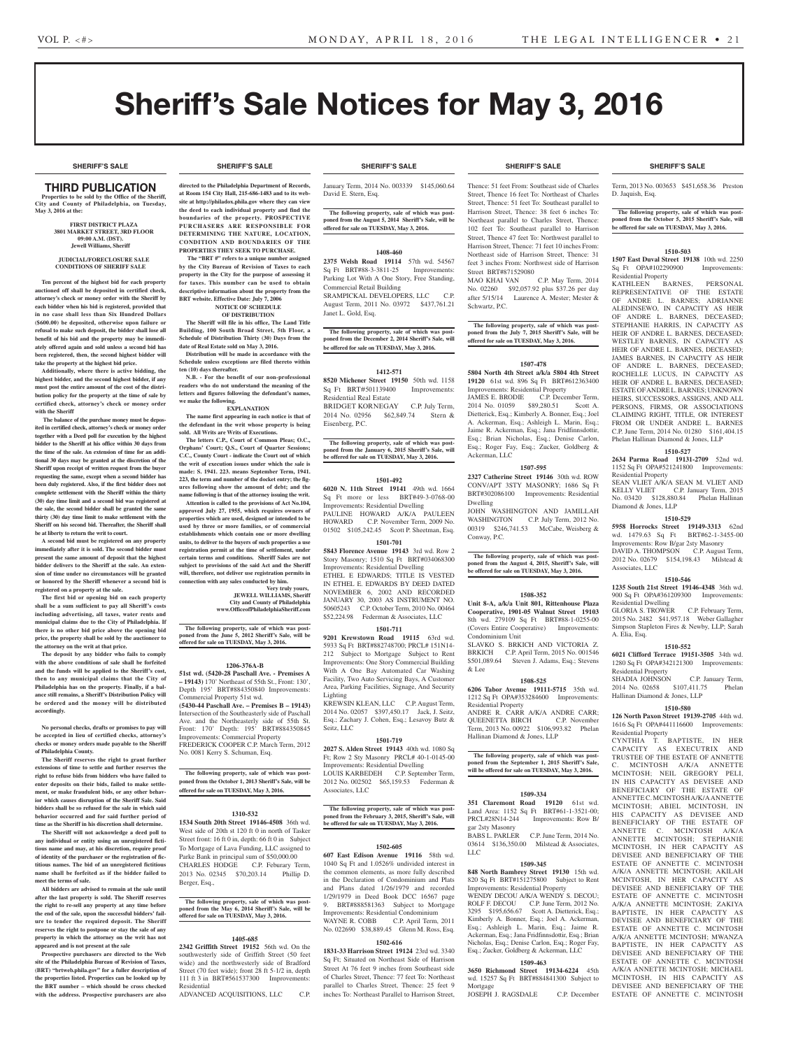**SHERIFF'S SALE SHERIFF'S SALE SHERIFF'S SALE SHERIFF'S SALE SHERIFF'S SALE**

# Sheriff's Sale Notices for May 3, 2016

#### **SHERIFF'S SALE SHERIFF'S SALE SHERIFF'S SALE SHERIFF'S SALE SHERIFF'S SALE**

## THIRD PUBLICATION

**Properties to be sold by the Office of the Sheriff, City and County of Philadelphia, on Tuesday, May 3, 2016 at the:** 

#### **FIRST DISTRICT PLAZA 3801 MARKET STREET, 3RD FLOOR 09:00 A.M. (DST). Jewell Williams, Sheriff**

#### **JUDICIAL/FORECLOSURE SALE CONDITIONS OF SHERIFF SALE**

**Ten percent of the highest bid for each property auctioned off shall be deposited in certified check, attorney's check or money order with the Sheriff by each bidder when his bid is registered, provided that in no case shall less than Six Hundred Dollars (\$600.00) be deposited, otherwise upon failure or refusal to make such deposit, the bidder shall lose all benefit of his bid and the property may be immediately offered again and sold unless a second bid has been registered, then, the second highest bidder will take the property at the highest bid price.**

**Additionally, where there is active bidding, the highest bidder, and the second highest bidder, if any must post the entire amount of the cost of the distribution policy for the property at the time of sale by certified check, attorney's check or money order with the Sheriff**

 **The balance of the purchase money must be deposited in certified check, attorney's check or money order together with a Deed poll for execution by the highest bidder to the Sheriff at his office within 30 days from the time of the sale. An extension of time for an additional 30 days may be granted at the discretion of the Sheriff upon receipt of written request from the buyer requesting the same, except when a second bidder has been duly registered. Also, if the first bidder does not complete settlement with the Sheriff within the thirty (30) day time limit and a second bid was registered at the sale, the second bidder shall be granted the same thirty (30) day time limit to make settlement with the Sheriff on his second bid. Thereafter, the Sheriff shall be at liberty to return the writ to court.**

**A second bid must be registered on any property immediately after it is sold. The second bidder must present the same amount of deposit that the highest bidder delivers to the Sheriff at the sale. An extension of time under no circumstances will be granted or honored by the Sheriff whenever a second bid is registered on a property at the sale.** 

**The first bid or opening bid on each property shall be a sum sufficient to pay all Sheriff's costs including advertising, all taxes, water rents and municipal claims due to the City of Philadelphia. If there is no other bid price above the opening bid price, the property shall be sold by the auctioneer to the attorney on the writ at that price.**

**The deposit by any bidder who fails to comply with the above conditions of sale shall be forfeited and the funds will be applied to the Sheriff's cost, then to any municipal claims that the City of Philadelphia has on the property. Finally, if a balance still remains, a Sheriff's Distribution Policy will be ordered and the money will be distributed accordingly.**

**No personal checks, drafts or promises to pay will be accepted in lieu of certified checks, attorney's checks or money orders made payable to the Sheriff of Philadelphia County.**

**The Sheriff reserves the right to grant further extensions of time to settle and further reserves the right to refuse bids from bidders who have failed to enter deposits on their bids, failed to make settlement, or make fraudulent bids, or any other behavior which causes disruption of the Sheriff Sale. Said bidders shall be so refused for the sale in which said behavior occurred and for said further period of time as the Sheriff in his discretion shall determine.**

**The Sheriff will not acknowledge a deed poll to any individual or entity using an unregistered fictitious name and may, at his discretion, require proof of identity of the purchaser or the registration of fictitious names. The bid of an unregistered fictitious name shall be forfeited as if the bidder failed to meet the terms of sale.**

**All bidders are advised to remain at the sale until after the last property is sold. The Sheriff reserves the right to re-sell any property at any time before the end of the sale, upon the successful bidders' failure to tender the required deposit. The Sheriff reserves the right to postpone or stay the sale of any property in which the attorney on the writ has not appeared and is not present at the sale**

**Prospective purchasers are directed to the Web site of the Philadelphia Bureau of Revision of Taxes, (BRT) "brtweb.phila.gov" for a fuller description of the properties listed. Properties can be looked up by the BRT number – which should be cross checked with the address. Prospective purchasers are also** 

**directed to the Philadelphia Department of Records, at Room 154 City Hall, 215-686-1483 and to its website at http://philadox.phila.gov where they can view the deed to each individual property and find the boundaries of the property. PROSPECTIVE PURCHASERS ARE RESPONSIBLE FOR DETERMINING THE NATURE, LOCATION, CONDITION AND BOUNDARIES OF THE PROPERTIES THEY SEEK TO PURCHASE.**

 **The "BRT #" refers to a unique number assigned by the City Bureau of Revision of Taxes to each property in the City for the purpose of assessing it for taxes. This number can be used to obtain descriptive information about the property from the BRT website. Effective Date: July 7, 2006 NOTICE OF SCHEDULE** 

### **OF DISTRIBUTION**

**The Sheriff will file in his office, The Land Title Building, 100 South Broad Street, 5th Floor, a Schedule of Distribution Thirty (30) Days from the date of Real Estate sold on May 3, 2016.**

**Distribution will be made in accordance with the Schedule unless exceptions are filed thereto within ten (10) days thereafter.**

**N.B. - For the benefit of our non-professional readers who do not understand the meaning of the letters and figures following the defendant's names, we make the following.**

## **EXPLANATION**

**The name first appearing in each notice is that of the defendant in the writ whose property is being sold. All Writs are Writs of Executions.**

**The letters C.P., Court of Common Pleas; O.C., Orphans' Court; Q.S., Court of Quarter Sessions; C.C., County Court - indicate the Court out of which the writ of execution issues under which the sale is made: S. 1941. 223. means September Term, 1941. 223, the term and number of the docket entry; the figures following show the amount of debt; and the name following is that of the attorney issuing the writ. Attention is called to the provisions of Act No.104, approved July 27, 1955, which requires owners of properties which are used, designed or intended to be used by three or more families, or of commercial establishments which contain one or more dwelling units, to deliver to the buyers of such properties a use registration permit at the time of settlement, under certain terms and conditions. Sheriff Sales are not subject to provisions of the said Act and the Sheriff will, therefore, not deliver use registration permits in connection with any sales conducted by him.**

**Very truly yours, JEWELL WILLIAMS, Sheriff City and County of Philadelphia www.OfficeofPhiladelphiaSheriff.com**

**The following property, sale of which was post-poned from the June 5, 2012 Sheriff's Sale, will be offered for sale on TUESDAY, May 3, 2016.**

#### **1206-376A-B**

**51st wd. (5420-28 Paschall Ave. - Premises A – 19143)** 170' Northeast of 55th St., Front: 130', Depth 195' BRT#884350840 Improvements: Commercial Property 51st wd. **(5430-44 Paschall Ave. – Premises B – 19143)** Intersection of the Southeasterly side of Paschall Ave. and the Northeasterly side of 55th St. Front: 170' Depth: 195' BRT#884350845 Improvements: Commercial Property FREDERICK COOPER C.P. March Term, 2012

No. 0081 Kerry S. Schuman, Esq. **The following property, sale of which was post-**

**poned from the October 1, 2013 Sheriff's Sale, will be offered for sale on TUESDAY, May 3, 2016.**

#### **1310-532**

**1534 South 20th Street 19146-4508** 36th wd. West side of 20th st 120 ft 0 in north of Tasker Street front: 16 ft 0 in, depth: 66 ft 0 in Subject To Mortgage of Lava Funding, LLC assigned to Parke Bank in principal sum of \$50,000.00 CHARLES HODGE C.P. Feburary Term, 02345 \$70,203.14 Berger, Esq.,

## **The following property, sale of which was post-poned from the May 6, 2014 Sheriff's Sale, will be offered for sale on TUESDAY, May 3, 2016.**

#### **1405-685**

**2342 Griffith Street 19152** 56th wd. On the southwesterly side of Griffith Street (50 feet wide) and the northwesterly side of Bradford Street (70 feet wide); front 28 ft 5-1/2 in, depth 111 ft 3 in BRT#561537300 Improvements: Residential ADVANCED ACQUISITIONS, LLC C.P.

January Term, 2014 No. 003339 \$145,060.64 David E. Stern, Esq.

**The following property, sale of which was postponed from the August 5, 2014 Sheriff's Sale, will be offered for sale on TUESDAY, May 3, 2016.**

#### **1408-460**

**2375 Welsh Road 19114** 57th wd. 54567 Sq Ft BRT#88-3-3811-25 Improvements: Parking Lot With A One Story, Free Standing, Commercial Retail Building SRAMPICKAL DEVELOPERS, LLC C.P. August Term, 2011 No. 03972 \$437,761.21 Janet L. Gold, Esq.

**The following property, sale of which was post-poned from the December 2, 2014 Sheriff's Sale, will be offered for sale on TUESDAY, May 3, 2016.**

#### **1412-571**

**8520 Michener Street 19150** 50th wd. 1158 Sq Ft BRT#501139400 Improvements: Residential Real Estate BRIDGET KORNEGAY C.P. July Term, 2014 No. 02956 \$62,849.74 Stern & Eisenberg, P.C.

**The following property, sale of which was post-poned from the January 6, 2015 Sheriff's Sale, will be offered for sale on TUESDAY, May 3, 2016.**

#### **1501-492**

**6020 N. 11th Street 19141** 49th wd. 1664 Sq Ft more or less BRT#49-3-0768-00 Improvements: Residential Dwelling PAULINE HOWARD A/K/A PAULEEN HOWARD C.P. November Term, 2009 No. 01502 \$105,242.45 Scott P. Sheetman, Esq.

### **1501-701**

**5843 Florence Avenue 19143** 3rd wd. Row 2 Story Masonry; 1510 Sq Ft BRT#034068300 Improvements: Residential Dwelling ETHEL E EDWARDS; TITLE IS VESTED IN ETHEL E. EDWARDS BY DEED DATED NOVEMBER 6, 2002 AND RECORDED JANUARY 30, 2003 AS INSTRUMENT NO. 50605243 C.P. October Term, 2010 No. 00464 \$52,224.98 Federman & Associates, LLC

#### **1501-711**

**9201 Krewstown Road 19115** 63rd wd. 5933 Sq Ft BRT#882748700; PRCL# 151N14- 212 Subject to Mortgage Subject to Rent Improvements: One Story Commercial Building With A One Bay Automated Car Washing Facility, Two Auto Servicing Bays, A Customer Area, Parking Facilities, Signage, And Security Lighting

KREWSIN KLEAN, LLC C.P. August Term, 2014 No. 02057 \$397,450.17 Jack, J. Seitz, Esq.; Zachary J. Cohen, Esq.; Lesavoy Butz & Seitz, LLC

#### **1501-719 2027 S. Alden Street 19143** 40th wd. 1080 Sq

Ft; Row 2 Sty Masonry PRCL# 40-1-0145-00 Improvements: Residential Dwelling LOUIS KARBEDEH C.P. September Term, 2012 No. 002502 \$65,159.53 Federman & Associates, LLC

## **The following property, sale of which was post-poned from the February 3, 2015, Sheriff's Sale, will be offered for sale on TUESDAY, May 3, 2016.**

## **1502-605**

**607 East Edison Avenue 19116** 58th wd. 1040 Sq Ft and 1.0526% undivided interest in the common elements, as more fully described in the Declaration of Condominium and Plats and Plans dated 1/26/1979 and recorded 1/29/1979 in Deed Book DCC 16567 page 9. BRT#888581363 Subject to Mortgage Improvements: Residential Condominium C.P. April Term, 2011 No. 022690 \$38,889.45 Glenn M. Ross, Esq.

#### **1502-616**

**1831-33 Harrison Street 19124** 23rd wd. 3340 Sq Ft; Situated on Northeast Side of Harrison Street At 76 feet 9 inches from Southeast side of Charles Street, Thence: 77 feet To: Northeast parallel to Charles Street, Thence: 25 feet 9 inches To: Northeast Parallel to Harrison Street,

Thence: 51 feet From: Southeast side of Charles Street, Thence 16 feet To: Northeast of Charles Street, Thence: 51 feet To: Southeast parallel to Harrison Street, Thence: 38 feet 6 inches To: Northeast parallel to Charles Street, Thence: 102 feet To: Southeast parallel to Harrison Street, Thence 47 feet To: Northwest parallel to Harrison Street, Thence: 71 feet 10 inches From: Northeast side of Harrison Street, Thence: 31 feet 3 inches From: Northwest side of Harrison Street BRT#871529080<br>MAO KHAI VAN C.P. May Term, 2014 No. 02260 \$92,057.92 plus \$37.26 per day after 5/15/14 Laurence A. Mester; Mester & Schwartz, P.C.

**The following property, sale of which was post-poned from the July 7, 2015 Sheriff's Sale, will be offered for sale on TUESDAY, May 3, 2016.**

#### **1507-478**

**5804 North 4th Street a/k/a 5804 4th Street 19120** 61st wd. 896 Sq Ft BRT#612363400 Improvements: Residential Property JAMES E. BRODIE C.P. December Term, 2014 No. 01059 \$89,280.51 Scott A. Dietterick, Esq.; Kimberly A. Bonner, Esq.; Joel A. Ackerman, Esq.; Ashleigh L. Marin, Esq.; Jaime R. Ackerman, Esq.; Jana Fridfinnsdottir, Esq.; Brian Nicholas, Esq.; Denise Carlon, Esq.; Roger Fay, Esq.; Zucker, Goldberg & Ackerman, LLC

#### **1507-595**

**2327 Catherine Street 19146** 30th wd. ROW CONV/APT 3STY MASONRY; 1686 Sq Ft BRT#302086100 Improvements: Residential Dwelling

JOHN WASHINGTON AND JAMILLAH WASHINGTON C.P. July Term, 2012 No. 00319 \$246,741.53 McCabe, Weisberg & Conway, P.C.

**The following property, sale of which was postponed from the August 4, 2015, Sheriff's Sale, will be offered for sale on TUESDAY, May 3, 2016.**

#### **1508-352**

**Unit 8-A, a/k/a Unit 801, Rittenhouse Plaza Cooperative, 1901-05 Walnut Street 19103**  8th wd. 279109 Sq Ft BRT#88-1-0255-00 (Covers Entire Cooperative) Improvements: Condominium Unit SLAVKO S. BRKICH AND VICTORIA Z. BRKICH C.P. April Term, 2015 No. 001546 \$501,089.64 Steven J. Adams, Esq.; Stevens & Lee

#### **1508-525**

**6206 Tabor Avenue 19111-5715** 35th wd. 1212 Sq Ft OPA#353284600 Improvements: Residential Property

ANDRE R. CARR A/K/A ANDRE CARR; QUEENETTA BIRCH C.P. November Term, 2013 No. 00922 \$106,993.82 Phelan Hallinan Diamond & Jones, LLP

**The following property, sale of which was postponed from the September 1, 2015 Sheriff's Sale, will be offered for sale on TUESDAY, May 3, 2016.**

#### **1509-334**

**351 Claremont Road 19120** 61st wd. Land Area: 1152 Sq Ft BRT#61-1-3521-00;<br>PRCL#28N14-244 Improvements: Row B/ Improvements: Row B/ gar 2sty Masonry BABS L. PARLER C.P. June Term, 2014 No.

03614 \$136,350.00 Milstead & Associates, LLC

#### **1509-345 848 North Bambrey Street 19130** 15th wd.

820 Sq Ft BRT#151275800 Subject to Rent Improvements: Residential Property WENDY DECOU A/K/A WENDY S. DECOU; ROLF F. DECOU C.P. June Term, 2012 No. 3295 \$195,656.67 Scott A. Dietterick, Esq.; Kimberly A. Bonner, Esq.; Joel A. Ackerman, Esq.; Ashleigh L. Marin, Esq.; Jaime R. Ackerman, Esq.; Jana Fridfinnsdottir, Esq.; Brian Nicholas, Esq.; Denise Carlon, Esq.; Roger Fay, Esq.; Zucker, Goldberg & Ackerman, LLC

## **1509-463**

**3650 Richmond Street 19134-6224** 45th wd. 15257 Sq Ft BRT#884841300 Subject to Mortgage JOSEPH J. RAGSDALE C.P. December

Term, 2013 No. 003653 \$451,658.36 Preston D. Jaquish, Esq.

## **The following property, sale of which was post-poned from the October 5, 2015 Sheriff's Sale, will be offered for sale on TUESDAY, May 3, 2016.**

#### **1510-503**

**1507 East Duval Street 19138** 10th wd. 2250<br>Sq Ft OPA#102290900 Improvements: Sq Ft OPA#102290900 Residential Property

KATHLEEN BARNES, PERSONAL REPRESENTATIVE OF THE ESTATE OF ANDRE L. BARNES; ADRIANNE ALEDINSEWO, IN CAPACITY AS HEIR OF ANDRE L. BARNES, DECEASED; STEPHANIE HARRIS, IN CAPACITY AS HEIR OF ANDRE L. BARNES, DECEASED; WESTLEY BARNES, IN CAPACITY AS HEIR OF ANDRE L. BARNES, DECEASED; JAMES BARNES, IN CAPACITY AS HEIR OF ANDRE L. BARNES, DECEASED; ROCHELLE LUCUS, IN CAPACITY AS HEIR OF ANDRE L. BARNES, DECEASED; ESTATE OF ANDRE L. BARNES; UNKNOWN HEIRS, SUCCESSORS, ASSIGNS, AND ALL PERSONS, FIRMS, OR ASSOCIATIONS CLAIMING RIGHT, TITLE, OR INTEREST FROM OR UNDER ANDRE L. BARNES C.P. June Term, 2014 No. 01280 \$161,404.15 Phelan Hallinan Diamond & Jones, LLP

#### **1510-527**

**2634 Parma Road 19131-2709** 52nd wd. 1152 Sq Ft OPA#521241800 Improvements: Residential Property

SEAN VLIET A/K/A SEAN M. VLIET AND KELLY VLIET C.P. January Term, 2015 No. 03420 \$128,880.84 Phelan Hallinan Diamond & Jones, LLP

#### **1510-529**

**5958 Horrocks Street 19149-3313** 62nd wd. 1479.63 Sq Ft BRT#62-1-3455-00 Improvements: Row B/gar 2sty Masonry DAVID A. THOMPSON C.P. August Term, 2012 No. 02679 \$154,198.43 Milstead & Associates, LLC

#### **1510-546**

**1235 South 21st Street 19146-4348** 36th wd. 900 Sq Ft OPA#361209300 Improvements: Residential Dwelling GLORIA S. TROWER C.P. February Term,

2015 No. 2482 \$41,957.18 Weber Gallagher Simpson Stapleton Fires & Newby, LLP; Sarah A. Elia, Esq.

1280 Sq Ft OPA#342121300 Improvements:

SHADIA JOHNSON C.P. January Term,<br>2014 No. 02658 \$107,411.75 Phelan 2014 No. 02658 \$107,411.75 Phelan

**1510-580 126 North Paxon Street 19139-2705** 44th wd. 1616 Sq Ft OPA#441116600 Improvements:

CYNTHIA T. BAPTISTE, IN HER CAPACITY AS EXECUTRIX AND TRUSTEE OF THE ESTATE OF ANNETTE C. MCINTOSH A/K/A ANNETTE MCINTOSH; NEIL GREGORY PELI, IN HIS CAPACITY AS DEVISEE AND BENEFICIARY OF THE ESTATE OF ANNETTE C. MCINTOSH A/K/A ANNETTE MCINTOSH; ABIEL MCINTOSH, IN HIS CAPACITY AS DEVISEE AND BENEFICIARY OF THE ESTATE OF ANNETTE C. MCINTOSH A/K/A ANNETTE MCINTOSH; STEPHANIE MCINTOSH, IN HER CAPACITY AS DEVISEE AND BENEFICIARY OF THE ESTATE OF ANNETTE C. MCINTOSH A/K/A ANNETTE MCINTOSH; AKILAH MCINTOSH, IN HER CAPACITY AS DEVISEE AND BENEFICIARY OF THE ESTATE OF ANNETTE C. MCINTOSH A/K/A ANNETTE MCINTOSH; ZAKIYA BAPTISTE, IN HER CAPACITY AS DEVISEE AND BENEFICIARY OF THE ESTATE OF ANNETTE C. MCINTOSH A/K/A ANNETTE MCINTOSH; MWANZA BAPTISTE, IN HER CAPACITY AS DEVISEE AND BENEFICIARY OF THE ESTATE OF ANNETTE C. MCINTOSH A/K/A ANNETTE MCINTOSH; MICHAEL MCINTOSH, IN HIS CAPACITY AS DEVISEE AND BENEFICIARY OF THE ESTATE OF ANNETTE C. MCINTOSH

#### **1510-552 6021 Clifford Terrace 19151-3505** 34th wd.

Residential Property

Residential Property

Hallinan Diamond & Jones, LLP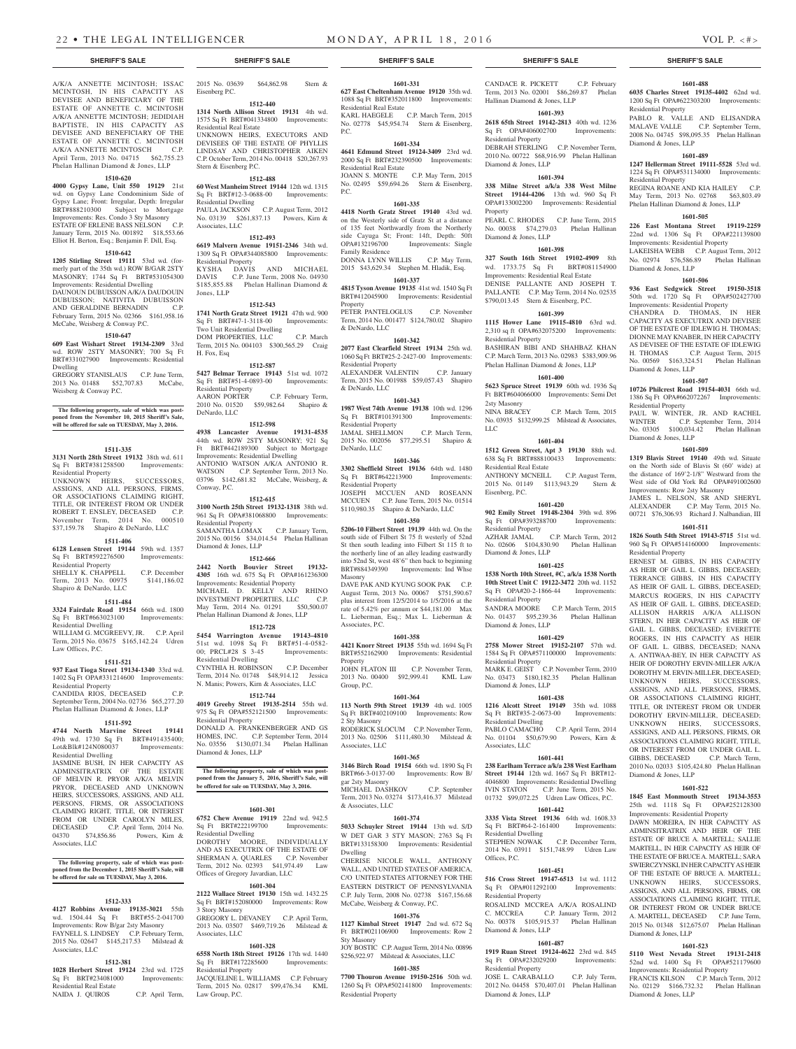A/K/A ANNETTE MCINTOSH; ISSAC MCINTOSH, IN HIS CAPACITY AS DEVISEE AND BENEFICIARY OF THE ESTATE OF ANNETTE C. MCINTOSH A/K/A ANNETTE MCINTOSH; JEDIDIAH BAPTISTE, IN HIS CAPACITY AS DEVISEE AND BENEFICIARY OF THE ESTATE OF ANNETTE C. MCINTOSH A/K/A ANNETTE MCINTOSCH C.P. April Term, 2013 No. 04715 \$62,755.23 Phelan Hallinan Diamond & Jones, LLP

#### **1510-620**

**4000 Gypsy Lane, Unit 550 19129** 21st wd. on Gypsy Lane Condominium Side of Gypsy Lane; Front: Irregular, Depth: Irregular BRT#888210300 Subject to Mortgage Improvements: Res. Condo 3 Sty Masonry ESTATE OF ERLENE BASS NELSON C.P. January Term, 2015 No. 001892 \$18,553.66 Elliot H. Berton, Esq.; Benjamin F. Dill, Esq.

#### **1510-642**

**1205 Stirling Street 19111** 53rd wd. (formerly part of the 35th wd.) ROW B/GAR 2STY MASONRY; 1744 Sq Ft BRT#531054300 Improvements: Residential Dwelling DAUNOUN DUBUISSON A/K/A DAUDOUIN DUBUISSON; NATIVITA DUBUISSON AND GERALDINE BERNADIN C.P. February Term, 2015 No. 02366 \$161,958.16 McCabe, Weisberg & Conway P.C.

#### **1510-647**

**609 East Wishart Street 19134-2309** 33rd wd. ROW 2STY MASONRY; 700 Sq Ft BRT#331027900 Improvements: Residential Dwelling

GREGORY STANISLAUS C.P. June Term, 2013 No. 01488 \$52,707.83 McCabe Weisberg & Conway P.C.

## **The following property, sale of which was post-poned from the November 10, 2015 Sheriff's Sale, will be offered for sale on TUESDAY, May 3, 2016.**

#### **1511-335**

**3131 North 28th Street 19132** 38th wd. 611 Sq Ft BRT#381258500 Improvements: Residential Property UNKNOWN HEIRS, SUCCESSORS, ASSIGNS, AND ALL PERSONS, FIRMS, OR ASSOCIATIONS CLAIMING RIGHT, TITLE, OR INTEREST FROM OR UNDER ROBERT T. ENSLEY, DECEASED C.P. November Term, 2014 No. 000510

#### **1511-406**

\$37,159.78 Shapiro & DeNardo, LLC

**6128 Lensen Street 19144** 59th wd. 1357 Sq Ft BRT#592276500 Improvements: Residential Property SHELLY K. CHAPPELL C.P. December Term, 2013 No. 00975 \$141,186.02 Shapiro & DeNardo, LLC

#### **1511-484**

**3324 Fairdale Road 19154** 66th wd. 1800<br>
Sq Ft BRT#663023100 Improvements: Sq Ft BRT#663023100 Residential Dwelling WILLIAM G. MCGREEVY, JR. C.P. April Term, 2015 No. 03675 \$165,142.24 Udren Law Offices, P.C.

## **1511-521**

**937 East Tioga Street 19134-1340** 33rd wd. 1402 Sq Ft OPA#331214600 Improvements: Residential Property CANDIDA RIOS, DECEASED C.P.

September Term, 2004 No. 02736 \$65,277.20 Phelan Hallinan Diamond & Jones, LLP

## **1511-592**

**4744 North Marvine Street 19141**  49th wd. 1730 Sq Ft BRT#491435400; Lot&Blk#124N080037 Improvements: Residential Dwelling

JASMINE BUSH, IN HER CAPACITY AS ADMINSITRATRIX OF THE ESTATE OF MELVIN R. PRYOR A/K/A MELVIN PRYOR, DECEASED AND UNKNOWN HEIRS, SUCCESSORS, ASSIGNS, AND ALL PERSONS, FIRMS, OR ASSOCIATIONS CLAIMING RIGHT, TITLE, OR INTEREST FROM OR UNDER CAROLYN MILES, DECEASED C.P. April Term, 2014 No.<br>04370 \$74.856.86 Powers, Kirn & 04370 \$74,856.86 Powers, Kirn & Associates, LLC

#### **The following property, sale of which was postponed from the December 1, 2015 Sheriff's Sale, will be offered for sale on TUESDAY, May 3, 2016.**

#### **1512-333**

**4127 Robbins Avenue 19135-3021** 55th wd. 1504.44 Sq Ft BRT#55-2-041700 Improvements: Row B/gar 2sty Masonry FAYNELL S. LINDSEY C.P. February Term 2015 No. 02647 \$145,217.53 Milstead & Associates, LLC

## **1512-381**

**1028 Herbert Street 19124** 23rd wd. 1725 Sq Ft BRT#234081000 Improvements: Residential Real Estate NAIDA J. QUIROS C.P. April Term,

2015 No. 03639 \$64,862.98 Stern & Eisenberg P.C.

## **1512-440**

**1314 North Allison Street 19131** 4th wd. 1575 Sq Ft BRT#041334800 Improvements: Residential Real Estate UNKNOWN HEIRS, EXECUTORS AND DEVISEES OF THE ESTATE OF PHYLLIS LINDSAY AND CHRISTOPHER AIKEN C.P. October Term, 2014 No. 00418 \$20,267.93 Stern & Eisenberg P.C.

## **1512-488**

**60 West Manheim Street 19144** 12th wd. 1315 Sq Ft BRT#12-3-0688-00 Improvements: Residential Dwelling C.P. August Term, 2012 No. 03139 \$261,837.13 Powers, Kirn & Associates, LLC

#### **1512-493**

**6619 Malvern Avenue 19151-2346** 34th wd. 1309 Sq Ft OPA#344085800 Improvements: Residential Property KYSHA DAVIS AND MICHAEL DAVIS C.P. June Term, 2008 No. 04930 \$185,855.88 Phelan Hallinan Diamond & Jones, LLP

#### **1512-543**

**1741 North Gratz Street 19121** 47th wd. 900 Sq Ft BRT#47-1-3118-00 Improvements: Two Unit Residential Dwelling DOM PROPERTIES, LLC C.P. March Term, 2015 No. 004103 \$300,565.29 Craig H. Fox, Esq

#### **1512-587**

**5427 Belmar Terrace 19143** 51st wd. 1072 Sq Ft BRT#51-4-0893-00 Improvements: Residential Property<br>AARON PORTER C.P. February Term, 2010 No. 01520 \$59,982.64 Shapiro & DeNardo, LLC

#### **1512-598**

**4938 Lancaster Avenue 19131-4535**  44th wd. ROW 2STY MASONRY; 921 Sq Ft BRT#442189300 Subject to Mortgage Improvements: Residential Dwelling ANTONIO WATSON A/K/A ANTONIO R. WATSON C.P. September Term, 2013 No. 03796 \$142,681.82 McCabe, Weisberg, & Conway, P.C.

#### **1512-615**

**3100 North 25th Street 19132-1318** 38th wd. 961 Sq Ft OPA#381068800 Improvements: Residential Property SAMANTHA LOMAX C.P. January Term, 2015 No. 00156 \$34,014.54 Phelan Hallinan

## Diamond & Jones, LLP

**1512-666 2442 North Bouvier Street 19132- 4305** 16th wd. 675 Sq Ft OPA#161236300 Improvements: Residential Property MICHAEL D. KELLY AND RHINO INVESTMENT PROPERTIES, LLC C.P. May Term, 2014 No. 01291 \$50,500.07 Phelan Hallinan Diamond & Jones, LLP

#### **1512-728**

**5454 Warrington Avenue 19143-4810**  51st wd. 1098 Sq Ft BRT#51-4-0582- 00; PRCL#28 S 3-45 Improvements: Residential Dwelling CYNTHIA H. ROBINSON C.P. December Term, 2014 No. 01748 \$48,914.12 Jessica N. Manis; Powers, Kirn & Associates, LLC

#### **1512-744**

**4019 Greeby Street 19135-2514** 55th wd. 975 Sq Ft OPA#552121500 Improvements: Residential Property DONALD A. FRANKENBERGER AND GS HOMES, INC. C.P. September Term, 2014 No. 03556 \$130,071.34 Phelan Hallinan Diamond & Jones, LLP

**The following property, sale of which was post-poned from the January 5, 2016, Sheriff's Sale, will be offered for sale on TUESDAY, May 3, 2016.**

#### **1601-301**

**6752 Chew Avenue 19119** 22nd wd. 942.5 Sq Ft BRT#222199700 Improvements: Residential Dwelling DOROTHY MOORE, INDIVIDUALLY AND AS EXECUTRIX OF THE ESTATE OF SHERMAN A. OUARLES C.P. November Term, 2012 No. 02393 \$41,974.49 Law Offices of Gregory Javardian, LLC

## **1601-304**

**2122 Wallace Street 19130** 15th wd. 1432.25 Sq Ft BRT#152080000 Improvements: Row 3 Story Masonry GREGORY L. DEVANEY C.P. April Term, 2013 No. 03507 \$469,719.26 Milstead & Associates, LLC

#### **1601-328**

**6558 North 18th Street 19126** 17th wd. 1440<br>
Sq Ft BRT#172285600 Improvements: Sq Ft BRT#172285600 Residential Property JACQUELINE L. WILLIAMS C.P. February Term, 2015 No. 02817 \$99,476.34 KML Law Group, P.C.

#### **1601-331**

**627 East Cheltenham Avenue 19120** 35th wd. 1088 Sq Ft BRT#352011800 Improvements: Residential Real Estate KARL HAEGELE C.P. March Term, 2015 No. 02778 \$45,954.74 Stern & Eisenberg, P.C.

#### **1601-334**

P.C.

**4641 Edmund Street 19124-3409** 23rd wd. 2000 Sq Ft BRT#232390500 Improvements: Residential Real Estate JOANN S. MONTE C.P. May Term, 2015 No. 02495 \$59,694.26 Stern & Eisenberg,

## **1601-335**

**4418 North Gratz Street 19140** 43rd wd. on the Westerly side of Gratz St at a distance of 135 feet Northwardly from the Northerly side Cayuga St; Front: 14ft, Depth: 50ft<br>OPA#132196700 Improvements: Single Improvements: Single Family Residence DONNA LYNN WILLIS C.P. May Term,

2015 \$43,629.34 Stephen M. Hladik, Esq. **1601-337**

**4815 Tyson Avenue 19135** 41st wd. 1540 Sq Ft BRT#412045900 Improvements: Residential

Property PETER PANTELOGLUS C.P. November Term, 2014 No. 001477 \$124,780.02 Shapiro & DeNardo, LLC

#### **1601-342**

**2077 East Clearfield Street 19134** 25th wd. 1060 Sq Ft BRT#25-2-2427-00 Improvements: Residential Property ALEXANDER VALENTIN C.P. January

Term, 2015 No. 001988 \$59,057.43 Shapiro & DeNardo, LLC **1601-343**

**1987 West 74th Avenue 19138** 10th wd. 1296<br>
Sq Ft BRT#101391300 Improvements: Sq Ft BRT#101391300 Residential Property JAMAL SHELLMON C.P. March Term, 2015 No. 002056 \$77,295.51 Shapiro & DeNardo, LLC

#### **1601-346**

**3302 Sheffield Street 19136** 64th wd. 1480 Sq Ft BRT#642213900 Improvements: Residential Property JOSEPH MCCUEN AND ROSEANN MCCUEN C.P. June Term, 2015 No. 01514 \$110,980.35 Shapiro & DeNardo, LLC

#### **1601-350**

**5206-10 Filbert Street 19139** 44th wd. On the south side of Filbert St 75 ft westerly of 52nd St then south leading into Filbert St 115 ft to the northerly line of an alley leading eastwardly into 52nd St, west 48'6" then back to beginning BRT#884349390 Improvements: Ind Whse Masonry

DAVE PAK AND KYUNG SOOK PAK C.P. August Term, 2013 No. 00067 \$751,590.67 plus interest from 12/5/2014 to 1/5/2016 at the rate of 5.42% per annum or \$44,181.00 Max L. Lieberman, Esq.; Max L. Lieberman & Associates, P.C.

#### **1601-358**

**4421 Knorr Street 19135** 55th wd. 1694 Sq Ft BRT#552162900 Improvements: Residential Property JOHN FLATON III C.P. November Term, 2013 No. 00400 \$92,999.41 KML Law

Group, P.C. **1601-364**

**113 North 59th Street 19139** 4th wd. 1005 Sq Ft BRT#402109100 Improvements: Row 2 Sty Masonry RODERICK SLOCUM C.P. November Term, 2013 No. 02506 \$111,480.30 Milstead &

## **1601-365**

Associates, LLC

**3146 Birch Road 19154** 66th wd. 1890 Sq Ft BRT#66-3-0137-00 Improvements: Row B/ gar 2sty Masonry

MICHAEL DASHKOV C.P. September Term, 2013 No. 03274 \$173,416.37 Milstead & Associates, LLC

## **1601-374**

**5033 Schuyler Street 19144** 13th wd. S/D W DET GAR 3 STY MASON: 2763 Sq Ft BRT#133158300 Improvements: Residential Dwelling CHERISE NICOLE WALL, ANTHONY WALL, AND UNITED STATES OF AMERICA, C/O UNITED STATES ATTORNEY FOR THE EASTERN DISTRICT OF PENNSYLVANIA

C.P. July Term, 2008 No. 02738 \$167,156.68 McCabe, Weisberg & Conway, P.C. **1601-376**

**1127 Kimbal Street 19147** 2nd wd. 672 Sq Ft BRT#021106900 Improvements: Row 2 Sty Masonry JOY BOSTIC C.P. August Term, 2014 No. 00896

## \$256,922.97 Milstead & Associates, LLC **1601-385**

**7700 Thouron Avenue 19150-2516** 50th wd. 1260 Sq Ft OPA#502141800 Improvements: Residential Property

#### **SHERIFF'S SALE SHERIFF'S SALE SHERIFF'S SALE SHERIFF'S SALE SHERIFF'S SALE**

CANDACE R. PICKETT C.P. February Term, 2013 No. 02001 \$86,269.87 Phelan Hallinan Diamond & Jones, LLP

**1601-488 6035 Charles Street 19135-4402** 62nd wd. 1200 Sq Ft OPA#622303200 Improvements:

PABLO R. VALLE AND ELISANDRA MALAVE VALLE C.P. September Term, 2008 No. 04745 \$98,095.35 Phelan Hallinan

**1601-489 1247 Hellerman Street 19111-5528** 53rd wd. 1224 Sq Ft OPA#531134000 Improvements:

REGINA ROANE AND KIA HAILEY C.P. May Term, 2013 No. 02768 \$63,803.49 Phelan Hallinan Diamond & Jones, LLP **1601-505 226 East Montana Street 19119-2259**  22nd wd. 1306 Sq Ft OPA#221139800 Improvements: Residential Property LAKEISHA WEBB C.P. August Term, 2012 No. 02974 \$76,586.89 Phelan Hallinan

**1601-506 936 East Sedgwick Street 19150-3518**  50th wd. 1720 Sq Ft OPA#502427700 Improvements: Residential Property CHANDRA D. THOMAS, IN HER CAPACITY AS EXECUTRIX AND DEVISEE OF THE ESTATE OF IDLEWIG H. THOMAS; DIONNE MAY KNABER, IN HER CAPACITY AS DEVISEE OF THE ESTATE OF IDLEWIG H. THOMAS C.P. August Term, 2015 No. 00569 \$163,324.51 Phelan Hallinan

**1601-507 10726 Philcrest Road 19154-4031** 66th wd. 1386 Sq Ft OPA#662072267 Improvements:

PAUL W. WINTER, JR. AND RACHEL<br>WINTER CP September Term 2014

No. 03305 \$100,034.42 Phelan Hallinan

**1601-509 1319 Blavis Street 19140** 49th wd. Situate on the North side of Blavis St (60' wide) at the distance of 169'2-1/8" Westward from the West side of Old York Rd OPA#491002600 Improvements: Row 2sty Masonry JAMES L. NELSON, SR AND SHERYL ALEXANDER C.P. May Term, 2015 No. 00721 \$76,306.93 Richard J. Nalbandian, III **1601-511 1826 South 54th Street 19143-5715** 51st wd. 960 Sq Ft OPA#514160000 Improvements:

ERNEST M. GIBBS, IN HIS CAPACITY AS HEIR OF GAIL L. GIBBS, DECEASED; TERRANCE GIBBS, IN HIS CAPACITY AS HEIR OF GAIL L. GIBBS, DECEASED; MARCUS ROGERS, IN HIS CAPACITY AS HEIR OF GAIL L. GIBBS, DECEASED; ALLISON HARRIS A/K/A ALLISON STERN, IN HER CAPACITY AS HEIR OF GAIL L. GIBBS, DECEASED; EVERETTE ROGERS, IN HIS CAPACITY AS HEIR OF GAIL L. GIBBS, DECEASED; NANA A. ANTIWAA-BEY, IN HER CAPACITY AS HEIR OF DOROTHY ERVIN-MILLER A/K/A DOROTHY M. ERVIN-MILLER, DECEASED; UNKNOWN HEIRS, SUCCESSORS, ASSIGNS, AND ALL PERSONS, FIRMS, OR ASSOCIATIONS CLAIMING RIGHT, TITLE, OR INTEREST FROM OR UNDER DOROTHY ERVIN-MILLER, DECEASED; UNKNOWN HEIRS, SUCCESSORS, ASSIGNS, AND ALL PERSONS, FIRMS, OR ASSOCIATIONS CLAIMING RIGHT, TITLE, OR INTEREST FROM OR UNDER GAIL L. GIBBS, DECEASED C.P. March Term, 2010 No. 02033 \$105,424.80 Phelan Hallinan

C.P. September Term, 2014

Residential Property

Diamond & Jones, LLP

Residential Property

Diamond & Jones, LLP

Diamond & Jones, LLP

Residential Property

Diamond & Jones, LLP

Residential Property

Diamond & Jones, LLP

Diamond & Jones, LLP

Diamond & Jones, LLP

**1601-522 1845 East Monmouth Street 19134-3553**  25th wd. 1118 Sq Ft OPA#252128300 Improvements: Residential Property DAWN MOREIRA, IN HER CAPACITY AS ADMINSITRATRIX AND HEIR OF THE ESTATE OF BRUCE A. MARTELL; SALLIE MARTELL, IN HER CAPACITY AS HEIR OF THE ESTATE OF BRUCE A. MARTELL; SARA SWIERCZYNSKI, IN HER CAPACITY AS HEIR THE ESTATE OF BRUCE A. MARTELL UNKNOWN HEIRS, SUCCESSORS, ASSIGNS, AND ALL PERSONS, FIRMS, OR ASSOCIATIONS CLAIMING RIGHT, TITLE, OR INTEREST FROM OR UNDER BRUCE A. MARTELL, DECEASED C.P. June Term, 2015 No. 01348 \$12,675.07 Phelan Hallinan

**1601-523 5110 West Nevada Street 19131-2418**  52nd wd. 1400 Sq Ft OPA#521179600 Improvements: Residential Property FRANCIS KILSON C.P. March Term, 2012 No. 02129 \$166,732.32 Phelan Hallinan

## **1601-393**

**2618 65th Street 19142-2813** 40th wd. 1236 Sq Ft OPA#406002700 Improvements: Residential Property

DEBRAH STERLING C.P. November Term, 2010 No. 00722 \$68,916.99 Phelan Hallinan Diamond & Jones, LLP

#### **1601-394**

**338 Milne Street a/k/a 338 West Milne Street 19144-4206** 13th wd. 960 Sq Ft OPA#133002200 Improvements: Residential Property

PEARL C. RHODES C.P. June Term, 2015 No. 00038 \$74,279.03 Phelan Hallinan Diamond & Jones, LLP

## **1601-398**

**327 South 16th Street 19102-4909** 8th wd. 1733.75 Sq Ft BRT#081154900 Improvements: Residential Real Estate DENISE PALLANTE AND JOSEPH T.

PALLANTE C.P. May Term, 2014 No. 02535 \$790,013.45 Stern & Eisenberg, P.C. **1601-399**

**1115 Hower Lane 19115-4810** 63rd wd. 2,310 sq ft OPA#632075200 Improvements:

BASHIRAN BIBI AND SHAHBAZ KHAN C.P. March Term, 2013 No. 02983 \$383,909.96 Phelan Hallinan Diamond & Jones, LLP **1601-400 5623 Spruce Street 19139** 60th wd. 1936 Sq Ft BRT#604066000 Improvements: Semi Det

No. 03935 \$132,999.25 Milstead & Associates,

**1601-404 1512 Green Street, Apt 3 19130** 88th wd. 638 Sq Ft BRT#888100433 Improvements:

ANTHONY MCNEILL C.P. August Term, 2015 No. 01149 \$113,943.29 Stern &

**1601-420 902 Emily Street 19148-2304** 39th wd. 896<br>Sq Ft OPA#393288700 Improvements: Sq Ft OPA#393288700 Improvements:

AZHAR JAMAL C.P. March Term, 2012 No. 02606 \$104,830.90 Phelan Hallinan

**1601-425 1538 North 10th Street, #C, a/k/a 1538 North 10th Street Unit C 19122-3472** 20th wd. 1152 Sq Ft OPA#20-2-1866-44 Improvements:

SANDRA MOORE C.P. March Term, 2015 No. 01437 \$95,239.36 Phelan Hallinan

**1601-429 2758 Mower Street 19152-2107** 57th wd. 1584 Sq Ft OPA#571100000 Improvements:

MARK E. GEIST C.P. November Term, 2010 No. 03473 \$180,182.35 Phelan Hallinan

**1601-438 1216 Alcott Street 19149** 35th wd. 1088 Sq Ft BRT#35-2-0673-00 Improvements:

PABLO CAMACHO C.P. April Term, 2014 No. 01104 \$50,679.90 Powers, Kirn &

**1601-441 238 Earlham Terrace a/k/a 238 West Earlham Street 19144** 12th wd. 1667 Sq Ft BRT#12- 4046800 Improvements: Residential Dwelling<br>IVIN STATON C.P. June Term, 2015 No.

01732 \$99,072.25 Udren Law Offices, P.C. **1601-442 3335 Vista Street 19136** 64th wd. 1608.33 Sq Ft BRT#64-2-161400 Improvements:

2014 No. 03911 \$151,748.99 Udren Law

**1601-451 516 Cross Street 19147-6513** 1st wd. 1112 Sq Ft OPA#011292100 Improvements:

ROSALIND MCCREA A/K/A ROSALIND C. MCCREA C.P. January Term, 2012 No. 00378 \$105,915.37 Phelan Hallinan

**1601-487 1919 Ruan Street 19124-4622** 23rd wd. 845 Sq Ft OPA#232029200 Improvements:

JOSE L. CARABALLO C.P. July Term, 2012 No. 04458 \$70,407.01 Phelan Hallinan

C.P. June Term, 2015 No.

C.P. December Term,

C.P. March Term, 2015

Residential Property

2sty Masonry

Residential Real Estate

Eisenberg, P.C.

Residential Property

Diamond & Jones, LLP

Residential Property

Diamond & Jones, LLP

Residential Property

Diamond & Jones, LLP

Residential Dwelling

Residential Dwelling<br>STEPHEN NOWAK

Residential Property

Diamond & Jones, LLP

Residential Property

Diamond & Jones, LLP

Offices, P.C.

Associates, LLC

LLC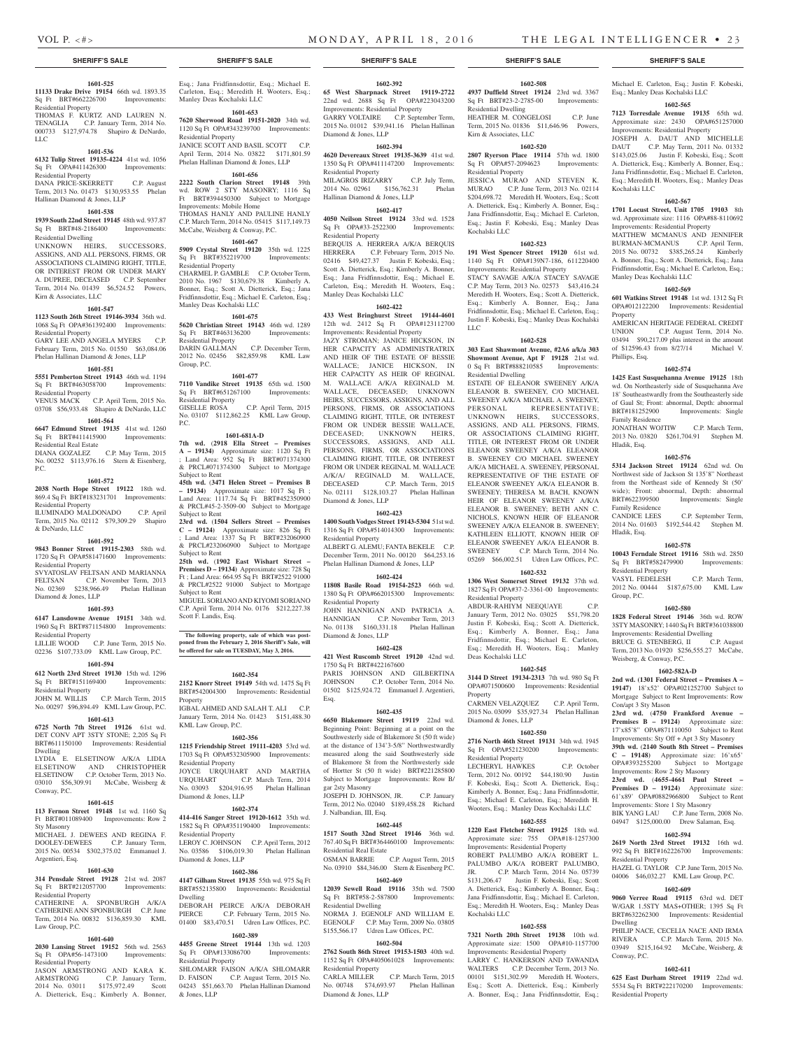Kochalski LLC

Property

Phillips, Esq.

Family Residence

Family Residence

Residential Property

Hladik, Esq.

Group, P.C.

Hladik, Esq.

Manley Deas Kochalski LLC

Michael E. Carleton, Esq.; Justin F. Kobeski, Esq.; Manley Deas Kochalski LLC

**1602-565 7123 Torresdale Avenue 19135** 65th wd. Approximate size: 2430 OPA#651257000 Improvements: Residential Property JOSEPH A. DAUT AND MICHELLE DAUT C.P. May Term, 2011 No. 01332 \$143,025.06 Justin F. Kobeski, Esq.; Scott A. Dietterick, Esq.; Kimberly A. Bonner, Esq.; Jana Fridfinnsdottir, Esq.; Michael E. Carleton, Esq.; Meredith H. Wooters, Esq.; Manley Deas

**1602-567 1701 Locust Street, Unit 1705 19103** 8th wd. Approximate size: 1116 OPA#88-8110692 Improvements: Residential Property MATTHEW MCMANUS AND JENNIFER BURMAN-MCMANUS C.P. April Term, 2015 No. 00732 \$385,265.24 Kimberly A. Bonner, Esq.; Scott A. Dietterick, Esq.; Jana Fridfinnsdottir, Esq.; Michael E. Carleton, Esq.;

**1602-569 601 Watkins Street 19148** 1st wd. 1312 Sq Ft OPA#012122200 Improvements: Residential

AMERICAN HERITAGE FEDERAL CREDIT UNION C.P. August Term, 2014 No. 03494 \$90,217.09 plus interest in the amount of \$12596.43 from 8/27/14 Michael V.

**1602-574 1425 East Susquehanna Avenue 19125** 18th wd. On Northeasterly side of Susquehanna Ave 18' Southeastwardly from the Southeasterly side of Gaul St; Front: abnormal, Depth: abnormal<br>BRT#181252900 Improvements: Single

JONATHAN WOJTIW C.P. March Term, 2013 No. 03820 \$261,704.91 Stephen M.

**1602-576 5314 Jackson Street 19124** 62nd wd. On Northwest side of Jackson St 135'8" Northeast from the Northeast side of Kennedy St (50' wide); Front: abnormal, Depth: abnormal BRT#622399500 Improvements: Single

CANDICE LEES C.P. September Term, 2014 No. 01603 \$192,544.42 Stephen M.

**1602-578 10043 Ferndale Street 19116** 58th wd. 2850 Sq Ft BRT#582479900 Improvements:

VASYL FEDELESH C.P. March Term, 2012 No. 00444 \$187,675.00 KML Law

**1602-580 1828 Federal Street 19146** 36th wd. ROW 3STY MASONRY; 1440 Sq Ft BRT#361038800 **Improvements: Residential Dwelling<br>BRUCE G. STENBERG. II C.P. August** 

Term, 2013 No. 01920 \$256,555.27 McCabe,

**1602-582A-D 2nd wd. (1301 Federal Street – Premises A – 19147)** 18'x52' OPA#021252700 Subject to Mortgage Subject to Rent Improvements: Row

**23rd wd.** (**4750 Frankford Avenue – Premises B – 19124)** Approximate size: 17'x85'8" OPA#871110050 Subject to Rent Improvements: Sty Off + Apt 3 Sty Masonry **39th wd.** (**2140 South 8th Street – Premises C – 19148)** Approximate size: 16'x65'

HAZEL G. TAYLOR C.P. June Term, 2015 No. 04006 \$46,032.27 KML Law Group, P.C. **1602-609 9060 Verree Road 19115** 63rd wd. DET W/GAR 1.5STY MAS+OTHER; 1395 Sq Ft BRT#632262300 Improvements: Residential

PHILIP NACE, CECELIA NACE AND IRMA RIVERA C.P. March Term, 2015 No. 03949 \$215,164.92 McCabe, Weisberg, &

**1602-611 625 East Durham Street 19119** 22nd wd. 5534 Sq Ft BRT#222170200 Improvements:

Improvements: Row 2 Sty Masonry **23rd wd.** (**4655-4661 Paul Street – Premises D – 19124)** Approximate size: 61'x89' OPA#0882966800 Subject to Rent Improvements: Store 1 Sty Masonry BIK YANG LAU C.P. June Term, 2008 No. 04947 \$125,000.00 Drew Salaman, Esq. **1602-594 2619 North 23rd Street 19132** 16th wd. 992 Sq Ft BRT#162226700 Improvements:

Subject to Mortgage

BRUCE G. STENBERG, II

Weisberg, & Conway, P.C.

Con/apt 3 Sty Mason

Residential Property

Dwelling

Conway, P.C.

Residential Property

Improvements: Single

**1602-508 4937 Duffield Street 19124** 23rd wd. 3367 Sq Ft BRT#23-2-2785-00 Improvements:

HEATHER M. CONGELOSI C.P. June Term, 2015 No. 01836 \$11,646.96 Powers,

**1602-520 2807 Ryerson Place 19114** 57th wd. 1800 Sq Ft OPA#57-2094623 Improvements:

JESSICA MURAO AND STEVEN K. MURAO C.P. June Term, 2013 No. 02114 \$204,698.72 Meredith H. Wooters, Esq.; Scott A. Dietterick, Esq.; Kimberly A. Bonner, Esq.; Jana Fridfinnsdottir, Esq.; Michael E. Carleton, Esq.; Justin F. Kobeski, Esq.; Manley Deas

**1602-523 191 West Spencer Street 19120** 61st wd. 1140 Sq Ft OPA#139N7-186, 611220400 Improvements: Residential Property STACY SAVAGE A/K/A STACEY SAVAGE C.P. May Term, 2013 No. 02573 \$43,416.24 Meredith H. Wooters, Esq.; Scott A. Dietterick, Esq.; Kimberly A. Bonner, Esq.; Jana Fridfinnsdottir, Esq.; Michael E. Carleton, Esq.; Justin F. Kobeski, Esq.; Manley Deas Kochalski

**1602-528 303 East Shawmont Avenue, #2A6 a/k/a 303 Showmont Avenue, Apt F 19128** 21st wd. 0 Sq Ft BRT#888210585 Improvements:

ESTATE OF ELEANOR SWEENEY A/K/A ELEANOR B. SWEENEY, C/O MICHAEL SWEENEY A/K/A MICHAEL A. SWEENEY, PERSONAL REPRESENTATIVE; PERSONAL REPRESENTATIVE; UNKNOWN HEIRS, SUCCESSORS, ASSIGNS, AND ALL PERSONS, FIRMS, OR ASSOCIATIONS CLAIMING RIGHT TITLE, OR INTEREST FROM OR UNDER ELEANOR SWEENEY A/K/A ELEANOR B. SWEENEY C/O MICHAEL SWEENEY A/K/A MICHAEL A. SWEENEY, PERSONAL REPRESENTATIVE OF THE ESTATE OF ELEANOR SWEENEY A/K/A ELEANOR B. SWEENEY; THERESA M. BACH, KNOWN HEIR OF ELEANOR SWEENEY A/K/A ELEANOR B. SWEENEY; BETH ANN C. NICHOLS, KNOWN HEIR OF ELEANOR SWEENEY A/K/A ELEANOR B. SWEENEY; KATHLEEN ELLIOTT, KNOWN HEIR OF ELEANOR SWEENEY A/K/A ELEANOR B. SWEENEY C.P. March Term, 2014 No. 05269 \$66,002.51 Udren Law Offices, P.C. **1602-532 1306 West Somerset Street 19132** 37th wd. 1827 Sq Ft OPA#37-2-3361-00 Improvements:

Residential Dwelling

Kirn & Associates, LLC

Residential Property

Kochalski LLC

LLC

Residential Dwelling

Residential Property

Deas Kochalski LLC

Diamond & Jones, LLP

Residential Property

Kochalski LLC

Property

ABDUR-RAHIYM NEEQUAYE January Term, 2012 No. 03025 \$51,798.20 Justin F. Kobeski, Esq.; Scott A. Dietterick, Esq.; Kimberly A. Bonner, Esq.; Jana Fridfinnsdottir, Esq.; Michael E. Carleton, Esq.; Meredith H. Wooters, Esq.; Manley

**1602-545 3144 D Street 19134-2313** 7th wd. 980 Sq Ft OPA#071500600 Improvements: Residential

CARMEN VELAZQUEZ C.P. April Term, 2015 No. 03099 \$35,927.34 Phelan Hallinan

**1602-550 2716 North 46th Street 19131** 34th wd. 1945 Sq Ft OPA#521230200 Improvements:

LECHERYL HAWKES C.P. October Term, 2012 No. 00192 \$44,180.90 Justin F. Kobeski, Esq.; Scott A. Dietterick, Esq.; Kimberly A. Bonner, Esq.; Jana Fridfinnsdottir, Esq.; Michael E. Carleton, Esq.; Meredith H. Wooters, Esq.; Manley Deas Kochalski LLC **1602-555 1220 East Fletcher Street 19125** 18th wd. Approximate size: 755 OPA#18-1257300 Improvements: Residential Property ROBERT PALUMBO A/K/A ROBERT L. PALUMBO A/K/A ROBERT PALUMBO, JR. C.P. March Term, 2014 No. 05739 \$131,206.47 Justin F. Kobeski, Esq.; Scott A. Dietterick, Esq.; Kimberly A. Bonner, Esq.; Jana Fridfinnsdottir, Esq.; Michael E. Carleton, Esq.; Meredith H. Wooters, Esq.; Manley Deas

**1602-558 7321 North 20th Street 19138** 10th wd. Approximate size: 1500 OPA#10-1157700 Improvements: Residential Property LARRY C. HANKERSON AND TAWANDA WALTERS C.P. December Term, 2013 No. 00101 \$151,302.99 Meredith H. Wooters, Esq.; Scott A. Dietterick, Esq.; Kimberly A. Bonner, Esq.; Jana Fridfinnsdottir, Esq.;

### **SHERIFF'S SALE SHERIFF'S SALE SHERIFF'S SALE SHERIFF'S SALE SHERIFF'S SALE**

## **1601-525**

**11133 Drake Drive 19154** 66th wd. 1893.35 Sq Ft BRT#662226700 Improvements: Residential Property THOMAS F. KURTZ AND LAUREN N.

TENAGLIA C.P. January Term, 2014 No. 000733 \$127,974.78 Shapiro & DeNardo, LLC

#### **1601-536**

**6132 Tulip Street 19135-4224** 41st wd. 1056 Sq Ft OPA#411426300 Improvements: Residential Property

#### DANA PRICE-SKERRETT C.P. August Term, 2013 No. 01473 \$130,953.55 Phelan Hallinan Diamond & Jones, LLP

#### **1601-538**

**1939 South 22nd Street 19145** 48th wd. 937.87 Sq Ft BRT#48-2186400 Improvements: Residential Dwelling

UNKNOWN HEIRS, SUCCESSORS, ASSIGNS, AND ALL PERSONS, FIRMS, OR ASSOCIATIONS CLAIMING RIGHT, TITLE, OR INTEREST FROM OR UNDER MARY A. DUPREE, DECEASED C.P. September Term, 2014 No. 01439 \$6,524.52 Powers, Kirn & Associates, LLC

#### **1601-547**

**1123 South 26th Street 19146-3934** 36th wd. 1068 Sq Ft OPA#361392400 Improvements: Residential Property

GARY LEE AND ANGELA MYERS C.P. February Term, 2015 No. 01550 \$63,084.06 Phelan Hallinan Diamond & Jones, LLP

#### **1601-551**

**5551 Pemberton Street 19143** 46th wd. 1194<br>
Sq Ft BRT#463058700 Improvements: Sq Ft BRT#463058700

Residential Property VENUS MACK C.P. April Term, 2015 No. 03708 \$56,933.48 Shapiro & DeNardo, LLC

## **1601-564**

**6647 Edmund Street 19135** 41st wd. 1260 Sq Ft BRT#411415900

Residential Real Estate DIANA GOZALEZ C.P. May Term, 2015 No. 00252 \$113,976.16 Stern & Eisenberg, P.C.

## **1601-572**

**2038 North Hope Street 19122** 18th wd. 869.4 Sq Ft BRT#183231701 Improvements: Residential Property ILUMINADO MALDONADO C.P. April

Term, 2015 No. 02112 \$79,309.29 Shapiro & DeNardo, LLC

#### **1601-592**

**9843 Bonner Street 19115-2303** 58th wd. 1720 Sq Ft OPA#581471600 Improvements: Residential Property SVYATOSLAV FELTSAN AND MARIANNA

FELTSAN C.P. November Term, 2013 No. 02369 \$238,966.49 Phelan Hallinan Diamond & Jones, LLP

#### **1601-593 6147 Lansdowne Avenue 19151** 34th wd.

1960 Sq Ft BRT#871154800 Improvements: Residential Property LILLIE WOOD C.P. June Term, 2015 No.

02236 \$107,733.09 KML Law Group, P.C. **1601-594**

#### **612 North 23rd Street 19130** 15th wd. 1296 Sq Ft BRT#151169400 Improvements: Residential Property

JOHN M. WILLIS C.P. March Term, 2015 No. 00297 \$96,894.49 KML Law Group, P.C.

#### **1601-613**

**6725 North 7th Street 19126** 61st wd. DET CONV APT 3STY STONE; 2,205 Sq Ft BRT#611150100 Improvements: Residential Dwelling LYDIA E. ELSETINOW A/K/A LIDIA ELSETINOW AND CHRISTOPHER ELSETINOW C.P. October Term, 2013 No. 03010 \$56,309.91 McCabe, Weisberg &

#### **1601-615**

Conway, P.C.

**113 Fernon Street 19148** 1st wd. 1160 Sq Ft BRT#011089400 Improvements: Row 2 Sty Masonry MICHAEL J. DEWEES AND REGINA F. DOOLEY-DEWEES C.P. January Term, 2015 No. 00534 \$302,375.02 Emmanuel J. Argentieri, Esq.

#### **1601-630**

**314 Pensdale Street 19128** 21st wd. 2087 Sq Ft BRT#212057700 Improvements: Residential Property

CATHERINE A. SPONBURGH A/K/A CATHERINE ANN SPONBURGH C.P. June Term, 2014 No. 00832 \$136,859.30 KML Law Group, P.C.

#### **1601-640**

**2030 Lansing Street 19152** 56th wd. 2563 Sq Ft OPA#56-1473100 Improvements: Residential Property

JASON ARMSTRONG AND KARA K. ARMSTRONG C.P. January Term,

2014 No. 03011 \$175,972.49 Scott A. Dietterick, Esq.; Kimberly A. Bonner,

#### Esq.; Jana Fridfinnsdottir, Esq.; Michael E. Carleton, Esq.; Meredith H. Wooters, Esq.; Manley Deas Kochalski LLC

**1601-653**

**7620 Sherwood Road 19151-2020** 34th wd. 1120 Sq Ft OPA#343239700 Improvements: Residential Property JANICE SCOTT AND BASIL SCOTT C.P.

April Term, 2014 No. 03822 \$171,801.59 Phelan Hallinan Diamond & Jones, LLP

## **1601-656**

**2222 South Clarion Street 19148** 39th wd. ROW 2 STY MASONRY; 1116 Sq Ft BRT#394450300 Subject to Mortgage Improvements: Mobile Home THOMAS HANLY AND PAULINE HANLY C.P. March Term, 2014 No. 05415 \$117,149.73

## McCabe, Weisberg & Conway, P.C.

**1601-667 5909 Crystal Street 19120** 35th wd. 1225 Sq Ft BRT#352219700 Improvements: Residential Property CHARMEL P. GAMBLE C.P. October Term, 2010 No. 1967 \$130,679.38 Kimberly A. Bonner, Esq.; Scott A. Dietterick, Esq.; Jana Fridfinnsdottir, Esq.; Michael E. Carleton, Esq.; Manley Deas Kochalski LLC

**1601-675 5620 Christian Street 19143** 46th wd. 1289 Sq Ft BRT#463136200 Improvements: Residential Property

DARIN GALLMAN C.P. December Term, 2012 No. 02456 \$82,859.98 KML Law Group, P.C.

## **1601-677**

**7110 Vandike Street 19135** 65th wd. 1500 Sq Ft BRT#651267100 Improvements: Residential Property GISELLE ROSA C.P. April Term, 2015 No. 03107 \$112,862.25 KML Law Group, P.C.

#### **1601-681A-D**

**7th wd.** (**2918 Ella Street – Premises A – 19134)** Approximate size: 1120 Sq Ft ; Land Area: 952 Sq Ft BRT#071374300 & PRCL#071374300 Subject to Mortgage Subject to Rent

**45th wd.** (**3471 Helen Street – Premises B – 19134)** Approximate size: 1017 Sq Ft ; Land Area: 1117.74 Sq Ft BRT#452350900 & PRCL#45-2-3509-00 Subject to Mortgage Subject to Rent

**23rd wd.** (**1504 Sellers Street – Premises C – 19124)** Approximate size: 826 Sq Ft ; Land Area: 1337 Sq Ft BRT#232060900 & PRCL#232060900 Subject to Mortgage Subject to Rent

**25th wd.** (**1902 East Wishart Street – Premises D – 19134)** Approximate size: 728 Sq Ft ; Land Area: 664.95 Sq Ft BRT#2522 91000 & PRCL#2522 91000 Subject to Mortgage Subject to Rent MIGUEL SORIANO AND KIYOMI SORIANO

C.P. April Term, 2014 No. 0176 \$212,227.38 Scott F. Landis, Esq.

#### **The following property, sale of which was postponed from the February 2, 2016 Sheriff's Sale, will be offered for sale on TUESDAY, May 3, 2016.**

#### **1602-354**

**2152 Knorr Street 19149** 54th wd. 1475 Sq Ft BRT#542004300 Improvements: Residential Property IGBAL AHMED AND SALAH T. ALI C.P. January Term, 2014 No. 01423 \$151,488.30 KML Law Group, P.C.

#### **1602-356**

**1215 Friendship Street 19111-4203** 53rd wd. 1703 Sq Ft OPA#532305900 Improvements: Residential Property JOYCE URQUHART AND MARTHA URQUHART C.P. March Term, 2014 No. 03093 \$204,916.95 Phelan Hallinan Diamond & Jones, LLP

#### **1602-374**

**414-416 Sanger Street 19120-1612** 35th wd. 1582 Sq Ft OPA#351190400 Improvements: Residential Property LEROY C. JOHNSON C.P. April Term, 2012

No. 03586 \$106,019.30 Phelan Hallinan Diamond & Jones, LLP **1602-386**

**4147 Gilham Street 19135** 55th wd. 975 Sq Ft BRT#552135800 Improvements: Residential Dwelling DEBORAH PEIRCE A/K/A DEBORAH PIERCE C.P. February Term, 2015 No. 01400 \$83,470.51 Udren Law Offices, P.C.

#### **1602-389**

**4455 Greene Street 19144** 13th wd. 1203 Sq Ft OPA#133086700 Improvements: Residential Property SHLOMARR FAISON A/K/A SHLOMARR D. FAISON C.P. August Term, 2015 No. 04243 \$51,663.70 Phelan Hallinan Diamond & Jones, LLP

#### **1602-392**

**65 West Sharpnack Street 19119-2722**  22nd wd. 2688 Sq Ft OPA#223043200 Improvements: Residential Property GARRY VOLTAIRE C.P. September Term, 2015 No. 01012 \$39,941.16 Phelan Hallinan Diamond & Jones, LLP

#### **1602-394**

**4620 Devereaux Street 19135-3639** 41st wd. 1350 Sq Ft OPA#411147200 Improvements: Residential Property MILAGROS IRIZARRY C.P. July Term,

2014 No. 02961 \$156,762.31 Phelan Hallinan Diamond & Jones, LLP **1602-417**

**4050 Neilson Street 19124** 33rd wd. 1528 Sq Ft OPA#33-2522300 Improvements: Residential Property

BERQUIS A. HERRERA A/K/A BERQUIS HERRERA C.P. February Term, 2015 No. 02416 \$49,427.37 Justin F. Kobeski, Esq.; Scott A. Dietterick, Esq.; Kimberly A. Bonner, Esq.; Jana Fridfinnsdottir, Esq.; Michael E. Carleton, Esq.; Meredith H. Wooters, Esq.; Manley Deas Kochalski LLC

#### **1602-422**

**433 West Bringhurst Street 19144-4601**  12th wd. 2412 Sq Ft OPA#123112700 Improvements: Residential Property JAZY STROMAN; JANICE HICKSON, IN HER CAPACITY AS ADMINISTRATRIX AND HEIR OF THE ESTATE OF BESSIE WALLACE; JANICE HICKSON, IN HER CAPACITY AS HEIR OF REGINAL M. WALLACE A/K/A REGINALD M. WALLACE, DECEASED; UNKNOWN HEIRS, SUCCESSORS, ASSIGNS, AND ALL PERSONS, FIRMS, OR ASSOCIATIONS CLAIMING RIGHT, TITLE, OR INTEREST FROM OR UNDER BESSIE WALLACE, DECEASED; UNKNOWN HEIRS, SUCCESSORS, ASSIGNS, AND ALL PERSONS, FIRMS, OR ASSOCIATIONS CLAIMING RIGHT, TITLE, OR INTEREST FROM OR UNDER REGINAL M. WALLACE A/K/A/ REGINALD M. WALLACE, DECEASED C.P. March Term, 2015 No. 02111 \$128,103.27 Phelan Hallinan Diamond & Jones, LLP

### **1602-423**

**1400 South Vodges Street 19143-5304** 51st wd. 1316 Sq Ft OPA#514014300 Improvements: Residential Property

ALBERT G. ALEMII: FANTA BEKELE C.P. December Term, 2011 No. 00120 \$64,253.16 Phelan Hallinan Diamond & Jones, LLP

#### **1602-424**

**11808 Basile Road 19154-2523** 66th wd. 1380 Sq Ft OPA#662015300 Improvements: Residential Property

JOHN HANNIGAN AND PATRICIA A. HANNIGAN C.P. November Term, 2013 No. 01138 \$160,331.18 Phelan Hallinan Diamond & Jones, LLP

#### **1602-428**

**421 West Ruscomb Street 19120** 42nd wd. 1750 Sq Ft BRT#422167600 PARIS JOHNSON AND GILBERTINA JOHNSON C.P. October Term, 2014 No. 01502 \$125,924.72 Emmanuel J. Argentieri, Esq.

#### **1602-435**

**6650 Blakemore Street 19119** 22nd wd. Beginning Point: Beginning at a point on the Southwesterly side of Blakemore St (50 ft wide) at the distance of 134'3-5/8" Northwestwardly measured along the said Southwesterly side of Blakemore St from the Northwesterly side of Hortter St (50 ft wide) BRT#221285800 Subject to Mortgage Improvements: Row B/ gar 2sty Masonry JOSEPH D. JOHNSON, JR. C.P. January

Term, 2012 No. 02040 \$189,458.28 Richard J. Nalbandian, III, Esq.

## **1602-445**

**1517 South 32nd Street 19146** 36th wd. 767.40 Sq Ft BRT#364460100 Improvements: Residential Real Estate OSMAN BARRIE C.P. August Term, 2015 No. 03910 \$84,346.00 Stern & Eisenberg P.C.

#### **1602-469**

**12039 Sewell Road 19116** 35th wd. 7500 Sq Ft BRT#58-2-587800 Improvements: Residential Dwelling NORMA J. EGENOLF AND WILLIAM E. EGENOLF C.P. May Term, 2009 No. 03805 \$155,566.17 Udren Law Offices, P.C.

#### **1602-504 2762 South 86th Street 19153-1503** 40th wd.

Residential Property<br>CARLA MILLER

Diamond & Jones, LLP

1152 Sq Ft OPA#405061028 Improvements:

No. 00748 \$74,693.97 Phelan Hallinan

C.P. March Term, 2015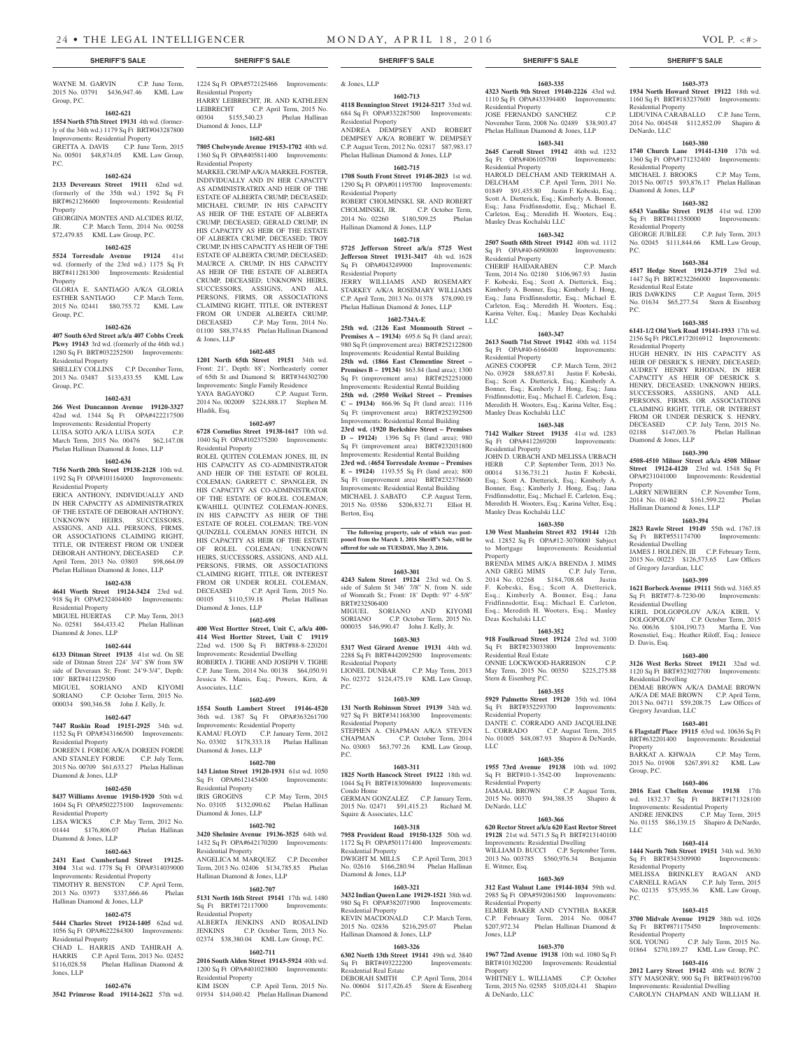**1602-713**

684 Sq Ft OPA#332287500 Improvements:

DEMPSEY A/K/A ROBERT W. DEMPSEY C.P. August Term, 2012 No. 02817 \$87,983.17 Phelan Hallinan Diamond & Jones, LLP **1602-715 1708 South Front Street 19148-2023** 1st wd. 1290 Sq Ft OPA#011195700 Improvements:

ROBERT CHOLMINSKI, SR. AND ROBERT CHOLMINSKI, JR. C.P. October Term, 2014 No. 02260 \$180,509.25 Phelan

**1602-718 5725 Jefferson Street a/k/a 5725 West Jefferson Street 19131-3417** 4th wd. 1628<br>Sq Ft OPA#043249900 Improvements:

JERRY WILLIAMS AND ROSEMARY STARKEY A/K/A ROSEMARY WILLIAMS C.P. April Term, 2013 No. 01378 \$78,090.19 Phelan Hallinan Diamond & Jones, LLP **1602-734A-E 25th wd.** (**2126 East Monmouth Street – Premises A – 19134)** 695.6 Sq Ft (land area): 980 Sq Ft (improvement area) BRT#252122800 Improvements: Residential Rental Building **25th wd. (1866 East Clementine Street – Premises B – 19134)** 863.84 (land area); 1300 Sq Ft (improvement area) BRT#252251000 Improvements: Residential Rental Building **25th wd.** (**2950 Weikel Street – Premises C – 19134)** 866.96 Sq Ft (land area); 1116 Sq Ft (improvement area) BRT#252392500 Improvements: Residential Rental Building **23rd wd. (1920 Berkshire Street – Premises D – 19124)** 1396 Sq Ft (land area); 980 Sq Ft (improvement area) BRT#232031800 Improvements: Residential Rental Building **23rd wd.** (**4654 Torresdale Avenue – Premises E – 19124)** 1193.55 Sq Ft (land area); 800 Sq Ft (improvement area) BRT#232378600 Improvements: Residential Rental Building MICHAEL J. SABATO C.P. August Term, 2015 No. 03586 \$206,832.71 Elliot H.

**The following property, sale of which was post-poned from the March 1, 2016 Sheriff's Sale, will be offered for sale on TUESDAY, May 3, 2016.**

**1603-301 4243 Salem Street 19124** 23rd wd. On S. side of Salem St 346' 7/8" N. from N. side of Womrath St.; Front: 18' Depth: 97' 4-5/8"

MIGUEL SORIANO AND KIYOMI<br>SORIANO C.P. October Term. 2015 No.

No. 02372 \$124,475.19 KML Law Group,

**1603-309 131 North Robinson Street 19139** 34th wd. 927 Sq Ft BRT#341168300 Improvements:

STEPHEN A. CHAPMAN A/K/A STEVEN CHAPMAN C.P. October Term, 2014 No. 03003 \$63,797.26 KML Law Group,

**1603-311 1825 North Hancock Street 19122** 18th wd. 1044 Sq Ft BRT#183096800 Improvements:

GERMAN GONZALEZ C.P. January Term, 2015 No. 02471 \$91,415.23 Richard M.

**1603-318 7958 Provident Road 19150-1325** 50th wd. 1172 Sq Ft OPA#501171400 Improvements:

DWIGHT M. MILLS C.P. April Term, 2013 No. 02616 \$166,280.94 Phelan Hallinan

**1603-321 3432 Indian Queen Lane 19129-1521** 38th wd. 980 Sq Ft OPA#382071900 Improvements:

KEVIN MACDONALD C.P. March Term, 2015 No. 02836 \$216,295.07 Phelan

**1603-326 6302 North 13th Street 19141** 49th wd. 3840 Sq Ft BRT#493222200 Improvements:

DEBORAH SMITH C.P. April Term, 2014 No. 00604 \$117,426.45 Stern & Eisenberg

000035 \$46,990.47 John J. Kelly, Jr. **1603-303 5317 West Girard Avenue 19131** 44th wd. 2288 Sq Ft BRT#442092500 Improvements:

C.P. October Term, 2015 No.

C.P. May Term, 2013

Hallinan Diamond & Jones, LLP

Sq Ft OPA#043249900 Residential Property

Berton, Esq.

BRT#232506400

Residential Property<br>LIONEL DUNBAR

Residential Property

Condo Home

Squire & Associates, LLC

Diamond & Jones, LLP

Hallinan Diamond & Jones, LLP

Residential Property

Residential Property

Residential Real Estate

P.C.

 $PC$ .

P.C.

WAYNE M. GARVIN C.P. June Term, 2015 No. 03791 \$436,947.46 KML Law Group, P.C.

### **1602-621**

#### **1554 North 57th Street 19131** 4th wd. (formerly of the 34th wd.) 1179 Sq Ft BRT#043287800 Improvements: Residential Property

GRETTA A. DAVIS C.P. June Term, 2015 No. 00501 \$48,874.05 KML Law Group, P.C.

#### **1602-624**

#### **2133 Devereaux Street 19111** 62nd wd. (formerly of the 35th wd.) 1592 Sq Ft BRT#621236600 Improvements: Residential Property

GEORGINA MONTES AND ALCIDES RUIZ, JR. C.P. March Term, 2014 No. 00258 \$72,479.85 KML Law Group, P.C.

#### **1602-625**

**5524 Torresdale Avenue 19124** 41st wd. (formerly of the 23rd wd.) 1175 Sq Ft BRT#411281300 Improvements: Residential Property

GLORIA E. SANTIAGO A/K/A GLORIA ESTHER SANTIAGO C.P. March Term, 2015 No. 02441 \$80,755.72 KML Law Group, P.C.

#### **1602-626**

**407 South 63rd Street a/k/a 407 Cobbs Creek Pkwy 19143** 3rd wd. (formerly of the 46th wd.) 1280 Sq Ft BRT#032252500 Improvements: Residential Property

SHELLEY COLLINS C.P. December Term, 2013 No. 03487 \$133,433.55 KML Law Group, P.C.

#### **1602-631**

**266 West Duncannon Avenue 19120-3327**  42nd wd. 1344 Sq Ft OPA#422217500 Improvements: Residential Property LUISA SOTO A/K/A LUISA SOTA C.P.

March Term, 2015 No. 00476 \$62,147.08 Phelan Hallinan Diamond & Jones, LLP **1602-636**

**7156 North 20th Street 19138-2128** 10th wd. 1192 Sq Ft OPA#101164000 Improvements: Residential Property

ERICA ANTHONY, INDIVIDUALLY AND IN HER CAPACITY AS ADMINISTRATRIX OF THE ESTATE OF DEBORAH ANTHONY; UNKNOWN HEIRS, SUCCESSORS, ASSIGNS, AND ALL PERSONS, FIRMS, OR ASSOCIATIONS CLAIMING RIGHT, TITLE, OR INTEREST FROM OR UNDER DEBORAH ANTHONY, DECEASED C.P. April Term, 2013 No. 03803 \$98,664.09 Phelan Hallinan Diamond & Jones, LLP

#### **1602-638**

**4641 Worth Street 19124-3424** 23rd wd. 918 Sq Ft OPA#232404400 Improvements: Residential Property MIGUEL HUERTAS C.P. May Term, 2013

No. 02581 \$64,433.42 Phelan Hallinan Diamond & Jones, LLP

#### **1602-644**

**6133 Ditman Street 19135** 41st wd. On SE side of Ditman Street 224' 3/4" SW from SW side of Deveraux St; Front: 24'9-3/4", Depth: 100' BRT#411229500 MIGUEL SORIANO AND KIYOMI SORIANO C.P. October Term, 2015 No.

000034 \$90,346.58 John J. Kelly, Jr. **1602-647**

## **7447 Ruskin Road 19151-2925** 34th wd.

1152 Sq Ft OPA#343166500 Improvements: Residential Property

DOREEN I. FORDE A/K/A DOREEN FORDE AND STANLEY FORDE C.P. July Term, 2015 No. 00709 \$61,633.27 Phelan Hallinan Diamond & Jones, LLP

## **1602-650**

Diamond & Jones, LLP

Residential Property

Jones, LLP

**8437 Williams Avenue 19150-1920** 50th wd. 1604 Sq Ft OPA#502275100 Improvements: Residential Property<br>LISA WICKS

**1602-663 2431 East Cumberland Street 19125- 3104** 31st wd. 1778 Sq Ft OPA#314039000 Improvements: Residential Property

TIMOTHY R. BENSTON C.P. April Term,<br>2013 No. 03973 \$337,666.46 Phelan 2013 No. 03973 \$337,666.46 Hallinan Diamond & Jones, LLP

**1602-675 5444 Charles Street 19124-1405** 62nd wd. 1056 Sq Ft OPA#622284300 Improvements:

CHAD L. HARRIS AND TAHIRAH A. HARRIS C.P. April Term, 2013 No. 02452 \$116,028.58 Phelan Hallinan Diamond &

**1602-676 3542 Primrose Road 19114-2622** 57th wd.

#### C.P. May Term, 2012 No. 01444 \$176,806.07 Phelan Hallinan **1602-702 3420 Shelmire Avenue 19136-3525** 64th wd.

1432 Sq Ft OPA#642170200 Improvements: Residential Property ANGELICA M. MARQUEZ C.P. December Term, 2013 No. 02406 \$134,785.85 Phelan Hallinan Diamond & Jones, LLP

Sq Ft BRT#172117000 Improvements: Residential Property ALBERTA JENKINS AND ROSALIND

JENKINS C.P. October Term, 2013 No. 02374 \$38,380.04 KML Law Group, P.C. **1602-711**

**2016 South Alden Street 19143-5924** 40th wd. 1200 Sq Ft OPA#401023800 Improvements: Residential Property

01934 \$14,040.42 Phelan Hallinan Diamond

1224 Sq Ft OPA#572125466 Improvements: Residential Property & Jones, LLP

HARRY LEIBRECHT, JR. AND KATHLEEN LEIBRECHT C.P. April Term, 2015 No.<br>00304 \$155.540.23 Phelan Hallinan 00304 \$155,540.23 Diamond & Jones, LLP

#### **1602-681**

**7805 Chelwynde Avenue 19153-1702** 40th wd. 1360 Sq Ft OPA#405811400 Improvements: Residential Property

MARKEL CRUMP A/K/A MARKEL FOSTER, INDIVIDUALLY AND IN HER CAPACITY AS ADMINISTRATRIX AND HEIR OF THE ESTATE OF ALBERTA CRUMP, DECEASED; MICHAEL CRUMP, IN HIS CAPACITY AS HEIR OF THE ESTATE OF ALBERTA CRUMP, DECEASED; GERALD CRUMP, IN HIS CAPACITY AS HEIR OF THE ESTATE OF ALBERTA CRUMP, DECEASED; TROY CRUMP, IN HIS CAPACITY AS HEIR OF THE ESTATE OF ALBERTA CRUMP, DECEASED; MAURCE A. CRUMP, IN HIS CAPACITY AS HEIR OF THE ESTATE OF ALBERTA CRUMP, DECEASED; UNKNOWN HEIRS, SUCCESSORS, ASSIGNS, AND ALL PERSONS, FIRMS, OR ASSOCIATIONS CLAIMING RIGHT, TITLE, OR INTEREST FROM OR UNDER ALBERTA CRUMP, DECEASED C.P. May Term, 2014 No. 01100 \$88,374.85 Phelan Hallinan Diamond & Jones, LLP

#### **1602-685**

**1201 North 65th Street 19151** 34th wd. Front: 21', Depth: 88'; Northeasterly corner of 65th St and Diamond St BRT#344302700 Improvements: Single Family Residence YAYA BAGAYOKO C.P. August Term,

2014 No. 002009 \$224,888.17 Stephen M. Hladik, Esq.

#### **1602-697 6728 Cornelius Street 19138-1617** 10th wd. 1040 Sq Ft OPA#102375200 Improvements: Residential Property

ROLEL QUITEN COLEMAN JONES, III, IN HIS CAPACITY AS CO-ADMINISTRATOR AND HEIR OF THE ESTATE OF ROLEL COLEMAN; GARRETT C. SPANGLER, IN HIS CAPACITY AS CO-ADMINISTRATOR OF THE ESTATE OF ROLEL COLEMAN; KWAHILL QUINTEZ COLEMAN-JONES, IN HIS CAPACITY AS HEIR OF THE ESTATE OF ROLEL COLEMAN; TRE-VON QUINZELL COLEMAN JONES HITCH, IN HIS CAPACITY AS HEIR OF THE ESTATE OF ROLEL COLEMAN; UNKNOWN HEIRS, SUCCESSORS, ASSIGNS, AND ALL PERSONS, FIRMS, OR ASSOCIATIONS CLAIMING RIGHT, TITLE, OR INTEREST FROM OR UNDER ROLEL COLEMAN, DECEASED C.P. April Term, 2015 No. 00105 \$110,539.18 Phelan Hallinan Diamond & Jones, LLP

#### **1602-698**

#### **400 West Hortter Street, Unit C, a/k/a 400- 414 West Hortter Street, Unit C 19119**  22nd wd. 1500 Sq Ft BRT#88-8-220201 Improvements: Residential Dwelling ROBERTA J. TIGHE AND JOSEPH V. TIGHE C.P. June Term, 2014 No. 00138 \$64,050.91 Jessica N. Manis, Esq.; Powers, Kirn, & Associates, LLC

#### **1602-699**

**1554 South Lambert Street 19146-4520**  36th wd. 1387 Sq Ft OPA#363261700 Improvements: Residential Property KAMAU FLOYD C.P. January Term, 2012 No. 03302 \$178,333.18 Phelan Hallinan Diamond & Jones, LLP

#### **1602-700**

**143 Linton Street 19120-1931** 61st wd. 1050 Sq Ft OPA#612145400 Improvements: Residential Property IRIS GROGINS C.P. May Term, 2015 No. 03105 \$132,090.62 Phelan Hallinan Diamond & Jones, LLP

#### **1602-707**

**5131 North 16th Street 19141** 17th wd. 1480

KIM ISON C.P. April Term, 2015 No.

Residential Property

Residential Property

**4118 Bennington Street 19124-5217** 33rd wd. ANDREA DEMPSEY AND ROBERT **4323 North 9th Street 19140-2226** 43rd wd. 1110 Sq Ft OPA#433394400 Improvements: Residential Property JOSE FERNANDO SANCHEZ C.P. November Term, 2008 No. 02489 \$38,903.47 Phelan Hallinan Diamond & Jones, LLP

**1603-335**

**1603-341**

**2645 Carroll Street 19142** 40th wd. 1232 Sq Ft OPA#406105700 Improvements: Residential Property

HAROLD DELCHAM AND TERRIMAH A. DELCHAM C.P. April Term, 2011 No. 01849 \$91,435.80 Justin F. Kobeski, Esq.; Scott A. Dietterick, Esq.; Kimberly A. Bonner, Esq.; Jana Fridfinnsdottir, Esq.; Michael E. Carleton, Esq.; Meredith H. Wooters, Esq.; Manley Deas Kochalski LLC

#### **1603-342**

**2507 South 68th Street 19142** 40th wd. 1112 Sq Ft OPA#40-6090800 Residential Property

CHERIF HAIDARABEN C.P. March Term, 2014 No. 02180 \$106,967.93 Justin F. Kobeski, Esq.; Scott A. Dietterick, Esq.; Kimberly A. Bonner, Esq.; Kimberly J. Hong, Esq.; Jana Fridfinnsdottir, Esq.; Michael E. Carleton, Esq.; Meredith H. Wooters, Esq.; Karina Velter, Esq.; Manley Deas Kochalski LLC

#### **1603-347**

**2613 South 71st Street 19142** 40th wd. 1154 Sq Ft OPA#40-6166400 Improvements: Residential Property

AGNES COOPER C.P. March Term, 2012 No. 03928 \$88,657.81 Justin F. Kobeski, Esq.; Scott A. Dietterick, Esq.; Kimberly A. Bonner, Esq.; Kimberly J. Hong, Esq.; Jana Fridfinnsdottir, Esq.; Michael E. Carleton, Esq.; Meredith H. Wooters, Esq.; Karina Velter, Esq.; Manley Deas Kochalski LLC

#### **1603-348**

**7142 Walker Street 19135** 41st wd. 1283 Sq Ft OPA#412269200 Improvements: Residential Property

JOHN D. URBACH AND MELISSA URBACH HERB C.P. September Term, 2013 No.<br>00014 \$136,731.21 Justin F. Kobeski, Justin F. Kobeski, Esq.; Scott A. Dietterick, Esq.; Kimberly A. Bonner, Esq.; Kimberly J. Hong, Esq.; Jana Fridfinnsdottir, Esq.; Michael E. Carleton, Esq.; Meredith H. Wooters, Esq.; Karina Velter, Esq.; Manley Deas Kochalski LLC

## **1603-350**

**130 West Manheim Street #32 19144** 12th wd. 12852 Sq Ft OPA#12-3070000 Subject to Mortgage Improvements: Residential Property BRENDA MIMS A/K/A BRENDA J. MIMS

AND GREG MIMS C.P. July Term, 2014 No. 02268 \$184,708.68 Justin F. Kobeski, Esq.; Scott A. Dietterick, Esq.; Kimberly A. Bonner, Esq.; Jana Fridfinnsdottir, Esq.; Michael E. Carleton, Esq.; Meredith H. Wooters, Esq.; Manley Deas Kochalski LLC

#### **1603-352 918 Foulkroad Street 19124** 23rd wd. 3100

Sq Ft BRT#233033800 Improvements: Residential Real Estate

ONNIE LOCKWOOD-HARRISON C.P. May Term, 2015 No. 00350 \$225,275.88 Stern & Eisenberg P.C.

## **1603-355**

**5929 Palmetto Street 19120** 35th wd. 1064<br>
Sq Ft BRT#352293700 Improvements: Sq Ft BRT#352293700 Residential Property DANTE C. CORRADO AND JACQUELINE

L. CORRADO C.P. August Term, 2015 No. 01005 \$48,087.93 Shapiro & DeNardo, LLC

## **1603-356**

**1955 73rd Avenue 19138** 10th wd. 1092<br>Sq Ft BRT#10-1-3542-00 Improvements: Sq Ft BRT#10-1-3542-00

Residential Property JAMAAL BROWN C.P. August Term, 2015 No. 00370 \$94,388.35 Shapiro & DeNardo, LLC

## **1603-366**

**620 Rector Street a/k/a 620 East Rector Street 19128** 21st wd. 5471.5 Sq Ft BRT#213140100 Improvements: Residential Dwelling WILLIAM D. BUCCI C.P. September Term, 2013 No. 003785 \$560,976.34 Benjamin E. Witmer, Esq.

#### **1603-369**

**312 East Walnut Lane 19144-1034** 59th wd. 2985 Sq Ft OPA#592061500 Improvements: Residential Property ELMER BAKER AND CYNTHIA BAKER C.P. February Term, 2014 No. 00847 \$207,972.34 Phelan Hallinan Diamond & Jones, LLP

## **1603-370**

**1967 72nd Avenue 19138** 10th wd. 1080 Sq Ft BRT#101302200 Improvements: Residential Property WHITNEY L. WILLIAMS C.P. October

Term, 2015 No. 02585 \$105,024.41 Shapiro & DeNardo, LLC

#### **SHERIFF'S SALE SHERIFF'S SALE SHERIFF'S SALE SHERIFF'S SALE SHERIFF'S SALE**

#### **1603-373 1934 North Howard Street 19122** 18th wd. 1160 Sq Ft BRT#183237600 Improvements:

LIDUVINA CARABALLO C.P. June Term, 2014 No. 004548 \$112,852.09 Shapiro &

**1603-380 1740 Church Lane 19141-1310** 17th wd. 1360 Sq Ft OPA#171232400 Improvements:

MICHAEL J. BROOKS C.P. May Term, 2015 No. 00715 \$93,876.17 Phelan Hallinan

**1603-382 6543 Vandike Street 19135** 41st wd. 1200

GEORGE JUBILEE C.P. July Term, 2013 No. 02045 \$111,844.66 KML Law Group,

**1603-384 4517 Hedge Street 19124-3719** 23rd wd. 1447 Sq Ft BRT#232266000 Improvements:

IRIS DAWKINS C.P. August Term, 2015 No. 01634 \$65,277.54 Stern & Eisenberg

**1603-385 6141-1/2 Old York Road 19141-1933** 17th wd. 2156 Sq Ft PRCL#172016912 Improvements:

HUGH HENRY, IN HIS CAPACITY AS HEIR OF DESRICK S. HENRY, DECEASED; AUDREY HENRY RHODAN, IN HER CAPACITY AS HEIR OF DESRICK S. HENRY, DECEASED; UNKNOWN HEIRS, SUCCESSORS, ASSIGNS, AND ALL PERSONS, FIRMS, OR ASSOCIATIONS CLAIMING RIGHT, TITLE, OR INTEREST FROM OR UNDER DESRICK S. HENRY, DECEASED C.P. July Term, 2015 No. 02188 \$147,003.76 Phelan Hallinan

**1603-390 4508-4510 Milnor Street a/k/a 4508 Milnor Street 19124-4120** 23rd wd. 1548 Sq Ft OPA#231041000 Improvements: Residential

LARRY NEWBERN C.P. November Term, 2014 No. 01462 \$161,599.22 Phelan

**1603-394 2823 Rawle Street 19149** 55th wd. 1767.18 Sq Ft BRT#551174700 Improvements:

JAMES J. HOLDEN, III C.P. February Term, 2015 No. 00223 \$126,573.65 Law Offices

**1603-399 1621 Borbeck Avenue 19111** 56th wd. 3165.85 Sq Ft BRT#77-8-7230-00 Improvements:

KIRIL DOLGOPOLOV A/K/A KIRIL V. DOLGOPOLOV C.P. October Term, 2015 No. 00636 \$104,190.73 Martha E. Von Rosenstiel, Esq.; Heather Riloff, Esq.; Jeniece

**1603-400 3126 West Berks Street 19121** 32nd wd. 1120 Sq Ft BRT#323027700 Improvements:

DEMAE BROWN A/K/A DAMAE BROWN A/K/A DE MAE BROWN C.P. April Term, 2013 No. 04711 \$59,208.75 Law Offices of

**1603-401 6 Flagstaff Place 19115** 63rd wd. 10636 Sq Ft BRT#632201400 Improvements: Residential

BARKAT A. KHWAJA C.P. May Term, 2015 No. 01908 \$267,891.82 KML Law

**1603-406 2016 East Chelten Avenue 19138** 17th wd. 1832.37 Sq Ft BRT#171328100 Improvements: Residential Property ANDRE JENKINS C.P. May Term, 2015 No. 01155 \$86,139.15 Shapiro & DeNardo,

**1603-414 1444 North 76th Street 19151** 34th wd. 3630 Sq Ft BRT#343309900 Improvements:

MELISSA BRINKLEY RAGAN AND CARNELL RAGAN C.P. July Term, 2015 No. 02135 \$75,955.36 KML Law Group,

**1603-415 3700 Midvale Avenue 19129** 38th wd. 1026<br>
Sq Ft BRT#871175450 Improvements: Sq Ft BRT#871175450 Improvements:

SOL YOUNG C.P. July Term, 2015 No. 01864 \$270,189.27 KML Law Group, P.C. **1603-416 2012 Larry Street 19142** 40th wd. ROW 2 STY MASONRY; 900 Sq Ft BRT#403196700 Improvements: Residential Dwelling CAROLYN CHAPMAN AND WILLIAM H.

Hallinan Diamond & Jones, LLP

Residential Dwelling

Residential Dwelling

Residential Dwelling

Gregory Javardian, LLC

D. Davis, Esq.

Property

Group, P.C.

LLC

P.C.

Residential Property

Residential Property

of Gregory Javardian, LLC

Residential Property

Residential Property

P.C.

P.C.

Diamond & Jones, LLP

Residential Real Estate

Residential Property

Diamond & Jones, LLP

Property

Sq Ft BRT#411350000 Residential Property

DeNardo, LLC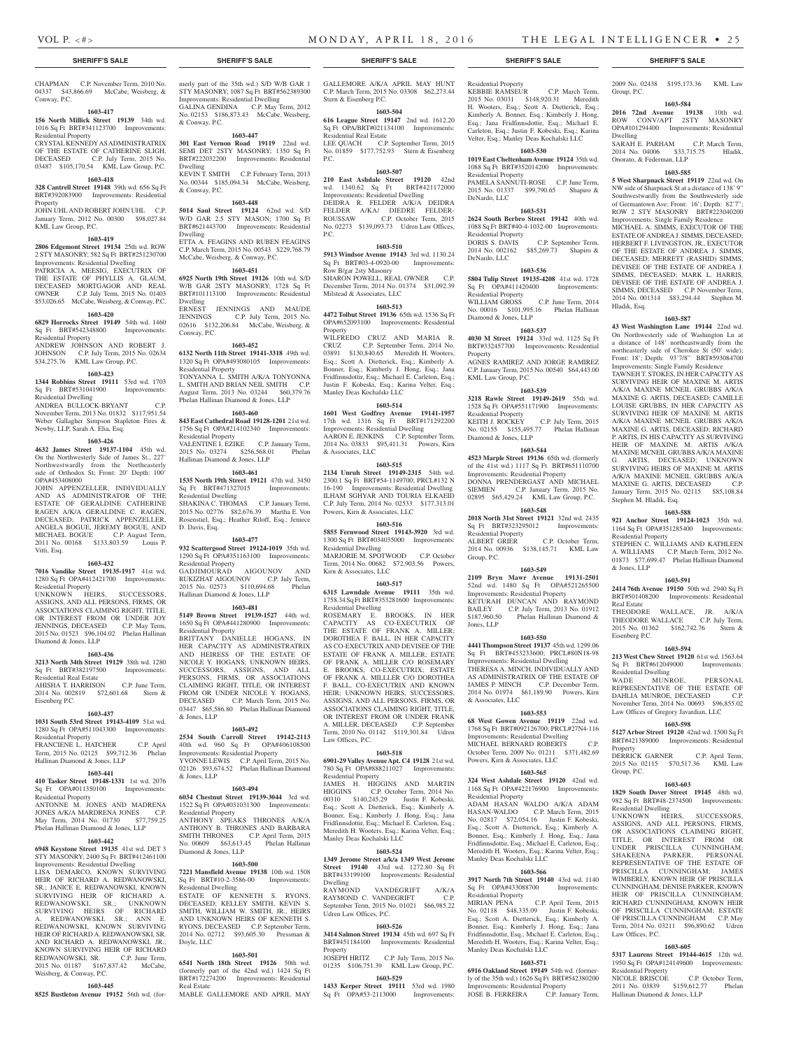Group, P.C.

Dwelling

Hladik, Esq.

Stephen M. Hladik, Esq.

Residential Property

& Jones, LLP

Real Estate

Eisenberg P.C.

Property

Group, P.C.

Residential Dwelling

Law Offices, P.C.

Residential Property

Hallinan Diamond & Jones, LLP

Residential Dwelling

**1603-588 921 Anchor Street 19124-1023** 35th wd. 1164 Sq Ft OPA#351285400 Improvements:

STEPHEN C. WILLIAMS AND KATHLEEN A. WILLIAMS C.P. March Term, 2012 No. 01873 \$77,699.47 Phelan Hallinan Diamond

**1603-591 2414 76th Avenue 19150** 50th wd. 2940 Sq Ft BRT#501408200 Improvements: Residential

THEODORE WALLACE, JR. A/K/A<br>THEODORE WALLACE C.P. July Term, THEODORE WALLACE C.P. July Term, 2015 No. 01362 \$162,742.76 Stern &

**1603-594 213 West Chew Street 19120** 61st wd. 1563.64 Sq Ft BRT#612049000 Improvements:

WADE MUNROE, PERSONAL REPRESENTATIVE OF THE ESTATE OF DAHLIA MUNROE, DECEASED C.P. November Term, 2014 No. 00693 \$96,855.02 Law Offices of Gregory Javardian, LLC **1603-598 5127 Arbor Street 19120** 42nd wd. 1500 Sq Ft BRT#421389000 Improvements: Residential

DERRICK GARNER C.P. April Term, 2015 No. 02115 \$70,517.36 KML Law

**1603-603 1829 South Dover Street 19145** 48th wd. 982 Sq Ft BRT#48-2374500 Improvements:

UNKNOWN HEIRS, SUCCESSORS, ASSIGNS, AND ALL PERSONS, FIRMS, OR ASSOCIATIONS CLAIMING RIGHT, TITLE, OR INTEREST FROM OR UNDER PRISCILLA CUNNINGHAM; SHAKEENA PARKER, PERSONAL REPRESENTATIVE OF THE ESTATE OF PRISCILLA CUNNINGHAM; JAMES WIMBERLY, KNOWN HEIR OF PRISCILLA CUNNINGHAM; DENISE PARKER, KNOWN HEIR OF PRISCILLA CUNNINGHAM; RICHARD CUNNINGHAM, KNOWN HEIR OF PRISCILLA CUNNINGHAM: ESTATE OF PRISCILLA CUNNINGHAM C.P. May Term, 2014 No. 03211 \$96,890.62 Udren

**1603-605 5317 Laurens Street 19144-4615** 12th wd. 1950 Sq Ft OPA#124149600 Improvements:

NICOLE BRISCOE C.P. October Term, 2011 No. 03839 \$159,612.77 Phelan

Onorato, & Federman, LLP

2009 No. 02438 \$195,173.36 KML Law

**1603-584 2016 72nd Avenue 19138** 10th wd. ROW CONV/APT 2STY MASONRY OPA#101294400 Improvements: Residential

SARAH E. PARHAM C.P. March Term, 2014 No. 04006 \$33,715.75 Hladik,

**1603-585 5 West Sharpnack Street 19119** 22nd wd. On NW side of Sharpnack St at a distance of 138' 9" Southwestwardly from the Southwesterly side of Germantown Ave; Front: 16'; Depth: 82'7"; ROW 2 STY MASONRY BRT#223040200 Improvements: Single Family Residence MICHAEL A. SIMMS, EXECUTOR OF THE ESTATE OF ANDREA J. SIMMS, DECEASED; HERBERT F. LIVINGSTON, JR., EXECUTOR OF THE ESTATE OF ANDREA J. SIMMS, DECEASED; MERRETT (RASHID) SIMMS, DEVISEE OF THE ESTATE OF ANDREA J. SIMMS, DECEASED; MARK L. HARRIS, DEVISEE OF THE ESTATE OF ANDREA J. SIMMS, DECEASED C.P. November Term, 2014 No. 001314 \$83,294.44 Stephen M.

**1603-587 43 West Washington Lane 19144** 22nd wd. On Northwesterly side of Washington Ln at a distance of 148' northeastwardly from the northeasterly side of Cherokee St (50' wide); Front: 18'; Depth: 93'7/8" BRT#593084700 Improvements: Single Family Residence TAWNEH T. STOKES, IN HER CAPACITY AS SURVIVING HEIR OF MAXINE M. ARTIS A/K/A MAXINE MCNEIL GRUBBS A/K/A MAXINE G. ARTIS, DECEASED; CAMILLE LOUISE GRUBBS, IN HER CAPACITY AS SURVIVING HEIR OF MAXINE M. ARTIS A/K/A MAXINE MCNEIL GRUBBS A/K/A MAXINE G. ARTIS, DECEASED; RICHARD P. ARTIS, IN HIS CAPACITY AS SURVIVING HEIR OF MAXINE M. ARTIS A/K/A MAXINE MCNEIL GRUBBS A/K/A MAXINE G. ARTIS, DECEASED; UNKNOWN SURVIVING HEIRS OF MAXINE M. ARTIS A/K/A MAXINE MCNEIL GRUBBS A/K/A MAXINE G. ARTIS, DECEASED C.P. January Term, 2015 No. 02115 \$85,108.84

#### CHAPMAN C.P. November Term, 2010 No. 04337 \$43,866.69 McCabe, Weisberg, & Conway, P.C.

#### **1603-417**

#### **156 North Millick Street 19139** 34th wd. 1016 Sq Ft BRT#341123700 Improvements: Residential Property CRYSTAL KENNEDY AS ADMINISTRATRIX

OF THE ESTATE OF CATHERINE SLIGH, DECEASED C.P. July Term, 2015 No. 03487 \$105,170.54 KML Law Group, P.C.

## **1603-418**

**328 Cantrell Street 19148** 39th wd. 656 Sq Ft BRT#392083900 Improvements: Residential Property JOHN UHL AND ROBERT JOHN UHL C.P.

## January Term, 2012 No. 00300 \$98,027.84 KML Law Group, P.C.

## **1603-419**

**2806 Edgemont Street 19134** 25th wd. ROW 2 STY MASONRY; 582 Sq Ft BRT#251230700 Improvements: Residential Dwelling

PATRICIA A. MEESIG, EXECUTRIX OF THE ESTATE OF PHYLLIS A. GLAUM, DECEASED MORTGAGOR AND REAL OWNER C.P. July Term, 2015 No. 01403 \$53,026.65 McCabe, Weisberg, & Conway, P.C.

### **1603-420**

**6829 Horrocks Street 19149** 54th wd. 1460 Sq Ft BRT#542348800 Improvements: Residential Property ANDREW JOHNSON AND ROBERT J.

## JOHNSON C.P. July Term, 2015 No. 02634 \$34,275.76 KML Law Group, P.C.

## **1603-423**

**1344 Robbins Street 19111** 53rd wd. 1703 Sq Ft BRT#531041900 Improvements: Residential Dwelling ANDREA BULLOCK-BRYANT C.P.

November Term, 2013 No. 01832 \$117,951.54 Weber Gallagher Simpson Stapleton Fires & Newby, LLP, Sarah A. Elia, Esq.

#### **1603-426**

**4632 James Street 19137-1104** 45th wd. On the Northwesterly Side of James St., 227' Northwestwardly from the Northeasterly side of Orthodox St; Front: 20' Depth: 100' OPA#453408000

JOHN APPENZELLER, INDIVIDUALLY AND AS ADMINISTRATOR OF THE ESTATE OF GERALDINE CATHERINE RAGEN A/K/A GERALDINE C. RAGEN, DECEASED; PATRICK APPENZELLER, ANGELA BOGUE, JEREMY BOGUE, AND MICHAEL BOGUE C.P. August Term, 2011 No. 00168 \$133,803.59 Louis P. Vitti, Esq.

#### **1603-432**

**7016 Vandike Street 19135-1917** 41st wd. 1280 Sq Ft OPA#412421700 Improvements: Residential Property UNKNOWN HEIRS, SUCCESSORS, ASSIGNS, AND ALL PERSONS, FIRMS, OR

ASSOCIATIONS CLAIMING RIGHT, TITLE, OR INTEREST FROM OR UNDER JOY JENNINGS, DECEASED C.P. May Term, 2015 No. 01523 \$96,104.02 Phelan Hallinan Diamond & Jones, LLP

#### **1603-436 3213 North 34th Street 19129** 38th wd. 1280

Sq Ft BRT#382197500 Improvements: Residential Real Estate AHISHA T. HARRISON C.P. June Term,

2014 No. 002819 \$72,601.68 Stern & Eisenberg P.C.

## **1603-437**

## **1031 South 53rd Street 19143-4109** 51st wd. 1280 Sq Ft OPA#511043300 Improvements: Residential Property<br>FRANCIENE L. HATCHER

FRANCIENE L. HATCHER C.P. April Term, 2015 No. 02125 \$99,712.36 Phelan Hallinan Diamond & Jones, LLP

#### **1603-441**

**410 Tasker Street 19148-1331** 1st wd. 2076 Sq Ft OPA#011350100 Improvements: Residential Property

ANTONNE M. JONES AND MADRENA JONES A/K/A MARDRENA JONES C.P. May Term, 2014 No. 01730 \$77,759.25 Phelan Hallinan Diamond & Jones, LLP

#### **1603-442**

**6948 Keystone Street 19135** 41st wd. DET 3 STY MASONRY; 2400 Sq Ft BRT#412461100 Improvements: Residential Dwelling LISA DEMARCO, KNOWN SUR HEIR OF RICHARD A. REDWANOWSKI, SR.; JANICE E. REDWANOWSKI, KNOWN SURVIVING HEIR OF RICHARD A.<br>REDWANOWSKI, SR.; UNKNOWN REDWANOWSKI, SR.; UNKNOWN SURVIVING HEIRS OF RICHARD A. REDWANOWSKI, SR.; ANN E. REDWANOWSKI, KNOWN SURVIVING HEIR OF RICHARD A. REDWANOWSKI, SR. AND RICHARD A. REDWANOWSKI, JR.; KNOWN SURVIVING HEIR OF RICHARD REDWANOWSKI, SR. C.P. June Term, 2015 No. 01187 \$167,837.42 McCabe, Weisberg, & Conway, P.C.

## **1603-445**

**8525 Bustleton Avenue 19152** 56th wd. (for-

merly part of the 35th wd.) S/D W/B GAR 1 STY MASONRY; 1087 Sq Ft BRT#562389300 Improvements: Residential Dwelling GALINA GENDINA C.P. May Term, 2012 No. 02153 \$186,873.43 McCabe, Weisberg, & Conway, P.C.

#### **1603-447**

**301 East Vernon Road 19119** 22nd wd. SEMI DET 2STY MASONRY; 1350 Sq Ft BRT#222032200 Improvements: Residential Dwelling KEVIN T. SMITH C.P. February Term, 2013 No. 00344 \$185,094.34 McCabe, Weisberg,

& Conway, P.C. **1603-448**

**5014 Saul Street 19124** 62nd wd. S/D W/D GAR 2.5 STY MASON; 1700 Sq Ft BRT#621443700 Improvements: Residential Dwelling ETTA A. FEAGINS AND RUBEN FEAGINS C.P. March Term, 2015 No. 00543 \$229,768.79

## McCabe, Weisberg, & Conway, P.C.

**1603-451 6925 North 19th Street 19126** 10th wd. S/D W/B GAR 2STY MASONRY; 1728 Sq Ft BRT#101113100 Improvements: Residential Dwelling ERNEST JENNINGS AND MAUDE JENNINGS C.P. July Term, 2015 No. 02616 \$132,206.84 McCabe, Weisberg, & Conway, P.C.

#### **1603-452**

**6132 North 11th Street 19141-3318** 49th wd. 1320 Sq Ft OPA#493080105 Improvements: Residential Property TONYANNA L. SMITH A/K/A TONYONNA L. SMITH AND BRIAN NEIL SMITH C.P. August Term, 2013 No. 03244 \$60,379.76

#### Phelan Hallinan Diamond & Jones, LLP **1603-460**

**843 East Cathedral Road 19128-1201** 21st wd. 1756 Sq Ft OPA#214102340 Improvements: Residential Property VALENTINE I. EZIKE C.P. January Term, 2015 No. 03274 \$256,568.01 Phelan Hallinan Diamond & Jones, LLP

## **1603-461**

**1535 North 19th Street 19121** 47th wd. 3450 Sq Ft BRT#471327015 Improvements: Residential Dwelling SHAKINA C. THOMAS C.P. January Term, 2015 No. 02776 \$82,676.39 Martha E. Von Rosenstiel, Esq.; Heather Riloff, Esq.; Jeniece D. Davis, Esq.

#### **1603-477**

**932 Scattergood Street 19124-1019** 35th wd. 1290 Sq Ft OPA#351163100 Improvements: Residential Property GADJIMOURAD AIGOUNOV AND RUKIZHAT AIGOUNOV C.P. July Term,

2015 No. 02573 \$110,694.68 Phelan Hallinan Diamond & Jones, LLP

## **1603-481**

**5149 Brown Street 19139-1527** 44th wd. 1650 Sq Ft OPA#441280900 Improvements: Residential Property

BRITTANY DANIELLE HOGANS, IN HER CAPACITY AS ADMINISTRATRIX AND HEIRESS OF THE ESTATE OF NICOLE Y. HOGANS; UNKNOWN HEIRS, SUCCESSORS, ASSIGNS, AND ALL PERSONS, FIRMS, OR ASSOCIATIONS CLAIMING RIGHT, TITLE, OR INTEREST FROM OR UNDER NICOLE Y. HOGANS, DECEASED C.P. March Term, 2015 No. 03447 \$65,586.80 Phelan Hallinan Diamond & Jones, LLP

#### **1603-492**

**2534 South Carroll Street 19142-2113**  40th wd. 960 Sq Ft OPA#406108500 Improvements: Residential Property YVONNE LEWIS C.P. April Term, 2015 No. 02126 \$93,674.52 Phelan Hallinan Diamond & Jones, LLP

## **1603-494**

**6034 Chestnut Street 19139-3044** 3rd wd. 1522 Sq Ft OPA#031031300 Improvements: Residential Property ANTHONY SPEAKS THRONES A/K/A

ANTHONY B. THRONES AND BARBARA SMITH THRONES C.P. April Term, 2015 No. 00609 \$63,613.45 Phelan Hallinan Diamond & Jones, LLP

#### **1603-500**

**7221 Mansfield Avenue 19138** 10th wd. 1508 Sq Ft BRT#10-2-3586-00 Residential Dwelling ESTATE OF KENNETH S. RYONS, DECEASED; KELLEY SMITH, KEVIN S. SMITH, WILLIAM W. SMITH, JR., HEIRS AND UNKNOWN HEIRS OF KENNETH S. RYONS, DECEASED C.P. September Term, 2014 No. 02712 \$93,605.30 Pressman &

#### **1603-501**

Doyle, LLC

**6541 North 18th Street 19126** 50th wd. (formerly part of the 42nd wd.) 1424 Sq Ft BRT#172274200 Improvements: Residential Real Estate MABLE GALLEMORE AND APRIL MAY

GALLEMORE A/K/A APRIL MAY HUNT C.P. March Term, 2015 No. 03308 \$62,273.44 Stern & Eisenberg P.C.

## **1603-504**

**616 League Street 19147** 2nd wd. 1612.20 Sq Ft OPA/BRT#021134100 Improvements: Residential Real Estate LEE QUACH C.P. September Term, 2015 No. 01859 \$177,752.93 Stern & Eisenberg P.C.

#### **1603-507**

**210 East Ashdale Street 19120** 42nd wd. 1340.62 Sq Ft BRT#421172000 Improvements: Residential Dwelling DEIDRA R. FELDER A/K/A DEIDRA FELDER A/KA/ DIEDRE FELDER-ROUSSAW C.P. October Term, 2015 No. 02273 \$139,093.73 Udren Law Offices, P.C.

#### **1603-510**

**5913 Windsor Avenue 19143** 3rd wd. 1130.24 Sq Ft BRT#03-4-0920-00 Improvements: Row B/gar 2sty Masonry SHARON POWELL, REAL OWNER C.P. December Term, 2014 No. 01374 \$31,092.39 Milstead & Associates, LLC

### **1603-513**

**4472 Tolbut Street 19136** 65th wd. 1536 Sq Ft OPA#652093100 Improvements: Residential Property WILFREDO CRUZ AND MARIA R. CRUZ C.P. September Term, 2014 No. 03891 \$130,840.65 Meredith H. Wooters, Esq.; Scott A. Dietterick, Esq.; Kimberly A. Bonner, Esq.; Kimberly J. Hong, Esq.; Jana Fridfinnsdottir, Esq.; Michael E. Carleton, Esq.; Justin F. Kobeski, Esq.; Karina Velter, Esq.;

## Manley Deas Kochalski LLC **1603-514**

**1601 West Godfrey Avenue 19141-1957**  17th wd. 1316 Sq Ft BRT#171292200 Improvements: Residential Dwelling AARON E. JENKINS C.P. September Term, 2014 No. 03833 \$95,411.31 Powers, Kirn & Associates, LLC

#### **1603-515**

**2134 Unruh Street 19149-2315** 54th wd. 2300.1 Sq Ft BRT#54-1149700; PRCL#132 N 16-190 Improvements: Residential Dwelling ILHAM SGHYAR AND TOURIA ELKAEID C.P. July Term, 2014 No. 02533 \$177,313.01 Powers, Kirn & Associates, LLC

#### **1603-516**

**5855 Fernwood Street 19143-3920** 3rd wd. 1300 Sq Ft BRT#034035000 Improvements: Residential Dwelling MARJORIE M. SPOTWOOD C.P. October Term, 2014 No. 00682 \$72,903.56 Powers, Kirn & Associates, LLC

#### **1603-517**

**6315 Lawndale Avenue 19111** 35th wd. 1758.34 Sq Ft BRT#353281600 Improvements: Residential Dwelling ROSEMARY E. BROOKS, IN HER CAPACITY AS CO-EXECUTRIX OF THE ESTATE OF FRANK A. MILLER; DOROTHEA F. BALL, IN HER CAPACITY AS CO-EXECUTRIX AND DEVISEE OF THE

ESTATE OF FRANK A. MILLER; ESTATE OF FRANK A. MILLER C/O ROSEMARY E. BROOKS, CO-EXECUTRIX; ESTATE OF FRANK A. MILLLER C/O DOROTHEA F. BALL, CO-EXECUTRIX AND KNOWN HEIR; UNKNOWN HEIRS, SUCCESSORS, ASSIGNS, AND ALL PERSONS, FIRMS, OR ASSOCIATIONS CLAIMING RIGHT, TITLE, OR INTEREST FROM OR UNDER FRANK A. MILLER, DECEASED C.P. September Term, 2010 No. 01142 \$119,301.84 Udren Law Offices, P.C.

#### **1603-518**

**6901-29 Valley Avenue Apt. C4 19128** 21st wd. 780 Sq Ft OPA#888211027 Improvements: Residential Property

JAMES H. HIGGINS AND MARTIN<br>HIGGINS C.P. October Term, 2014 No. C.P. October Term, 2014 No. 00310 \$140,245.29 Justin F. Kobeski, Esq.; Scott A. Dietterick, Esq.; Kimberly A. Bonner, Esq.; Kimberly J. Hong, Esq.; Jana Fridfinnsdottir, Esq.; Michael E. Carleton, Esq.; Meredith H. Wooters, Esq.; Karina Velter, Esq.; Manley Deas Kochalski LLC

## **1603-524**

**1349 Jerome Street a/k/a 1349 West Jerome Street 19140** 43rd wd. 1272.80 Sq Ft BRT#433199100 Improvements: Residential Dwelling<br>RAYMOND

VANDEGRIFT A/K/A RAYMOND C. VANDEGRIFT C.P. September Term, 2015 No. 01021 \$66,985.22 Udren Law Offices, P.C.

#### **1603-526**

**3414 Salmon Street 19134** 45th wd. 697 Sq Ft BRT#451184100 Improvements: Residential Property

JOSEPH HRITZ C.P. July Term, 2015 No. 01235 \$106,751.39 KML Law Group, P.C. **1603-529**

#### **1433 Kerper Street 19111** 53rd wd. 1980<br>Sq Ft OPA#53-2113000 Improvements: Sq Ft OPA#53-2113000

#### **SHERIFF'S SALE SHERIFF'S SALE SHERIFF'S SALE SHERIFF'S SALE SHERIFF'S SALE**

Residential Property<br>KEBBIE RAMSEUR C.P. March Term, 2015 No. 03031 \$148,920.31 Meredith H. Wooters, Esq.; Scott A. Dietterick, Esq.; Kimberly A. Bonner, Esq.; Kimberly J. Hong, Esq.; Jana Fridfinnsdottir, Esq.; Michael E. Carleton, Esq.; Justin F. Kobeski, Esq.; Karina Velter, Esq.; Manley Deas Kochalski LLC

## **1603-530**

**1019 East Cheltenham Avenue 19124** 35th wd. 1088 Sq Ft BRT#352014200 Improvements: Residential Property PAMELA SANNUTI-ROSE C.P. June Term, 2015 No. 01337 \$99,790.65 Shapiro & DeNardo, LLC

#### **1603-531 2624 South Berbro Street 19142** 40th wd.

Residential Property<br>DORIS S. DAVIS

Residential Property<br>WILLIAM GROSS

Diamond & Jones, LLP

KML Law Group, P.C.

Residential Property

Diamond & Jones, LLP

Residential Property

Group, P.C.

Jones, LLP

& Associates, LLC

Residential Property

Manley Deas Kochalski LLC

Manley Deas Kochalski LLC

JOSE B. FERREIRA

Residential Property

DeNardo, LLC

Property

1088 Sq Ft BRT#40-4-1032-00 Improvements:

2014 No. 002162 \$85,269.73 Shapiro &

**1603-536 5804 Tulip Street 19135-4208** 41st wd. 1728 Sq Ft OPA#411420400 Improvements:

WILLIAM GROSS C.P. June Term, 2014 No. 00016 \$101,995.16 Phelan Hallinan

**1603-537 4030 M Street 19124** 33rd wd. 1125 Sq Ft BRT#332457700 Improvements: Residential

AGNES RAMIREZ AND JORGE RAMIREZ C.P. January Term, 2015 No. 00540 \$64,443.00

**1603-539 3218 Rawle Street 19149-2619** 55th wd. 1528 Sq Ft OPA#551171900 Improvements:

KEITH J. ROCKEY C.P. July Term, 2015 No. 02155 \$155,495.77 Phelan Hallinan

**1603-544 4523 Marple Street 19136** 65th wd. (formerly of the 41st wd.) 1117 Sq Ft BRT#651110700 Improvements: Residential Property DONNA PRENDERGAST AND MICHAEL SIEMIEN C.P. January Term, 2015 No. 02895 \$65,429.24 KML Law Group, P.C. **1603-548 2018 North 31st Street 19121** 32nd wd. 2435 Sq Ft BRT#323295012 Improvements:

ALBERT GRIER C.P. October Term, 2014 No. 00936 \$138,145.71 KML Law

**1603-549 2109 Bryn Mawr Avenue 19131-2501**  52nd wd. 1480 Sq Ft OPA#521265500 Improvements: Residential Property KETURAH DUNCAN AND RAYMOND BAILEY C.P. July Term, 2013 No. 01912 \$187,960.50 Phelan Hallinan Diamond &

**1603-550 4441 Thompson Street 19137** 45th wd. 1299.06 Sq Ft BRT#453233600; PRCL#80N18-98 Improvements: Residential Dwelling THERESA A. MINCH, INDIVIDUALLY AND AS ADMINISTRATRIX OF THE ESTATE OF JAMES P. MINCH C.P. December Term, 2014 No. 01974 \$61,189.90 Powers, Kirn

**1603-553 68 West Gowen Avenue 19119** 22nd wd. 1768 Sq Ft BRT#092126700; PRCL#27N4-116 Improvements: Residential Dwelling MICHAEL BERNARD ROBERTS C.P. October Term, 2009 No. 01211 \$371,482.69

**1603-565 324 West Ashdale Street 19120** 42nd wd. 1168 Sq Ft OPA#422176900 Improvements:

ADAM HASAN WALDO A/K/A ADAM HASAN-WALDO C.P. March Term, 2015 No. 02817 \$72,054.16 Justin F. Kobeski, Esq.; Scott A. Dietterick, Esq.; Kimberly A. Bonner, Esq.; Kimberly J. Hong, Esq.; Jana Fridfinnsdottir, Esq.; Michael E. Carleton, Esq.; Meredith H. Wooters, Esq.; Karina Velter, Esq.;

**1603-566 3917 North 7th Street 19140** 43rd wd. 1140 Sq Ft OPA#433088700 Improvements:

MIRIAN PENA C.P. April Term, 2015 No. 02118 \$48,335.09 Justin F. Kobeski, Esq.; Scott A. Dietterick, Esq.; Kimberly A. Bonner, Esq.; Kimberly J. Hong, Esq.; Jana Fridfinnsdottir, Esq.; Michael E. Carleton, Esq.; Meredith H. Wooters, Esq.; Karina Velter, Esq.;

**1603-571 6916 Oakland Street 19149** 54th wd. (formerly of the 35th wd.) 1626 Sq Ft BRT#542380200 Improvements: Residential Property<br>JOSE B. FERREIRA C.P. January Term,

Powers, Kirn & Associates, LLC

C.P. September Term,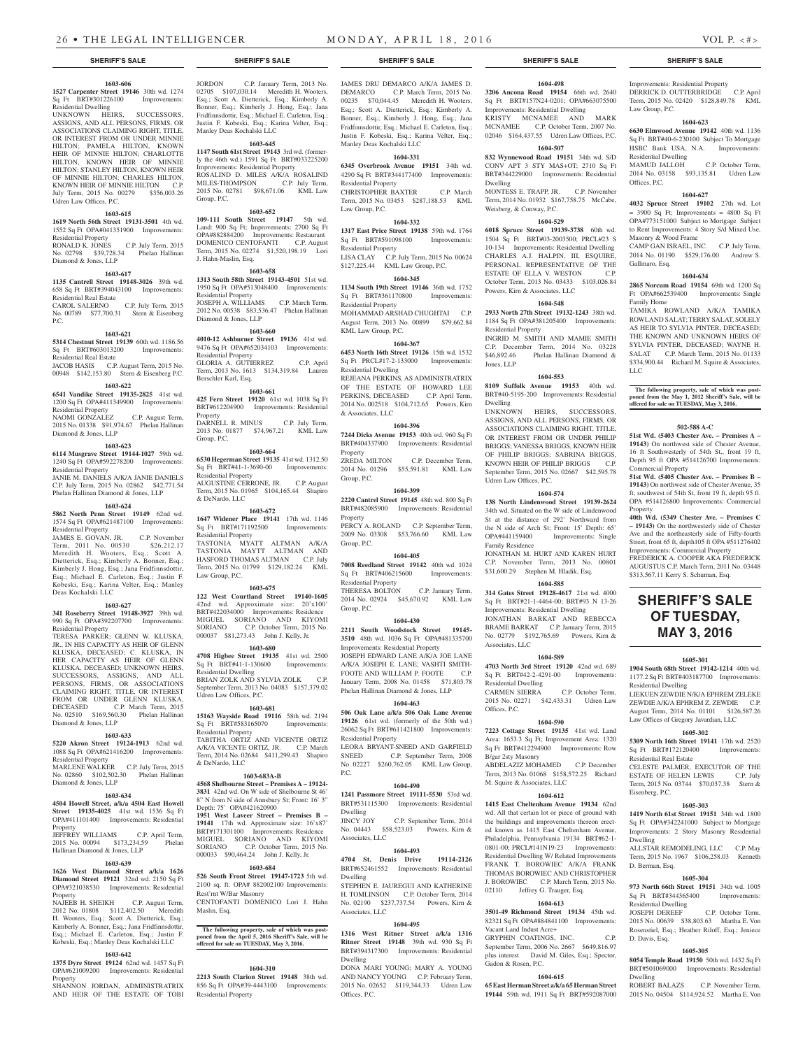#### **1603-606 1527 Carpenter Street 19146** 30th wd. 1274

Sq Ft BRT#301226100 Improvements: Residential Dwelling UNKNOWN HEIRS, SUCCESSORS,

#### ASSIGNS, AND ALL PERSONS, FIRMS, OR ASSOCIATIONS CLAIMING RIGHT, TITLE, OR INTEREST FROM OR UNDER MINNIE HILTON; PAMELA HILTON, KNOWN HEIR OF MINNIE HILTON; CHARLOTTE HILTON, KNOWN HEIR OF MINNIE HILTON; STANLEY HILTON, KNOWN HEIR OF MINNIE HILTON; CHARLES HILTON, KNOWN HEIR OF MINNIE HILTON C.P. July Term, 2015 No. 00279 \$356,003.26 Udren Law Offices, P.C.

## **1603-615**

## **1619 North 56th Street 19131-3501** 4th wd.

1552 Sq Ft OPA#041351900 Improvements: Residential Property RONALD K. JONES C.P. July Term, 2015 No. 02798 \$39,728.34 Phelan Hallinan Diamond & Jones, LLP

#### **1603-617**

**1135 Cantrell Street 19148-3026** 39th wd. 658 Sq Ft BRT#394043100 Improvements: Residential Real Estate CAROL SALERNO C.P. July Term, 2015

No. 00789 \$77,700.31 Stern & Eisenberg P.C.

#### **1603-621**

**5314 Chestnut Street 19139** 60th wd. 1186.56 Sq Ft BRT#603013200 Improvements: Residential Real Estate JACOB HASIS C.P. August Term, 2015 No. 00948 \$142,153.80 Stern & Eisenberg P.C.

#### **1603-622**

**6541 Vandike Street 19135-2825** 41st wd. 1200 Sq Ft OPA#411349900 Improvements: Residential Property

NAOMI GONZALEZ C.P. August Term, 2015 No. 01338 \$91,974.67 Phelan Hallinan Diamond & Jones, LLP

#### **1603-623**

**6114 Musgrave Street 19144-1027** 59th wd. 1240 Sq Ft OPA#592278200 Improvements: Residential Property JANIE M. DANIELS A/K/A JANIE DANIELS C.P. July Term, 2015 No. 02862 \$42,771.54

#### Phelan Hallinan Diamond & Jones, LLP **1603-624**

**5862 North Penn Street 19149** 62nd wd. 1574 Sq Ft OPA#621487100 Improvements: Residential Property

JAMES E. GOVAN, JR. C.P. November Term, 2011 No. 00530 \$26,212.17 Meredith H. Wooters, Esq.; Scott A. Dietterick, Esq.; Kimberly A. Bonner, Esq.; Kimberly J. Hong, Esq.; Jana Fridfinnsdottir, Esq.; Michael E. Carleton, Esq.; Justin F. Kobeski, Esq.; Karina Velter, Esq.; Manley Deas Kochalski LLC

#### **1603-627**

**341 Roseberry Street 19148-3927** 39th wd. 990 Sq Ft OPA#392207700 Improvements: Residential Property

TERESA PARKER; GLENN W. KLUSKA, JR., IN HIS CAPACITY AS HEIR OF GLENN KLUSKA, DECEASED; C. KLUSKA, IN HER CAPACITY AS HEIR OF GLENN KLUSKA, DECEASED; UNKNOWN HEIRS, SUCCESSORS, ASSIGNS, AND ALL PERSONS, FIRMS, OR ASSOCIATIONS CLAIMING RIGHT, TITLE, OR INTEREST FROM OR UNDER GLENN KLUSKA,<br>DECEASED C.P. March Term. 2015 C.P. March Term, 2015 No. 02510 \$169,560.30 Phelan Hallinan Diamond & Jones, LLP

#### **1603-633**

**5220 Akron Street 19124-1913** 62nd wd. 1088 Sq Ft OPA#621416200 Improvements: Residential Property

MARLENE WALKER C.P. July Term, 2015 No. 02860 \$102,502.30 Phelan Hallinan Diamond & Jones, LLP

## **1603-634**

**4504 Howell Street, a/k/a 4504 East Howell Street 19135-4025** 41st wd. 1536 Sq Ft OPA#411101400 Improvements: Residential Property JEFFREY WILLIAMS C.P. April Term,

2015 No. 00094 \$173,234.59 Phelan Hallinan Diamond & Jones, LLP

## **1603-639**

**1626 West Diamond Diamond Street 19121** 32nd wd. 2150 Sq Ft OPA#321038530 Improvements: Residential

Property<br>NAJEEB H. SHEIKH NAJEEB H. SHEIKH C.P. August Term, 2012 No. 01808 \$112,402.50 Meredith H. Wooters, Esq.; Scott A. Dietterick, Esq.; Kimberly A. Bonner, Esq.; Jana Fridfinnsdottir, Esq.; Michael E. Carleton, Esq.; Justin F. Kobeski, Esq.; Manley Deas Kochalski LLC

#### **1603-642**

**1375 Dyre Street 19124** 62nd wd. 1457 Sq Ft OPA#621009200 Improvements: Residential Property SHANNON JORDAN, ADMINISTRATRIX AND HEIR OF THE ESTATE OF TOBI

JORDON C.P. January Term, 2013 No. 02705 \$107,030.14 Meredith H. Wooters, Esq.; Scott A. Dietterick, Esq.; Kimberly A. Bonner, Esq.; Kimberly J. Hong, Esq.; Jana Fridfinnsdottir, Esq.; Michael E. Carleton, Esq.; Justin F. Kobeski, Esq.; Karina Velter, Esq.; Manley Deas Kochalski LLC

**1603-645 1147 South 61st Street 19143** 3rd wd. (formerly the 46th wd.) 1591 Sq Ft BRT#033225200 Improvements: Residential Property ROSALIND D. MILES A/K/A ROSALIND<br>MILES-THOMPSON C.P. July Term, MILES-THOMPSON 2015 No. 02781 \$98,671.06 KML Law

Group, P.C.

#### **1603-652**

**109-111 South Street 19147** 5th wd. Land: 900 Sq Ft; Improvements: 2700 Sq Ft OPA#882884200 Improvements: Restaurant DOMENICO CENTOFANTI C.P. August Term, 2015 No. 02274 \$1,520,198.19 Lori J. Hahn-Maslin, Esq.

#### **1603-658**

**1313 South 58th Street 19143-4501** 51st wd. 1950 Sq Ft OPA#513048400 Improvements: Residential Property JOSEPH A. WILLIAMS C.P. March Term, 2012 No. 00538 \$83,536.47 Phelan Hallinan Diamond & Jones, LLP

## **1603-660**

**4010-12 Ashburner Street 19136** 41st wd. 9476 Sq Ft OPA#652034103 Improvements: Residential Property GLORIA A. GUTIERREZ C.P. April Term, 2013 No. 1613 \$134,319.84 Lauren Berschler Karl, Esq.

#### **1603-661**

**425 Fern Street 19120** 61st wd. 1038 Sq Ft BRT#612204900 Improvements: Residential **Property** DARNELL R. MINUS C.P. July Term, 2013 No. 01877 \$74,967.21 KML Law Group, P.C.

#### **1603-664**

**6530 Hegerman Street 19135** 41st wd. 1312.50 Sq Ft BRT#41-1-3690-00 Improvements: Residential Property AUGUSTINE CERRONE, JR. C.P. August Term, 2015 No. 01965 \$104,165.44 Shapiro & DeNardo, LLC

**1603-672**

**1647 Widener Place 19141** 17th wd. 1146 Sq Ft BRT#171192500 Improvements: Residential Property TASTONIA MYATT ALTMAN A/K/A MAYTT ALTMAN AND HASFORD THOMAS ALTMAN C.P. July Term, 2015 No. 01799 \$129,182.24 KML Law Group, P.C.

#### **1603-675**

**122 West Courtland Street 19140-1605**  42nd wd. Approximate size: 20'x100' BRT#422034000 Improvements: Residence MIGUEL SORIANO AND KIYOMI SORIANO C.P. October Term, 2015 No. 000037 \$81,273.43 John J. Kelly, Jr.

#### **1603-680**

**4708 Higbee Street 19135** 41st wd. 2500<br>Sq Ft BRT#41-1-130600 Improvements:  $Sq$  Ft BRT#41-1-130600 Residential Dwelling BRIAN ZOLK AND SYLVIA ZOLK C.P. September Term, 2013 No. 04083 \$157,379.02 Udren Law Offices, P.C.

## **1603-681**

**15163 Wayside Road 19116** 58th wd. 2194 Sq Ft BRT#583165070 Improvements: Residential Property TABITHA ORTIZ AND VICENTE ORTIZ A/K/A VICENTE ORTIZ, JR. C.P. March Term, 2014 No. 02684 \$411,299.43 Shapiro & DeNardo, LLC

## **1603-683A-B**

**4568 Shelbourne Street – Premises A – 19124- 3831** 42nd wd. On W side of Shelbourne St 46' 8" N from N side of Annsbury St; Front: 16' 3" Depth: 75' OPA#421620900 **1951 West Laveer Street – Premises B – 19141** 17th wd. Approximate size: 16'x87' BRT#171301100 Improvements: Residence

MIGUEL SORIANO AND KIYOMI C.P. October Term, 2015 No. 000033 \$90,464.24 John J. Kelly, Jr. **1603-684**

**526 South Front Street 19147-1723** 5th wd. 2100 sq. ft. OPA# 882002100 Improvements: Rest'rnt W/Bar Masonry CENTOFANTI DOMENICO Lori J. Hahn

Maslin, Esq. **The following property, sale of which was postponed from the April 5, 2016 Sheriff's Sale, will be** 

## **1604-310**

**offered for sale on TUESDAY, May 3, 2016.**

**2213 South Clarion Street 19148** 38th wd. 856 Sq Ft OPA#39-4443100 Improvements: Residential Property

### **SHERIFF'S SALE SHERIFF'S SALE SHERIFF'S SALE SHERIFF'S SALE SHERIFF'S SALE**

JAMES DRU DEMARCO A/K/A JAMES D. DEMARCO C.P. March Term, 2015 No. 00235 \$70,044.45 Meredith H. Wooters, Esq.; Scott A. Dietterick, Esq.; Kimberly A. Bonner, Esq.; Kimberly J. Hong, Esq.; Jana Fridfinnsdottir, Esq.; Michael E. Carleton, Esq.; Justin F. Kobeski, Esq.; Karina Velter, Esq.; Manley Deas Kochalski LLC

**1604-498 3206 Ancona Road 19154** 66th wd. 2640 Sq Ft BRT#157N24-0201; OPA#663075500 Improvements: Residential Dwelling KRISTY MCNAMEE AND MARK MCNAMEE C.P. October Term, 2007 No. 02046 \$164,437.55 Udren Law Offices, P.C. **1604-507 832 Wynnewood Road 19151** 34th wd. S/D CONV APT 3 STY MAS+OT; 2710 Sq Ft BRT#344229000 Improvements: Residential

Improvements: Residential Property DERRICK D. OUTTERBRIDGE C.P. April Term, 2015 No. 02420 \$128,849.78 KML

HSBC Bank USA, N.A. Residential Dwelling

Masonry & Wood Frame

Gallinaro, Esq.

Family Home

LLC

Commercial Property

Property

**1604-623 6630 Elmwood Avenue 19142** 40th wd. 1136 Sq Ft BRT#40-6-230100 Subject To Mortgage<br>HSBC Bank USA, N.A. Improvements:

MAMUD JALLOH C.P. October Term, 2014 No. 03158 \$93,135.81 Udren Law

**1604-627 4032 Spruce Street 19102** 27th wd. Lot = 3900 Sq Ft; Improvements = 4800 Sq Ft OPA#773151000 Subject to Mortgage Subject to Rent Improvements: 4 Story S/d Mixed Use,

CAMP GAN ISRAEL, INC. C.P. July Term, 2014 No. 01190 \$529,176.00 Andrew S.

**1604-634 2865 Norcum Road 19154** 69th wd. 1200 Sq Ft OPA#662539400 Improvements: Single

TAMIKA ROWLAND A/K/A TAMIKA ROWLAND SALAT; TERRY SALAT, SOLELY AS HEIR TO SYLVIA PINTER, DECEASED; THE KNOWN AND UNKNOWN HEIRS OF SYLVIA PINTER, DECEASED; WAYNE H. SALAT C.P. March Term, 2015 No. 01133 \$334,900.44 Richard M. Squire & Associates,

**The following property, sale of which was post-poned from the May 1, 2012 Sheriff's Sale, will be offered for sale on TUESDAY, May 3, 2016.**

**502-588 A-C 51st Wd. (5403 Chester Ave. – Premises A – 19143)** On northwest side of Chester Avenue, 16 ft Southwesterly of 54th St., front 19 ft, Depth 95 ft OPA #514126700 Improvements:

**51st Wd. (5405 Chester Ave. – Premises B – 19143)** On northwest side of Chester Avenue, 35 ft, southwest of 54th St, front 19 ft, depth 95 ft. OPA #514126800 Improvements: Commercial

**40th Wd. (5349 Chester Ave. – Premises C – 19143)** On the northwesterly side of Chester Ave and the northeasterly side of Fifty-fourth Street, front 65 ft, depth105 ft OPA #511276402 Improvements: Commercial Property FREDERICK A. COOPER AKA FREDERICK AUGUSTUS C.P. March Term, 2011 No. 03448 \$313,567.11 Kerry S. Schuman, Esq.

**SHERIFF'S SALE OF TUESDAY, MAY 3, 2016**

**1605-301 1904 South 68th Street 19142-1214** 40th wd. 1177.2 Sq Ft BRT#403187700 Improvements:

LIEKUEN ZEWDIE N/K/A EPHREM ZELEKE ZEWDIE A/K/A EPHREM Z. ZEWDIE C.P. August Term, 2014 No. 01101 \$126,587.26 Law Offices of Gregory Javardian, LLC **1605-302 5309 North 16th Street 19141** 17th wd. 2520 Sq Ft BRT#172120400 Improvements:

CELESTE PALMER, EXECUTOR OF THE<br>ESTATE OF HELEN LEWIS C.P. July

Term, 2015 No. 03744 \$70,037.38 Stern &

**1605-303 1419 North 61st Street 19151** 34th wd. 1800 Sq Ft OPA#342241000 Subject to Mortgage Improvements: 2 Story Masonry Residential

ALLSTAR REMODELING, LLC C.P. May Term, 2015 No. 1967 \$106,258.03 Kenneth

**1605-304 973 North 66th Street 19151** 34th wd. 1005 Sq Ft BRT#344365400 Improvements:

2015 No. 00639 \$38,803.63 Martha E. Von Rosenstiel, Esq.; Heather Riloff, Esq.; Jeniece

**1605-305 8054 Temple Road 19150** 50th wd. 1432 Sq Ft BRT#501069000 Improvements: Residential

ROBERT BALAZS C.P. November Term, 2015 No. 04504 \$114,924.52 Martha E. Von

C.P. October Term,

Residential Dwelling

Residential Real Estate

Eisenberg, P.C.

Dwelling

D. Berman, Esq.

Residential Dwelling<br>IOSEPH DEREEF

D. Davis, Esq.

Dwelling

ESTATE OF HELEN LEWIS

Law Group, P.C.

Offices, P.C.

MONTESS E. TRAPP, JR. C.P. November Term, 2014 No. 01932 \$167,758.75 McCabe,

**1604-529 6018 Spruce Street 19139-3738** 60th wd. 1504 Sq Ft BRT#03-2003500; PRCL#23 S 10-134 Improvements: Residential Dwelling CHARLES A.J. HALPIN, III, ESQUIRE, PERSONAL REPRESENTATIVE OF THE ESTATE OF ELLA V. WESTON C.P. October Term, 2013 No. 03433 \$103,026.84

**1604-548 2933 North 27th Street 19132-1243** 38th wd. 1184 Sq Ft OPA#381205400 Improvements:

INGRID M. SMITH AND MAMIE SMITH C.P. December Term, 2014 No. 03228<br>\$46,892.46 Phelan Hallinan Diamond &

**1604-553 8109 Suffolk Avenue 19153** 40th wd. BRT#40-5195-200 Improvements: Residential

UNKNOWN HEIRS, SUCCESSORS, ASSIGNS, AND ALL PERSONS, FIRMS, OR ASSOCIATIONS CLAIMING RIGHT, TITLE, OR INTEREST FROM OR UNDER PHILIP BRIGGS; VANESSA BRIGGS, KNOWN HEIR OF PHILIP BRIGGS; SABRINA BRIGGS, KNOWN HEIR OF PHILIP BRIGGS C.P. September Term, 2015 No. 02667 \$42,595.78

**1604-574 138 North Lindenwood Street 19139-2624**  34th wd. Situated on the W side of Lindenwood St at the distance of 292' Northward from the N side of Arch St; Front: 15' Depth: 65'<br>OPA#441159400 Improvements: Single

JONATHAN M. HURT AND KAREN HURT C.P. November Term, 2013 No. 00801 \$31,600.29 Stephen M. Hladik, Esq. **1604-585 314 Gates Street 19128-4617** 21st wd. 4000 Sq Ft BRT#21-1-4464-00; BRT#93 N 13-26 Improvements: Residential Dwelling JONATHAN BARKAT AND REBECCA BRAME BARKAT C.P. January Term, 2015 No. 02779 \$192,765.69 Powers, Kirn &

**1604-589 4703 North 3rd Street 19120** 42nd wd. 689 Sq Ft BRT#42-2-4291-00 Improvements:

CARMEN SIERRA C.P. October Term, 2015 No. 02271 \$42,433.31 Udren Law

**1604-590 7223 Cottage Street 19135** 41st wd. Land Area: 1653.3 Sq Ft; Improvement Area: 1320 Sq Ft BRT#412294900 Improvements: Row

ABDELAZIZ MOHAMED C.P. December Term, 2013 No. 01068 \$158,572.25 Richard

**1604-612 1415 East Cheltenham Avenue 19134** 62nd wd. All that certain lot or piece of ground with the buildings and improvements thereon erected known as 1415 East Cheltenham Avenue, Philadelphia, Pennsylvania 19134 BRT#62-1- 0801-00; PRCL#141N19-23 Improvements: Residential Dwelling W/ Related Improvements FRANK T. BOROWIEC A/K/A FRANK THOMAS BOROWIEC AND CHRISTOPHER J. BOROWIEC C.P. March Term, 2015 No. 02110 Jeffrey G. Trauger, Esq.

**1604-613 3501-49 Richmond Street 19134** 45th wd. 82321 Sq Ft OPA#884841100 Improvements:

GRYPHIN COATINGS, INC. C.P. September Term, 2006 No. 2667 \$649,816.97 plus interest David M. Giles, Esq.; Spector,

**1604-615 65 East Herman Street a/k/a 65 Herman Street 19144** 59th wd. 1911 Sq Ft BRT#592087000

Improvements: Single

Phelan Hallinan Diamond &

Dwelling

Weisberg, & Conway, P.C.

Powers, Kirn & Associates, LLC

Residential Property

Udren Law Offices, P.C.

Family Residence

Associates, LLC

Residential Dwelling

B/gar 2sty Masonry

M. Squire & Associates, LLC

Vacant Land Indust Acre+

Gadon & Rosen, P.C.

Offices, P.C.

Jones, LLP

Dwelling

#### **1604-331**

**6345 Overbrook Avenue 19151** 34th wd. 4290 Sq Ft BRT#344177400 Improvements: Residential Property CHRISTOPHER BAXTER C.P. March

Term, 2015 No. 03453 \$287,188.53 KML Law Group, P.C.

#### **1604-332**

**1317 East Price Street 19138** 59th wd. 1764 Sq Ft BRT#591098100 Improvements: Residential Property LISA CLAY C.P. July Term, 2015 No. 00624

\$127,225.44 KML Law Group, P.C. **1604-345**

**1134 South 19th Street 19146** 36th wd. 1752 Sq Ft BRT#361170800 Improvements: Residential Property

MOHAMMAD ARSHAD CHUGHTAI C.P. August Term, 2013 No. 00899 \$79,662.84 KML Law Group, P.C.

#### **1604-367**

**6453 North 16th Street 19126** 15th wd. 1532 Sq Ft PRCL#17-2-133000 Improvements: Residential Dwelling REJEANA PERKINS, AS ADMINISTRATRIX OF THE ESTATE OF HOWARD LEE

PERKINS, DECEASED C.P. April Term, 2014 No. 002518 \$104,712.65 Powers, Kirn & Associates, LLC **1604-396**

**7244 Dicks Avenue 19153** 40th wd. 960 Sq Ft BRT#404337900 Improvements: Residential Property<br>ZREDA MILTON

C.P. December Term, 2014 No. 01296 \$55,591.81 KML Law Group, P.C.

## **1604-399**

**2220 Cantrel Street 19145** 48th wd. 800 Sq Ft BRT#482085900 Improvements: Residential **Property** 

PERCY A. ROLAND C.P. September Term, 2009 No. 03308 \$53,766.60 KML Law Group, P.C.

## **1604-405**

**7008 Reedland Street 19142** 40th wd. 1024 Sq Ft BRT#406215600 Improvements: Residential Property

THERESA BOLTON C.P. January Term, 2014 No. 02924 \$45,670.92 KML Law Group, P.C.

### **1604-430**

**2211 South Woodstock Street 19145- 3510** 48th wd. 1036 Sq Ft OPA#481335700

Improvements: Residential Property JOSEPH EDWARD LANE A/K/A JOE LANE A/K/A JOSEPH E. LANE; VASHTI SMITH-FOOTE AND WILLIAM P. FOOTE C.P. January Term, 2008 No. 01458 \$71,803.78 Phelan Hallinan Diamond & Jones, LLP

#### **1604-463**

**506 Oak Lane a/k/a 506 Oak Lane Avenue 19126** 61st wd. (formerly of the 50th wd.) 26062 Sq Ft BRT#611421800 Improvements: Residential Property LEORA BRYANT-SNEED AND GARFIELD

SNEED C.P. September Term, 2008 No. 02227 \$260,762.05 KML Law Group, P.C.

## **1604-490**

**1241 Passmore Street 19111-5530** 53rd wd. BRT#531115300 Improvements: Residential Dwelling JINCY JOY C.P. September Term, 2014 No. 04443 \$58,523.03 Powers, Kirn & Associates, LLC

#### **1604-493**

**4704 St. Denis Drive 19114-2126**  BRT#652461552 Improvements: Residential Dwelling

STEPHEN E. JAUREGUI AND KATHERINE H. TOMLINSON C.P. October Term, 2014 No. 02190 \$237,737.54 Powers, Kirn & Associates, LLC

#### **1604-495**

**1316 West Ritner Street a/k/a 1316 Ritner Street 19148** 39th wd. 930 Sq Ft BRT#394317300 Improvements: Residential Dwelling

DONA MARI YOUNG; MARY A. YOUNG AND NANCY YOUNG C.P. February Term, 2015 No. 02652 \$119,344.33 Udren Law Offices, P.C.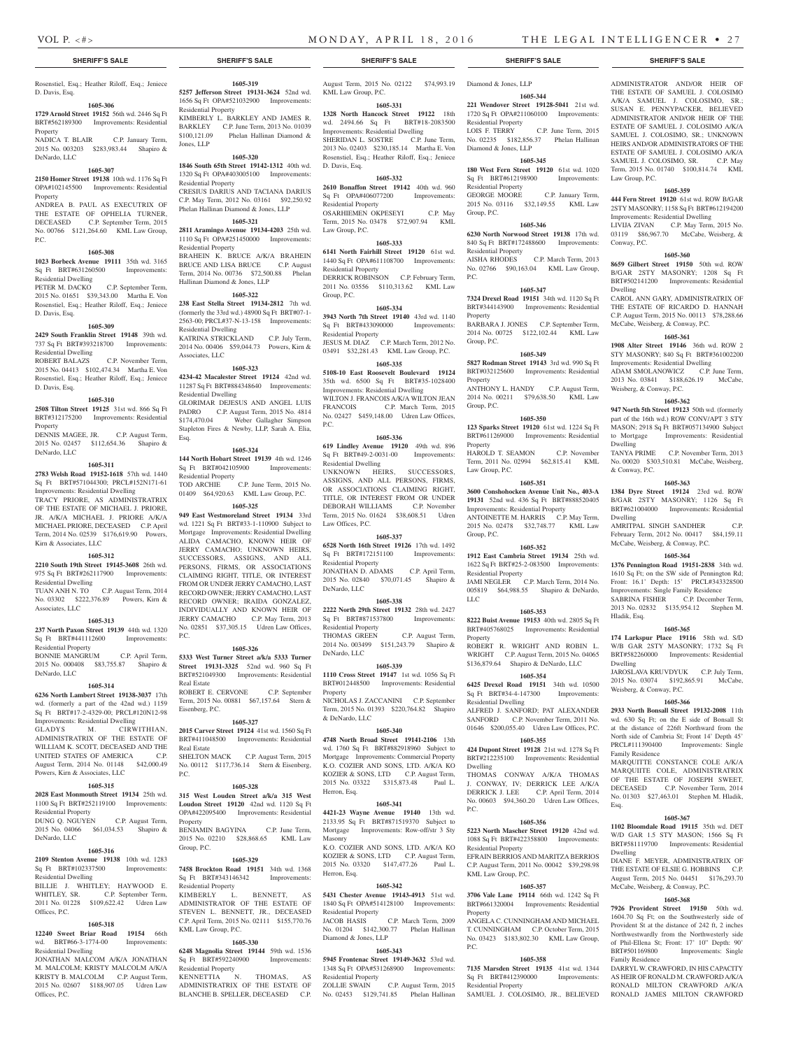Law Group, P.C.

Conway, P.C.

Dwelling

Dwelling

Dwelling

Hladik, Esq.

Dwelling

Weisberg, & Conway, P.C.

Family Residence

Esq.

Dwelling

Family Residence

& Conway, P.C.

Weisberg, & Conway, P.C.

ADMINISTRATOR AND/OR HEIR OF THE ESTATE OF SAMUEL J. COLOSIMO A/K/A SAMUEL J. COLOSIMO, SR.; SUSAN E. PENNYPACKER, BELIEVED ADMINISTRATOR AND/OR HEIR OF THE ESTATE OF SAMUEL J. COLOSIMO A/K/A SAMUEL J. COLOSIMO, SR.; UNKNOWN HEIRS AND/OR ADMINISTRATORS OF THE ESTATE OF SAMUEL J. COLOSIMO A/K/A SAMUEL J. COLOSIMO, SR. C.P. May Term, 2015 No. 01740 \$100,814.74 KML

**1605-359 444 Fern Street 19120** 61st wd. ROW B/GAR 2STY MASONRY; 1158 Sq Ft BRT#612194200 Improvements: Residential Dwelling LIVIJA ZIVAN C.P. May Term, 2015 No. 03119 \$86,967.70 McCabe, Weisberg, &

**1605-360 8659 Gilbert Street 19150** 50th wd. ROW B/GAR 2STY MASONRY; 1208 Sq Ft BRT#502141200 Improvements: Residential

CAROL ANN GARY, ADMINISTRATRIX OF THE ESTATE OF RICARDO D. HANNAH C.P. August Term, 2015 No. 00113 \$78,288.66 McCabe, Weisberg, & Conway, P.C. **1605-361 1908 Alter Street 19146** 36th wd. ROW 2 STY MASONRY; 840 Sq Ft BRT#361002200 Improvements: Residential Dwelling ADAM SMOLANOWICZ C.P. June Term, 2013 No. 03841 \$188,626.19 McCabe,

**1605-362 947 North 5th Street 19123** 50th wd. (formerly part of the 16th wd.) ROW CONV/APT 3 STY MASON; 2918 Sq Ft BRT#057134900 Subject to Mortgage Improvements: Residential

TANYA PRIME C.P. November Term, 2013 No. 00020 \$303,510.81 McCabe, Weisberg,

**1605-363 1384 Dyre Street 19124** 23rd wd. ROW B/GAR 2STY MASONRY; 1126 Sq Ft BRT#621004000 Improvements: Residential

AMRITPAL SINGH SANDHER C.P. February Term, 2012 No. 00417 \$84,159.11 McCabe, Weisberg, & Conway, P.C. **1605-364 1376 Pennington Road 19151-2838** 34th wd. 1610 Sq Ft; on the SW side of Pennington Rd; Front: 16.1' Depth: 15' PRCL#343328500 Improvements: Single Family Residence SABRINA FISHER C.P. December Term, 2013 No. 02832 \$135,954.12 Stephen M.

**1605-365 174 Larkspur Place 19116** 58th wd. S/D W/B GAR 2STY MASONRY; 1732 Sq Ft BRT#582260000 Improvements: Residential

JAROSLAVA KRUVDYUK C.P. July Term, 2015 No. 03074 \$192,865.91 McCabe,

**1605-366 2933 North Bonsall Street 19132-2008** 11th wd. 630 Sq Ft; on the E side of Bonsall St at the distance of 226ft Northward from the North side of Cambria St; Front 14' Depth 45' PRCL#111390400 Improvements: Single

MARQUITTE CONSTANCE COLE A/K/A MARQUIITE COLE, ADMINISTRATRIX OF THE ESTATE OF JOSEPH SWEET, DECEASED C.P. November Term, 2014 No. 01303 \$27,463.01 Stephen M. Hladik,

**1605-367 1102 Bloomdale Road 19115** 35th wd. DET W/D GAR 1.5 STY MASON; 1566 Sq Ft BRT#581119700 Improvements: Residential

DIANE F. MEYER, ADMINISTRATRIX OF THE ESTATE OF ELSIE G. HOBBINS C.P. August Term, 2015 No. 04451 \$176,293.70

DARRYL W. CRAWFORD, IN HIS CAPACITY AS HEIR OF RONALD M. CRAWFORD A/K/A RONALD MILTON CRAWFORD A/K/A RONALD JAMES MILTON CRAWFORD

Improvements: Single

McCabe, Weisberg, & Conway, P.C. **1605-368 7926 Provident Street 19150** 50th wd. 1604.70 Sq Ft; on the Southwesterly side of Provident St at the distance of 242 ft, 2 inches Northwestwardly from the Northwesterly side of Phil-Ellena St; Front: 17' 10" Depth: 90'<br>BRT#501169800 Improvements: Single

**1605-344 221 Wendover Street 19128-5041** 21st wd. 1720 Sq Ft OPA#211060100 Improvements:

No. 02235 \$182,856.37 Phelan Hallinan

**1605-345 180 West Fern Street 19120** 61st wd. 1020 Sq Ft BRT#612198900 Improvements:

GEORGE MOORE C.P. January Term, 2015 No. 03116 \$32,149.55 KML Law

**1605-346 6230 North Norwood Street 19138** 17th wd. 840 Sq Ft BRT#172488600 Improvements:

No. 02766 \$90,163.04 KML Law Group,

**1605-347 7324 Drexel Road 19151** 34th wd. 1120 Sq Ft BRT#344143900 Improvements: Residential

BARBARA J. JONES C.P. September Term, 2014 No. 00725 \$122,102.44 KML Law

**1605-349 5827 Rodman Street 19143** 3rd wd. 990 Sq Ft BRT#032125600 Improvements: Residential

ANTHONY L. HANDY C.P. August Term, 2014 No. 00211 \$79,638.50 KML Law

**1605-350 123 Sparks Street 19120** 61st wd. 1224 Sq Ft BRT#611269000 Improvements: Residential

HAROLD T. SEAMON C.P. November Term, 2011 No. 02994 \$62,815.41 KML

**1605-351 3600 Conshohocken Avenue Unit No., 403-A 19131** 52nd wd. 436 Sq Ft BRT#888520405 Improvements: Residential Property ANTOINETTE M. HARRIS C.P. May Term, 2015 No. 02478 \$32,748.77 KML Law

**1605-352 1912 East Cambria Street 19134** 25th wd. 1622 Sq Ft BRT#25-2-083500 Improvements:

JAMI NEGLER C.P. March Term, 2014 No. 005819 \$64,988.55 Shapiro & DeNardo,

**1605-353 8222 Buist Avenue 19153** 40th wd. 2805 Sq Ft BRT#405768025 Improvements: Residential

ROBERT R. WRIGHT AND ROBIN L. WRIGHT C.P. August Term, 2015 No. 04065 \$136,879.64 Shapiro & DeNardo, LLC **1605-354 6425 Drexel Road 19151** 34th wd. 10500 Sq Ft BRT#34-4-147300 Improvements:

ALFRED J. SANFORD; PAT ALEXANDER SANFORD C.P. November Term, 2011 No. 01646 \$200,055.40 Udren Law Offices, P.C. **1605-355 424 Dupont Street 19128** 21st wd. 1278 Sq Ft BRT#212235100 Improvements: Residential

THOMAS CONWAY A/K/A THOMAS J. CONWAY, IV; DERRICK LEE A/K/A DERRICK J. LEE C.P. April Term, 2014 No. 00603 \$94,360.20 Udren Law Offices,

**1605-356 5223 North Mascher Street 19120** 42nd wd. 1088 Sq Ft BRT#422358800 Improvements:

EFRAIN BERRIOS AND MARITZA BERRIOS C.P. August Term, 2011 No. 00042 \$39,298.98

**1605-357 3706 Vale Lane 19114** 66th wd. 1242 Sq Ft BRT#661320004 Improvements: Residential

ANGELA C. CUNNINGHAM AND MICHAEL T. CUNNINGHAM C.P. October Term, 2015 No. 03423 \$183,802.30 KML Law Group,

**1605-358 7135 Marsden Street 19135** 41st wd. 1344 Sq Ft BRT#412390000 Improvements:

SAMUEL J. COLOSIMO, JR., BELIEVED

C.P. June Term, 2015

C.P. March Term, 2013

Residential Property<br>LOIS F. TERRY

Diamond & Jones, LLP

Residential Property

Residential Property<br>AISHA RHODES

Group, P.C.

P.C.

Property

Group, P.C.

Property

Group, P.C.

Property

Law Group, P.C.

Group, P.C.

LLC

Property

Dwelling

P.C.

Residential Property

KML Law Group, P.C.

Residential Property

Property

P.C.

Residential Property

Residential Dwelling

#### **SHERIFF'S SALE SHERIFF'S SALE SHERIFF'S SALE SHERIFF'S SALE SHERIFF'S SALE**

Rosenstiel, Esq.; Heather Riloff, Esq.; Jeniece D. Davis, Esq.

## **1605-306**

**1729 Arnold Street 19152** 56th wd. 2446 Sq Ft BRT#562189300 Improvements: Residential Property NADICA T. BLAIR C.P. January Term, 2015 No. 003203 \$283,983.44 Shapiro &

## DeNardo, LLC **1605-307**

## **2150 Homer Street 19138** 10th wd. 1176 Sq Ft

OPA#102145500 Improvements: Residential Property

ANDREA B. PAUL AS EXECUTRIX OF THE ESTATE OF OPHELIA TURNER, DECEASED C.P. September Term, 2015 No. 00766 \$121,264.60 KML Law Group, P.C.

#### **1605-308**

#### **1023 Borbeck Avenue 19111** 35th wd. 3165 Sq Ft BRT#631260500 Improvements:

Residential Dwelling PETER M. DACKO C.P. September Term, 2015 No. 01651 \$39,343.00 Martha E. Von Rosenstiel, Esq.; Heather Riloff, Esq.; Jeniece D. Davis, Esq.

#### **1605-309**

**2429 South Franklin Street 19148** 39th wd. 737 Sq Ft BRT#393218700 Improvements: Residential Dwelling C.P. November Term, 2015 No. 04413 \$102,474.34 Martha E. Von Rosenstiel, Esq.; Heather Riloff, Esq.; Jeniece

## D. Davis, Esq. **1605-310**

**2508 Tilton Street 19125** 31st wd. 866 Sq Ft BRT#312175200 Improvements: Residential **Property** 

DENNIS MAGEE, JR. C.P. August Term, 2015 No. 02457 \$112,654.36 Shapiro & DeNardo, LLC

#### **1605-311**

**2783 Welsh Road 19152-1618** 57th wd. 1440 Sq Ft BRT#571044300; PRCL#152N171-61 Improvements: Residential Dwelling

TRACY PRIORE, AS ADMINISTRATRIX OF THE ESTATE OF MICHAEL I. PRIORE JR. A/K/A MICHAEL J. PRIORE A/K/A MICHAEL PRIORE, DECEASED C.P. April Term, 2014 No. 02539 \$176,619.90 Powers, Kirn & Associates, LLC

#### **1605-312**

**2210 South 19th Street 19145-3608** 26th wd. 975 Sq Ft BRT#262117900 Improvements: Residential Dwelling

TUAN ANH N. TO C.P. August Term, 2014 No. 03302 \$222,376.89 Powers, Kirn & Associates, LLC

#### **1605-313**

**237 North Paxon Street 19139** 44th wd. 1320 Sq Ft BRT#441112600 Improvements: Residential Property

BONNIE MANGRUM C.P. April Term, 2015 No. 000408 \$83,755.87 Shapiro & DeNardo, LLC

#### **1605-314**

**6236 North Lambert Street 19138-3037** 17th wd. (formerly a part of the 42nd wd.) 1159 Sq Ft BRT#17-2-4329-00; PRCL#120N12-98 Improvements: Residential Dwelling

#### GLADYS M. CIRWITHIAN, ADMINISTRATRIX OF THE ESTATE OF WILLIAM K. SCOTT, DECEASED AND THE UNITED STATES OF AMERICA C.P. August Term, 2014 No. 01148 \$42,000.49 Powers, Kirn & Associates, LLC

#### **1605-315**

**2028 East Monmouth Street 19134** 25th wd. 1100 Sq Ft BRT#252119100 Improvements: Residential Property DUNG Q. NGUYEN C.P. August Term,

2015 No. 04066 \$61,034.53 Shapiro & DeNardo, LLC

#### **1605-316 2109 Stenton Avenue 19138** 10th wd. 1283

Sq Ft BRT#102337500 Improvements: Residential Dwelling

#### BILLIE J. WHITLEY; HAYWOOD E.<br>WHITLEY, SR. C.P. September Term, C.P. September Term, 2011 No. 01228 \$109,622.42 Udren Law Offices, P.C.

#### **1605-318**

**12240 Sweet Briar Road 19154** 66th wd. BRT#66-3-1774-00 Improvements: Residential Dwelling

JONATHAN MALCOM A/K/A JONATHAN M. MALCOLM; KRISTY MALCOLM A/K/A KRISTY B. MALCOLM C.P. August Term, 2015 No. 02607 \$188,907.05 Udren Law Offices, P.C.

**1605-319 5257 Jefferson Street 19131-3624** 52nd wd.

1656 Sq Ft OPA#521032900 Improvements: Residential Property KIMBERLY L. BARKLEY AND JAMES R. BARKLEY C.P. June Term, 2013 No. 01039 \$100,121.09 Phelan Hallinan Diamond &

Jones, LLP **1605-320 1846 South 65th Street 19142-1312** 40th wd.

#### 1320 Sq Ft OPA#403005100 Improvements: Residential Property CRESIUS DARIUS AND TACIANA DARIUS C.P. May Term, 2012 No. 03161 \$92,250.92 Phelan Hallinan Diamond & Jones, LLP

#### **1605-321**

**2811 Aramingo Avenue 19134-4203** 25th wd. 1110 Sq Ft OPA#251450000 Improvements: Residential Property BRAHEIN K. BRUCE A/K/A BRAHEIN BRUCE AND LISA BRUCE C.P. August Term, 2014 No. 00736 \$72,500.88 Phelan Hallinan Diamond & Jones, LLP

#### **1605-322**

**238 East Stella Street 19134-2812** 7th wd. (formerly the 33rd wd.) 48900 Sq Ft BRT#07-1- 2563-00; PRCL#37-N-13-158 Improvements: Residential Dwelling KATRINA STRICKLAND C.P. July Term, 2014 No. 00406 \$59,044.73 Powers, Kirn & Associates, LLC

#### **1605-323**

**4234-42 Macalester Street 19124** 42nd wd. 11287 Sq Ft BRT#884348640 Improvements: Residential Dwelling

GLORIMAR DEJESUS AND ANGEL LUIS PADRO C.P. August Term, 2015 No. 4814<br>\$174.470.04 Weber Gallagher Simpson Weber Gallagher Simpson Stapleton Fires & Newby, LLP, Sarah A. Elia, Esq.

#### **1605-324**

**144 North Hobart Street 19139** 4th wd. 1246 Sq Ft BRT#042105900 Improvements:

Residential Property<br>TOD ARCHIE  $C.P.$  June Term, 2015 No. 01409 \$64,920.63 KML Law Group, P.C.

## **1605-325**

**949 East Westmoreland Street 19134** 33rd wd. 1221 Sq Ft BRT#33-1-110900 Subject to Mortgage Improvements: Residential Dwelling ALIDA CAMACHO, KNOWN HEIR OF JERRY CAMACHO; UNKNOWN HEIRS, SUCCESSORS, ASSIGNS, AND ALL PERSONS, FIRMS, OR ASSOCIATIONS CLAIMING RIGHT, TITLE, OR INTEREST FROM OR UNDER JERRY CAMACHO, LAST RECORD OWNER; JERRY CAMACHO, LAST RECORD OWNER; IRAIDA GONZALEZ, INDIVIDUALLY AND KNOWN HEIR OF JERRY CAMACHO C.P. May Term, 2013 No. 02851 \$37,305.15 Udren Law Offices, P.C.

#### **1605-326**

**5333 West Turner Street a/k/a 5333 Turner Street 19131-3325** 52nd wd. 960 Sq Ft BRT#521049300 Improvements: Residential

Real Estate ROBERT E. CERVONE C.P. September

Term, 2015 No. 00881 \$67,157.64 Stern &

#### **1605-327**

Eisenberg, P.C.

**2015 Carver Street 19124** 41st wd. 1560 Sq Ft BRT#411048500 Improvements: Residential Real Estate SHELTON MACK C.P. August Term, 2015

No. 00112 \$117,736.14 Stern & Eisenberg,  $PC<sub>c</sub>$ 

## **1605-328**

**315 West Louden Street a/k/a 315 West Loudon Street 19120** 42nd wd. 1120 Sq Ft OPA#422095400 Improvements: Residential Property BENJAMIN BAGYINA C.P. June Term, 2015 No. 02210 \$28,868.65 KML Law

Group, P.C. **1605-329**

#### **7458 Brockton Road 19151** 34th wd. 1368 Sq Ft BRT#343146342 Improvements: Residential Property

KIMBERLY L. BENNETT, AS ADMINISTRATOR OF THE ESTATE OF STEVEN L. BENNETT, JR., DECEASED C.P. April Term, 2015 No. 02111 \$155,770.76 KML Law Group, P.C.

#### **1605-330**

**6248 Magnolia Street 19144** 59th wd. 1536 Sq Ft BRT#592240900 Improvements: Residential Property KENNETTIA N. THOMAS, AS

ADMINISTRATRIX OF THE ESTATE OF BLANCHE B. SPELLER, DECEASED C.P.

August Term, 2015 No. 02122 \$74,993.19 Diamond & Jones, LLP KML Law Group, P.C.

## **1605-331**

**1328 North Hancock Street 19122** 18th wd. 2494.66 Sq Ft BRT#18-2083500 Improvements: Residential Dwelling SHERIDAN L. SOSTRE C.P. June Term, 2013 No. 02403 \$230,185.14 Martha E. Von Rosenstiel, Esq.; Heather Riloff, Esq.; Jeniece D. Davis, Esq.

#### **1605-332**

**2610 Bonaffon Street 19142** 40th wd. 960 Sq Ft OPA#406077200 Improvements: Residential Property OSARHIEMEN OKPESEYI C.P. May Term, 2015 No. 03478 \$72,907.94 KML

## **1605-333**

Law Group, P.C.

**6141 North Fairhill Street 19120** 61st wd. 1440 Sq Ft OPA#611108700 Improvements: Residential Property DERRICK ROBINSON C.P. February Term, 2011 No. 03556 \$110,313.62 KML Law Group, P.C.

#### **1605-334**

**3943 North 7th Street 19140** 43rd wd. 1140 Sq Ft BRT#433090000 Improvements: Residential Property JESUS M. DIAZ C.P. March Term, 2012 No. 03491 \$32,281.43 KML Law Group, P.C.

## **1605-335**

**5108-10 East Roosevelt Boulevard 19124**  35th wd. 6500 Sq Ft BRT#35-1028400 Improvements: Residential Dwelling WILTON J. FRANCOIS A/K/A WILTON JEAN FRANCOIS C.P. March Term, 2015 No. 02427 \$459,148.00 Udren Law Offices,  $PC$ 

#### **1605-336**

**619 Lindley Avenue 19120** 49th wd. 896 Sq Ft BRT#49-2-0031-00 Improvements: Residential Dwelling UNKNOWN HEIRS, SUCCESSORS, ASSIGNS, AND ALL PERSONS, FIRMS, OR ASSOCIATIONS CLAIMING RIGHT, TITLE, OR INTEREST FROM OR UNDER DEBORAH WILLIAMS C.P. November

## Term, 2015 No. 01624 \$38,608.51 Udren Law Offices, P.C.

**1605-337 6528 North 16th Street 19126** 17th wd. 1492 Sq Ft BRT#172151100 Improvements: Residential Property JONATHAN D. ADAMS C.P. April Term, 2015 No. 02840 \$70,071.45 Shapiro & DeNardo, LLC

#### **1605-338**

**2222 North 29th Street 19132** 28th wd. 2427 Sq Ft BRT#871537800 Improvements: Residential Property<br>THOMAS GREEN C.P. August Term, 2014 No. 003499 \$151,243.79 Shapiro & DeNardo, LLC

**1605-339**

**1110 Cross Street 19147** 1st wd. 1056 Sq Ft BRT#012448500 Improvements: Residential Property

NICHOLAS J. ZACCANINI C.P. September Term, 2015 No. 01393 \$220,764.82 Shapiro & DeNardo, LLC

#### **1605-340**

**4748 North Broad Street 19141-2106** 13th wd. 1760 Sq Ft BRT#882918960 Subject to Mortgage Improvements: Commercial Property K.O. COZIER AND SONS, LTD. A/K/A KO KOZIER & SONS, LTD C.P. August Term, 2015 No. 03322 \$315,873.48 Paul L. Herron, Esq.

#### **1605-341**

**4421-23 Wayne Avenue 19140** 13th wd. 2133.95 Sq Ft BRT#871519370 Subject to Mortgage Improvements: Row-off/str 3 Sty Masonry K.O. COZIER AND SONS, LTD. A/K/A KO KOZIER & SONS, LTD C.P. August Term,

2015 No. 03320 \$147,477.26 Paul L. Herron, Esq.

## **1605-342**

**5431 Chester Avenue 19143-4913** 51st wd. 1840 Sq Ft OPA#514128100 Improvements: Residential Property JACOB HASIS C.P. March Term, 2009 No. 01204 \$142,300.77 Phelan Hallinan Diamond & Jones, LLP

## **1605-343**

**5945 Frontenac Street 19149-3632** 53rd wd. 1348 Sq Ft OPA#531268900 Improvements: Residential Property<br>ZOLLIE SWAIN C.P. August Term, 2015

No. 02453 \$129,741.85 Phelan Hallinan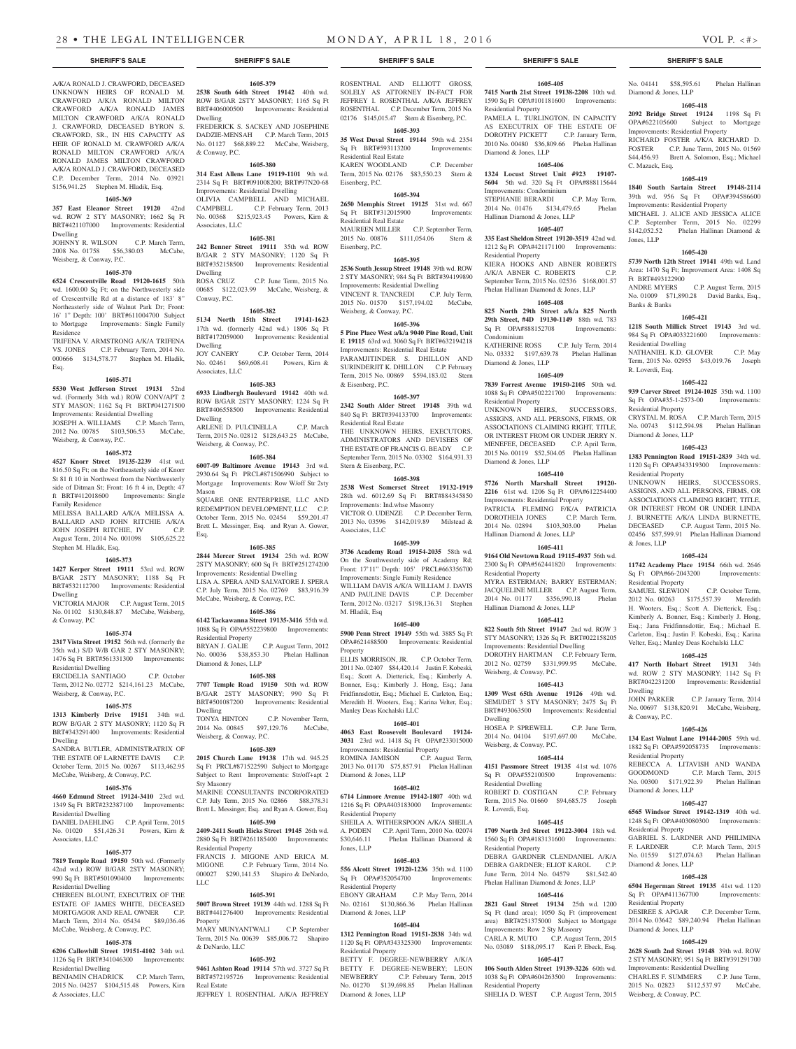A/K/A RONALD J. CRAWFORD, DECEASED UNKNOWN HEIRS OF RONALD M. CRAWFORD A/K/A RONALD MILTON CRAWFORD A/K/A RONALD JAMES MILTON CRAWFORD A/K/A RONALD J. CRAWFORD, DECEASED BYRON S. CRAWFORD, SR., IN HIS CAPACITY AS HEIR OF RONALD M. CRAWFORD A/K/A RONALD MILTON CRAWFORD A/K/A RONALD JAMES MILTON CRAWFORD A/K/A RONALD J. CRAWFORD, DECEASED C.P. December Term, 2014 No. 03921 \$156,941.25 Stephen M. Hladik, Esq. **1605-369 357 East Eleanor Street 19120** 42nd wd. ROW 2 STY MASONRY; 1662 Sq Ft BRT#421107000 Improvements: Residential

JOHNNY R. WILSON C.P. March Term, 2008 No. 01758 \$56,380.03 McCabe,

**1605-370 6524 Crescentville Road 19120-1615** 50th wd. 1600.00 Sq Ft; on the Northwesterly side of Crescentville Rd at a distance of 183' 8" Northeasterly side of Walnut Park Dr; Front: 16' 1" Depth: 100' BRT#611004700 Subject to Mortgage Improvements: Single Family

TRIFENA V. ARMSTRONG A/K/A TRIFENA VS. JONES C.P. February Term, 2014 No. 000666 \$134,578.77 Stephen M. Hladik,

**1605-371 5530 West Jefferson Street 19131** 52nd wd. (Formerly 34th wd.) ROW CONV/APT 2 STY MASON; 1162 Sq Ft BRT#041271500 Improvements: Residential Dwelling JOSEPH A. WILLIAMS C.P. March Term, 2012 No. 00785 \$103,506.53 McCabe,

**1605-372 4527 Knorr Street 19135-2239** 41st wd. 816.50 Sq Ft; on the Northeasterly side of Knorr St 81 ft 10 in Northwest from the Northwesterly side of Ditman St; Front: 16 ft 4 in, Depth: 47 ft BRT#412018600 Improvements: Single

MELISSA BALLARD A/K/A MELISSA A. BALLARD AND JOHN RITCHIE A/K/A JOHN JOSEPH RITCHIE, IV C.P. August Term, 2014 No. 001098 \$105,625.22

**1605-373 1427 Kerper Street 19111** 53rd wd. ROW B/GAR 2STY MASONRY; 1188 Sq Ft BRT#532112700 Improvements: Residential

VICTORIA MAJOR C.P. August Term, 2015 No. 01102 \$130,848.87 McCabe, Weisberg,

**1605-374 2317 Vista Street 19152** 56th wd. (formerly the 35th wd.) S/D W/B GAR 2 STY MASONRY; 1476 Sq Ft BRT#561331300 Improvements:

ERCIDELIA SANTIAGO C.P. October Term, 2012 No. 02772 \$214,161.23 McCabe,

**1605-375 1313 Kimberly Drive 19151** 34th wd. ROW B/GAR 2 STY MASONRY; 1120 Sq Ft BRT#343291400 Improvements: Residential

SANDRA BUTLER, ADMINISTRATRIX OF THE ESTATE OF LARNETTE DAVIS C.P. October Term, 2015 No. 00267 \$113,462.95 McCabe, Weisberg, & Conway, P.C. **1605-376 4660 Edmund Street 19124-3410** 23rd wd. 1349 Sq Ft BRT#232387100 Improvements:

DANIEL DAEHLING C.P. April Term, 2015 No. 01020 \$51,426.31 Powers, Kirn &

**1605-377 7819 Temple Road 19150** 50th wd. (Formerly 42nd wd.) ROW B/GAR 2STY MASONRY; 990 Sq Ft BRT#501090400 Improvements:

CHEREEN BLOUNT, EXECUTRIX OF THE ESTATE OF JAMES WHITE, DECEASED MORTGAGOR AND REAL OWNER C.P. March Term, 2014 No. 05434 \$89,036.46 McCabe, Weisberg, & Conway, P.C. **1605-378 6206 Callowhill Street 19151-4102** 34th wd. 1126 Sq Ft BRT#341046300 Improvements:

BENJAMIN CHADRICK C.P. March Term, 2015 No. 04257 \$104,515.48 Powers, Kirn

Dwelling

Residence

Esq.

Weisberg, & Conway, P.C.

Weisberg, & Conway, P.C.

Family Residence

Dwelling

Dwelling

& Conway, P.C

Residential Dwelling

Residential Dwelling

Residential Dwelling

Residential Dwelling

& Associates, LLC

Associates, LLC

Weisberg, & Conway, P.C.

Stephen M. Hladik, Esq.

**1605-379 2538 South 64th Street 19142** 40th wd. ROW B/GAR 2STY MASONRY; 1165 Sq Ft BRT#406000500 Improvements: Residential Dwelling FREDERICK S. SACKEY AND JOSEPHINE

DADZIE-MENSAH C.P. March Term, 2015 No. 01127 \$68,889.22 McCabe, Weisberg, & Conway, P.C.

**1605-380**

**314 East Allens Lane 19119-1101** 9th wd. 2314 Sq Ft BRT#091008200; BRT#97N20-68 Improvements: Residential Dwelling OLIVIA CAMPBELL AND MICHAEL CAMPBELL C.P. February Term, 2013 No. 00368 \$215,923.45 Powers, Kirn & Associates, LLC

#### **1605-381**

**242 Benner Street 19111** 35th wd. ROW B/GAR 2 STY MASONRY; 1120 Sq Ft BRT#352158500 Improvements: Residential Dwelling<br>ROSA CRUZ C.P. June Term, 2015 No. 00685 \$122,023.99 McCabe, Weisberg, &

**1605-382**

**5134 North 15th Street 19141-1623**  17th wd. (formerly 42nd wd.) 1806 Sq Ft BRT#172059000 Improvements: Residential Dwelling JOY CANERY C.P. October Term, 2014 No. 02461 \$69,608.41 Powers, Kirn & Associates, LLC

Conway, P.C.

**1605-383 6933 Lindbergh Boulevard 19142** 40th wd. ROW B/GAR 2STY MASONRY; 1224 Sq Ft BRT#406558500 Improvements: Residential Dwelling

ARLENE D. PULCINELLA C.P. March Term, 2015 No. 02812 \$128,643.25 McCabe, Weisberg, & Conway, P.C.

## **1605-384**

**6007-09 Baltimore Avenue 19143** 3rd wd. 2930.64 Sq Ft PRCL#871506990 Subject to Mortgage Improvements: Row W/off Str 2sty Mason SQUARE ONE ENTERPRISE, LLC AND

REDEMPTION DEVELOPMENT, LLC C.P. October Term, 2015 No. 02454 \$59,201.47 Brett L. Messinger, Esq. and Ryan A. Gower, Esq.

#### **1605-385**

**2844 Mercer Street 19134** 25th wd. ROW 2STY MASONRY; 600 Sq Ft BRT#251274200 Improvements: Residential Dwelling LISA A. SPERA AND SALVATORE J. SPERA C.P. July Term, 2015 No. 02769 \$83,916.39 McCabe, Weisberg, & Conway, P.C.

#### **1605-386**

**6142 Tackawanna Street 19135-3416** 55th wd. 1088 Sq Ft OPA#552239800 Improvements: Residential Property BRYAN J. GALIE C.P. August Term, 2012 No. 00036 \$38,853.30 Phelan Hallinan Diamond & Jones, LLP

#### **1605-388**

**7707 Temple Road 19150** 50th wd. ROW B/GAR 2STY MASONRY; 990 Sq Ft BRT#501087200 Improvements: Residential Dwelling TONYA HINTON C.P. November Term,

2014 No. 00845 \$97,129.76 McCabe, Weisberg, & Conway, P.C.

## **1605-389**

**2015 Church Lane 19138** 17th wd. 945.25 Sq Ft PRCL#871522590 Subject to Mortgage Subject to Rent Improvements: Str/off+apt 2 Sty Masonry MARINE CONSULTANTS INCORPORATED

C.P. July Term, 2015 No. 02866 \$88,378.31 Brett L. Messinger, Esq. and Ryan A. Gower, Esq.

## **1605-390**

**2409-2411 South Hicks Street 19145** 26th wd. 2880 Sq Ft BRT#261185400 Improvements: Residential Property FRANCIS J. MIGONE AND ERICA M. MIGONE C.P. February Term, 2014 No. 000027 \$290,141.53 Shapiro & DeNardo, LLC

#### **1605-391**

**5007 Brown Street 19139** 44th wd. 1288 Sq Ft BRT#441276400 Improvements: Residential Property MARY MUNYANTWALI C.P. September

Term, 2015 No. 00639 \$85,006.72 Shapiro & DeNardo, LLC **1605-392**

**9461 Ashton Road 19114** 57th wd. 3727 Sq Ft BRT#572195726 Improvements: Residential Real Estate JEFFREY I. ROSENTHAL A/K/A JEFFREY

ROSENTHAL AND ELLIOTT GROSS,

SOLELY AS ATTORNEY IN-FACT FOR JEFFREY I. ROSENTHAL A/K/A JEFFREY ROSENTHAL C.P. December Term, 2015 No. 02176 \$145,015.47 Stern & Eisenberg, P.C.

## **1605-393**

**35 West Duval Street 19144** 59th wd. 2354 Sq Ft BRT#593113200 Improvements: Residential Real Estate

KAREN WOODLAND C.P. December Term, 2015 No. 02176 \$83,550.23 Stern &

## Eisenberg, P.C. **1605-394**

**2650 Memphis Street 19125** 31st wd. 667 Sq Ft BRT#312015900 Improvements: Residential Real Estate

MAUREEN MILLER C.P. September Term, 2015 No. 00876 \$111,054.06 Stern & Eisenberg, P.C.

## **1605-395**

**2536 South Jessup Street 19148** 39th wd. ROW 2 STY MASONRY; 984 Sq Ft BRT#394199890 Improvements: Residential Dwelling VINCENT R. TANCREDI C.P. July Term,

2015 No. 01570 \$157,194.02 McCabe, Weisberg, & Conway, P.C.

## **1605-396**

**5 Pine Place West a/k/a 9040 Pine Road, Unit E 19115** 63rd wd. 3060 Sq Ft BRT#632194218 Improvements: Residential Real Estate PARAMJITINDER S. DHILLON AND SURINDERJIT K. DHILLON C.P. February Term, 2015 No. 00869 \$594,183.02 Stern & Eisenberg, P.C.

#### **1605-397**

**2342 South Alder Street 19148** 39th wd. 840 Sq Ft BRT#394133700 Improvements: Residential Real Estate

THE UNKNOWN HEIRS, EXECUTORS, ADMINISTRATORS AND DEVISEES OF THE ESTATE OF FRANCIS G. BEADY C.P. September Term, 2015 No. 03302 \$164,931.33 Stern & Eisenberg, P.C.

### **1605-398**

**2538 West Somerset Street 19132-1919**  28th wd. 6012.69 Sq Ft BRT#884345850 Improvements: Ind.whse Masonry VICTOR O. UDENZE C.P. December Term, 2013 No. 03596 \$142,019.89 Milstead & Associates, LLC

#### **1605-399**

**3736 Academy Road 19154-2035** 58th wd. On the Southwesterly side of Academy Rd; Front: 17'11" Depth: 105' PRCL#663356700 Improvements: Single Family Residence WILLIAM DAVIS A/K/A WILLIAM J. DAVIS AND PAULINE DAVIS C.P. December Term, 2012 No. 03217 \$198,136.31 Stephen M. Hladik, Esq

#### **1605-400**

**5900 Penn Street 19149** 55th wd. 3885 Sq Ft OPA#621488500 Improvements: Residential Property

ELLIS MORRISON, JR. C.P. October Term, 2011 No. 02407 \$84,420.14 Justin F. Kobeski, Esq.; Scott A. Dietterick, Esq.; Kimberly A. Bonner, Esq.; Kimberly J. Hong, Esq.; Jana Fridfinnsdottir, Esq.; Michael E. Carleton, Esq.; Meredith H. Wooters, Esq.; Karina Velter, Esq.; Manley Deas Kochalski LLC

#### **1605-401**

**4063 East Roosevelt Boulevard 19124- 3031** 23rd wd. 1418 Sq Ft OPA#233015000 Improvements: Residential Property ROMINA JAMISON C.P. August Term, 2013 No. 01170 \$75,857.91 Phelan Hallinan Diamond & Jones, LLP

#### **1605-402**

**6714 Linmore Avenue 19142-1807** 40th wd. 1216 Sq Ft OPA#403183000 Improvements: Residential Property

SHEILA A. WITHERSPOON A/K/A SHEILA A. PODEN C.P. April Term, 2010 No. 02074<br>\$30,646.11 Phelan Hallinan Diamond & Phelan Hallinan Diamond & Jones, LLP

#### **1605-403 556 Alcott Street 19120-1236** 35th wd. 1100

Sq Ft OPA#352054700 Improvements: Residential Property EBONY GRAHAM C.P. May Term, 2014

No. 02161 \$130,866.36 Phelan Hallinan Diamond & Jones, LLP

#### **1605-404**

**1312 Pennington Road 19151-2838** 34th wd. 1120 Sq Ft OPA#343325300 Improvements: Residential Property

BETTY F. DEGREE-NEWBERRY A/K/A BETTY F. DEGREE-NEWBERY; LEON NEWBERRY C.P. February Term, 2015 No. 01270 \$139,698.85 Phelan Hallinan Diamond & Jones, LLP

#### **SHERIFF'S SALE SHERIFF'S SALE SHERIFF'S SALE SHERIFF'S SALE SHERIFF'S SALE**

**1605-405**

**7415 North 21st Street 19138-2208** 10th wd. 1590 Sq Ft OPA#101181600 Improvements: Residential Property PAMELA L. TURLINGTON, IN CAPACITY AS EXECUTRIX OF THE ESTATE OF DOROTHY PICKETT C.P. January Term, 2010 No. 00480 \$36,809.66 Phelan Hallinan Diamond & Jones, LLP

#### **1605-406**

**1324 Locust Street Unit #923 19107- 5604** 5th wd. 320 Sq Ft OPA#888115644 Improvements: Condominium STEPHANIE BERARDI C.P. May Term, 2014 No. 01476 \$134,479.65 Phelan Hallinan Diamond & Jones, LLP

#### **1605-407**

**335 East Sheldon Street 19120-3519** 42nd wd. 1212 Sq Ft OPA#421171100 Improvements: Residential Property KIERA HOOKS AND ABNER ROBERTS A/K/A ABNER C. ROBERTS C.P. September Term, 2015 No. 02536 \$168,001.57

Phelan Hallinan Diamond & Jones, LLP **1605-408**

**825 North 29th Street a/k/a 825 North 29th Street, #4D 19130-1149** 88th wd. 783 Sq Ft OPA#888152708 Improvements: Condominium

KATHERINE ROSS C.P. July Term, 2014 No. 03332 \$197,639.78 Phelan Hallinan Diamond & Jones, LLP

#### **1605-409**

**7839 Forrest Avenue 19150-2105** 50th wd. 1088 Sq Ft OPA#502221700 Improvements: Residential Property UNKNOWN HEIRS, SUCCESSORS, ASSIGNS, AND ALL PERSONS, FIRMS, OR ASSOCIATIONS CLAIMING RIGHT, TITLE OR INTEREST FROM OR UNDER JERRY N.

MENEFEE, DECEASED C.P. April Term, 2015 No. 00119 \$52,504.05 Phelan Hallinan Diamond & Jones, LLP **1605-410**

#### **5726 North Marshall Street 19120-**

**2216** 61st wd. 1206 Sq Ft OPA#612254400 Improvements: Residential Property PATRICIA FLEMING F/K/A PATRICIA DOROTHEIA JONES C.P. March Term, 2014 No. 02894 \$103,303.00 Phelan Hallinan Diamond & Jones, LLP

## **1605-411**

**9164 Old Newtown Road 19115-4937** 56th wd. 2300 Sq Ft OPA#562441820 Improvements: Residential Property MYRA ESTERMAN; BARRY ESTERMAN; JACQUELINE MILLER C.P. August Term, 2014 No. 01177 \$356,990.18 Phelan

## **1605-412**

Hallinan Diamond & Jones, LLP

**822 South 5th Street 19147** 2nd wd. ROW 3 STY MASONRY; 1326 Sq Ft BRT#022158205 Improvements: Residential Dwelling DOROTHY HARTMAN C.P. February Term, 2012 No. 02759 \$331,999.95 McCabe, Weisberg, & Conway, P.C.

#### **1605-413 1309 West 65th Avenue 19126** 49th wd.

SEMI/DET 3 STY MASONRY; 2475 Sq Ft BRT#493063500 Improvements: Residential Dwelling HOSEA P. SPREWELL C.P. June Term,

2014 No. 04104 \$197,697.00 McCabe, Weisberg, & Conway, P.C. **1605-414**

**4151 Passmore Street 19135** 41st wd. 1076 Sq Ft OPA#552100500 Improvements: Residential Dwelling

ROBERT D. COSTIGAN C.P. February Term, 2015 No. 01660 \$94,685.75 Joseph R. Loverdi, Esq.

#### **1605-415**

**1709 North 3rd Street 19122-3004** 18th wd. 1560 Sq Ft OPA#183131600 Improvements: Residential Property DEBRA GARDNER CLENDANIEL A/K/A DEBRA GARDNER; ELIOT KAROL C.P. Term, 2014 No. 04579 \$81.54 Phelan Hallinan Diamond & Jones, LLP

## **1605-416**

**2821 Gaul Street 19134** 25th wd. 1200 Sq Ft (land area); 1050 Sq Ft (improvement area) BRT#251375000 Subject to Mortgage Improvements: Row 2 Sty Masonry CARLA R. MUTO C.P. August Term, 2015 No. 03089 \$188,095.17 Keri P. Ebeck, Esq.

**1605-417 106 South Alden Street 19139-3226** 60th wd. 1038 Sq Ft OPA#604263500 Improvements: Residential Property<br>SHELIA D. WEST C.P. August Term, 2015

No. 04141 \$58,595.61 Phelan Hallinan Diamond & Jones, LLP

#### **1605-418 2092 Bridge Street 19124** 1198 Sq Ft OPA#622105600 Subject to Mortgage

**1605-419 1840 South Sartain Street 19148-2114**  39th wd. 956 Sq Ft OPA#394586600 Improvements: Residential Property MICHAEL J. ALICE AND JESSICA ALICE C.P. September Term, 2015 No. 02299 \$142,052.52 Phelan Hallinan Diamond &

**1605-420 5739 North 12th Street 19141** 49th wd. Land Area: 1470 Sq Ft; Improvement Area: 1408 Sq

ANDRE MYERS C.P. August Term, 2015 No. 01009 \$71,890.28 David Banks, Esq.,

**1605-421 1218 South Millick Street 19143** 3rd wd. 984 Sq Ft OPA#033221600 Improvements:

NATHANIEL K.D. GLOVER C.P. May Term, 2015 No. 02955 \$43,019.76 Joseph

**1605-422 939 Carver Street 19124-1025** 35th wd. 1100 Sq Ft OPA#35-1-2573-00 Improvements:

CRYSTAL M. ROSA C.P. March Term, 2015 No. 00743 \$112,594.98 Phelan Hallinan

**1605-423 1383 Pennington Road 19151-2839** 34th wd. 1120 Sq Ft OPA#343319300 Improvements:

UNKNOWN HEIRS, SUCCESSORS, ASSIGNS, AND ALL PERSONS, FIRMS, OR ASSOCIATIONS CLAIMING RIGHT, TITLE, OR INTEREST FROM OR UNDER LINDA J. BURNETTE A/K/A LINDA BURNETTE, DECEASED C.P. August Term, 2015 No. 02456 \$57,599.91 Phelan Hallinan Diamond

**1605-424 11742 Academy Place 19154** 66th wd. 2646 Sq Ft OPA#66-2043200 Improvements:

SAMUEL SLEWION C.P. October Term, 2012 No. 00263 \$175,557.39 Meredith H. Wooters, Esq.; Scott A. Dietterick, Esq.; Kimberly A. Bonner, Esq.; Kimberly J. Hong, Esq.; Jana Fridfinnsdottir, Esq.; Michael E. Carleton, Esq.; Justin F. Kobeski, Esq.; Karina Velter, Esq.; Manley Deas Kochalski LLC **1605-425 417 North Hobart Street 19131** 34th wd. ROW 2 STY MASONRY; 1142 Sq Ft BRT#042231200 Improvements: Residential

JOHN PARKER C.P. January Term, 2014 No. 00697 \$138,820.91 McCabe, Weisberg,

**1605-426 134 East Walnut Lane 19144-2005** 59th wd. 1882 Sq Ft OPA#592058735 Improvements:

REBECCA A. LITAVISH AND WANDA<br>GOODMOND C.P. March Term. 2015

No. 00300 \$171,922.39 Phelan Hallinan

**1605-427 6565 Windsor Street 19142-1319** 40th wd. 1248 Sq Ft OPA#403080300 Improvements:

GABRIEL S. LARDNER AND PHILIMINA F. LARDNER C.P. March Term, 2015 No. 01559 \$127,074.63 Phelan Hallinan

**1605-428 6504 Hegerman Street 19135** 41st wd. 1120 Sq Ft OPA#411367700 Improvements:

DESIREE S. APGAR C.P. December Term, 2014 No. 03642 \$89,240.94 Phelan Hallinan

**1605-429 2628 South 2nd Street 19148** 39th wd. ROW 2 STY MASONRY; 951 Sq Ft BRT#391291700 Improvements: Residential Dwelling CHARLES F. SUMMERS C.P. June Term, 2015 No. 02823 \$112,537.97 McCabe,

C.P. March Term, 2015

Improvements: Residential Property RICHARD FOSTER A/K/A RICHARD D. FOSTER C.P. June Term, 2015 No. 01569 \$44,456.93 Brett A. Solomon, Esq.; Michael

C. Mazack, Esq.

Jones, LLP

Ft BRT#493122900

Residential Dwelling

R. Loverdi, Esq.

Residential Property

Diamond & Jones, LLP

Residential Property

& Jones, LLP

Dwelling

& Conway, P.C.

Residential Property

Diamond & Jones, LLP

Residential Property

Diamond & Jones, LLP

Residential Property

Diamond & Jones, LLP

Weisberg, & Conway, P.C.

Residential Property

Banks & Banks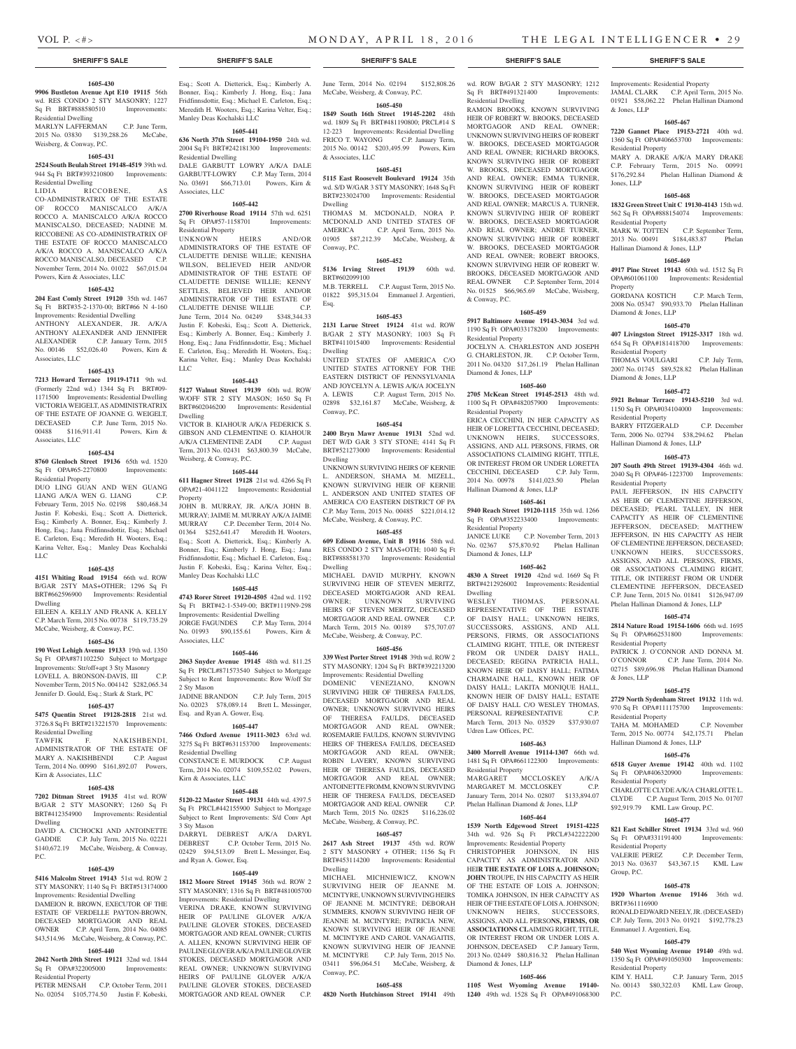& Jones, LLP

Jones, LLP

**Property** 

Residential Property

Residential Property

Diamond & Jones, LLP

Residential Property

Diamond & Jones, LLP

Residential Property

Residential Property

Residential Property

Residential Property

Residential Property

Residential Property

Group, P.C.

BRT#361116900

Residential Property<br>KIM Y. HALL

P.C.

Emmanuel J. Argentieri, Esq.

Hallinan Diamond & Jones, LLP

& Jones, LLP

Hallinan Diamond & Jones, LLP

Hallinan Diamond & Jones, LLP

JAMAL CLARK C.P. April Term, 2015 No. 01921 \$58,062.22 Phelan Hallinan Diamond

**1605-467 7220 Gannet Place 19153-2721** 40th wd. 1360 Sq Ft OPA#406653700 Improvements:

MARY A. DRAKE A/K/A MARY DRAKE C.P. February Term, 2015 No. 00991 \$176,292.84 Phelan Hallinan Diamond &

**1605-468 1832 Green Street Unit C 19130-4143** 15th wd. 562 Sq Ft OPA#888154074 Improvements:

MARK W. TOTTEN C.P. September Term, 2013 No. 00491 \$184,483.87 Phelan

**1605-469 4917 Pine Street 19143** 60th wd. 1512 Sq Ft OPA#601061100 Improvements: Residential

GORDANA KOSTICH C.P. March Term, 2008 No. 05347 \$90,933.70 Phelan Hallinan

**1605-470 407 Livingston Street 19125-3317** 18th wd. 654 Sq Ft OPA#181418700 Improvements:

THOMAS VOULGARI C.P. July Term, 2007 No. 01745 \$89,528.82 Phelan Hallinan

**1605-472 5921 Belmar Terrace 19143-5210** 3rd wd. 1150 Sq Ft OPA#034104000 Improvements:

BARRY FITZGERALD C.P. December Term, 2006 No. 02794 \$38,294.62 Phelan

**1605-473 207 South 49th Street 19139-4304** 46th wd. 2040 Sq Ft OPA#46-1223700 Improvements:

PAUL JEFFERSON, IN HIS CAPACITY AS HEIR OF CLEMENTINE JEFFERSON, DECEASED; PEARL TALLEY, IN HER CAPACITY AS HEIR OF CLEMENTINE JEFFERSON, DECEASED; MATTHEW JEFFERSON, IN HIS CAPACITY AS HEIR OF CLEMENTINE JEFFERSON, DECEASED; UNKNOWN HEIRS, SUCCESSORS, ASSIGNS, AND ALL PERSONS, FIRMS, OR ASSOCIATIONS CLAIMING RIGHT, TITLE, OR INTEREST FROM OR UNDER CLEMENTINE JEFFERSON, DECEASED C.P. June Term, 2015 No. 01841 \$126,947.09 Phelan Hallinan Diamond & Jones, LLP **1605-474 2814 Nature Road 19154-1606** 66th wd. 1695 Sq Ft OPA#662531800 Improvements:

PATRICK J. O'CONNOR AND DONNA M. O'CONNOR C.P. June Term, 2014 No. 02715 \$89,696.98 Phelan Hallinan Diamond

**1605-475 2729 North Sydenham Street 19132** 11th wd. 970 Sq Ft OPA#111175700 Improvements:

TAHA M. MOHAMED C.P. November Term, 2015 No. 00774 \$42,175.71 Phelan

**1605-476 6518 Guyer Avenue 19142** 40th wd. 1102 Sq Ft OPA#406320900 Improvements:

CHARLOTTE CLYDE A/K/A CHARLOTTE L. CLYDE C.P. August Term, 2015 No. 01707 \$92,919.79 KML Law Group, P.C. **1605-477 821 East Schiller Street 19134** 33rd wd. 960 Sq Ft OPA#331191400 Improvements:

VALERIE PEREZ C.P. December Term, 2013 No. 03637 \$43,367.15 KML Law

**1605-478 1920 Wharton Avenue 19146** 36th wd.

RONALD EDWARD NEELY, JR. (DECEASED) C.P. July Term, 2013 No. 01921 \$192,778.23

**1605-479 540 West Wyoming Avenue 19140** 49th wd. 1350 Sq Ft OPA#491050300 Improvements:

No. 00143 \$80,322.03 KML Law Group,

C.P. January Term, 2015

## **SHERIFF'S SALE SHERIFF'S SALE SHERIFF'S SALE SHERIFF'S SALE SHERIFF'S SALE**

#### **1605-430**

**9906 Bustleton Avenue Apt E10 19115** 56th wd. RES CONDO 2 STY MASONRY; 1227 Sq Ft BRT#888580510 Improvements: Residential Dwelling

MARLYN LAFFERMAN C.P. June Term, 2015 No. 03830 \$139,288.26 McCabe, Weisberg, & Conway, P.C.

#### **1605-431**

**2524 South Beulah Street 19148-4519** 39th wd. 944 Sq Ft BRT#393210800 Improvements: Residential Dwelling

LIDIA RICCOBENE, AS CO-ADMINISTRATRIX OF THE ESTATE OF ROCCO MANISCALCO A/K/A ROCCO A. MANISCALCO A/K/A ROCCO MANISCALSO, DECEASED; NADINE M. RICCOBENE AS CO-ADMINISTRATRIX OF THE ESTATE OF ROCCO MANISCALCO A/K/A ROCCO A. MANISCALCO A/K/A ROCCO MANISCALSO, DECEASED C.P. November Term, 2014 No. 01022 \$67,015.04 Powers, Kirn & Associates, LLC

#### **1605-432**

**204 East Comly Street 19120** 35th wd. 1467 Sq Ft BRT#35-2-1370-00; BRT#66 N 4-160 Improvements: Residential Dwelling

ANTHONY ALEXANDER, JR. A/K/A ANTHONY ALEXANDER AND JENNIFER ALEXANDER C.P. January Term, 2015 No. 00146 \$52,026.40 Powers, Kirn & Associates, LLC

### **1605-433**

**7213 Howard Terrace 19119-1711** 9th wd. (Formerly 22nd wd.) 1344 Sq Ft BRT#09- 1171500 Improvements: Residential Dwelling VICTORIA WEIGELT, AS ADMINISTRATRIX OF THE ESTATE OF JOANNE G. WEIGELT, DECEASED C.P. June Term, 2015 No. 00488 \$116,911.41 Powers, Kirn & Associates, LLC

#### **1605-434**

**8760 Glenloch Street 19136** 65th wd. 1520 Sq Ft OPA#65-2270800 Improvements: Residential Property DUO LING GUAN AND WEN GUANG<br>LIANG A/K/A WEN G. LIANG C.P.

LIANG A/K/A WEN G. LIANG February Term, 2015 No. 02198 \$80,468.34 Justin F. Kobeski, Esq.; Scott A. Dietterick, Esq.; Kimberly A. Bonner, Esq.; Kimberly J. Hong, Esq.; Jana Fridfinnsdottir, Esq.; Michael E. Carleton, Esq.; Meredith H. Wooters, Esq.; Karina Velter, Esq.; Manley Deas Kochalski LLC

## **1605-435**

**4151 Whiting Road 19154** 66th wd. ROW B/GAR 2STY MAS+OTHER; 1296 Sq Ft BRT#662596900 Improvements: Residential Dwelling EILEEN A. KELLY AND FRANK A. KELLY

C.P. March Term, 2015 No. 00738 \$119,735.29 McCabe, Weisberg, & Conway, P.C.

## **1605-436**

**190 West Lehigh Avenue 19133** 19th wd. 1350 Sq Ft OPA#871102250 Subject to Mortgage Improvements: Str/off+apt 3 Sty Masonry LOVELL A. BRONSON-DAVIS, III November Term, 2015 No. 004142 \$282,065.34 Jennifer D. Gould, Esq.; Stark & Stark, PC

#### **1605-437**

**5475 Quentin Street 19128-2818** 21st wd. 3726.8 Sq Ft BRT#213221570 Improvements: Residential Dwelling<br>TAWFIK F.

NAKISHBENDI, ADMINISTRATOR OF THE ESTATE OF MARY A. NAKISHBENDI C.P. August MARY A. NAKISHBENDI Term, 2014 No. 00990 \$161,892.07 Powers, Kirn & Associates, LLC

#### **1605-438**

**7202 Ditman Street 19135** 41st wd. ROW B/GAR 2 STY MASONRY; 1260 Sq Ft BRT#412354900 Improvements: Residential Dwelling

DAVID A. CICHOCKI AND ANTOINETTE GADDIE C.P. July Term, 2015 No. 02221 \$140,672.19 McCabe, Weisberg, & Conway, P.C.

#### **1605-439**

**5416 Malcolm Street 19143** 51st wd. ROW 2 STY MASONRY; 1140 Sq Ft BRT#513174000

Improvements: Residential Dwelling DAMEION R. BROWN, EXECUTOR OF THE ESTATE OF VERDELLE PAYTON-BROWN, DECEASED MORTGAGOR AND REAL OWNER C.P. April Term, 2014 No. 04085 \$43,514.96 McCabe, Weisberg, & Conway, P.C.

## **1605-440**

**2042 North 20th Street 19121** 32nd wd. 1844 Sq Ft OPA#322005000 Improvements: Residential Property

C.P. October Term, 2011 No. 02054 \$105,774.50 Justin F. Kobeski, Esq.; Scott A. Dietterick, Esq.; Kimberly A. Bonner, Esq.; Kimberly J. Hong, Esq.; Jana Fridfinnsdottir, Esq.; Michael E. Carleton, Esq.; Meredith H. Wooters, Esq.; Karina Velter, Esq.; Manley Deas Kochalski LLC

#### **1605-441**

**636 North 37th Street 19104-1950** 24th wd. 2004 Sq Ft BRT#242181300 Improvements: Residential Dwelling DALE GARBUTT LOWRY A/K/A DALE

GARBUTT-LOWRY C.P. May Term, 2014 No. 03691 \$66,713.01 Powers, Kirn & Associates, LLC **1605-442**

**2700 Riverhouse Road 19114** 57th wd. 6251 Sq Ft OPA#57-1158701 Improvements:

Residential Property<br>UNKNOWN HEIRS UNKNOWN HEIRS AND/OR ADMINISTRATORS OF THE ESTATE OF CLAUDETTE DENISE WILLIE; KENISHA WILSON, BELIEVED HEIR AND/OR ADMINISTRATOR OF THE ESTATE OF CLAUDETTE DENISE WILLIE; KENNY SETTLES, BELIEVED HEIR AND/OR ADMINISTRATOR OF THE ESTATE OF CLAUDETTE DENISE WILLIE C.P. June Term, 2014 No. 04249 \$348,344.33 Justin F. Kobeski, Esq.; Scott A. Dietterick, Esq.; Kimberly A. Bonner, Esq.; Kimberly J. Hong, Esq.; Jana Fridfinnsdottir, Esq.; Michael E. Carleton, Esq.; Meredith H. Wooters, Esq.; Karina Velter, Esq.; Manley Deas Kochalski LLC

#### **1605-443**

**5127 Walnut Street 19139** 60th wd. ROW W/OFF STR 2 STY MASON; 1650 Sq Ft BRT#602046200 Improvements: Residential Dwelling VICTOR B. KIAHOUR A/K/A FEDERICK S.

GIBSON AND CLEMENTINE O. KIAHOUR A/K/A CLEMENTINE ZADI C.P. August Term, 2013 No. 02431 \$63,800.39 McCabe, Weisberg, & Conway, P.C.

## **1605-444**

**611 Hagner Street 19128** 21st wd. 4266 Sq Ft OPA#21-4041122 Improvements: Residential Property

JOHN B. MURRAY, JR. A/K/A JOHN B. MURRAY; JAIME M. MURRAY A/K/A JAIME MURRAY C.P. December Term, 2014 No. 01364 \$252,641.47 Meredith H. Wooters, Esq.; Scott A. Dietterick, Esq.; Kimberly A. Bonner, Esq.; Kimberly J. Hong, Esq.; Jana Fridfinnsdottir, Esq.; Michael E. Carleton, Esq.; Justin F. Kobeski, Esq.; Karina Velter, Esq.; Manley Deas Kochalski LLC

### **1605-445**

**4743 Rorer Street 19120-4505** 42nd wd. 1192 Sq Ft BRT#42-1-5349-00; BRT#1119N9-298 Improvements: Residential Dwelling JORGE FAGUNDES C.P. May Term, 2014 No. 01993 \$90,155.61 Powers, Kirn &

## **1605-446**

Associates, LLC

**2063 Snyder Avenue 19145** 48th wd. 811.25 Sq Ft PRCL#871573540 Subject to Mortgage Subject to Rent Improvements: Row W/off Str 2 Sty Mason

JADINE BRANDON C.P. July Term, 2015 No. 02023 \$78,089.14 Brett L. Messinger, Esq. and Ryan A. Gower, Esq.

## **1605-447**

**7466 Oxford Avenue 19111-3023** 63rd wd. 3275 Sq Ft BRT#631153700 Improvements: Residential Dwelling CONSTANCE E. MURDOCK C.P. August Term, 2014 No. 02074 \$109,552.02 Powers, Kirn & Associates, LLC

#### **1605-448**

**5120-22 Master Street 19131** 44th wd. 4397.5 Sq Ft PRCL#442155900 Subject to Mortgage Subject to Rent Improvements: S/d Conv Apt 3 Sty Mason

DARRYL DEBREST A/K/A DARYL DEBREST C.P. October Term, 2015 No. 02429 \$94,513.09 Brett L. Messinger, Esq. and Ryan A. Gower, Esq.

#### **1605-449**

**1812 Moore Street 19145** 36th wd. ROW 2 STY MASONRY; 1316 Sq Ft BRT#481005700 Improvements: Residential Dwelling

VERINA DRAKE, KNOWN SURVIVING HEIR OF PAULINE GLOVER A/K/A PAULINE GLOVER STOKES, DECEASED MORTGAGOR AND REAL OWNER; CURTIS A. ALLEN, KNOWN SURVIVING HEIR OF PAULINE GLOVER A/K/A PAULINE GLOVER STOKES, DECEASED MORTGAGOR AND REAL OWNER; UNKNOWN SURVIVING HEIRS OF PAULINE GLOVER A/K/A PAULINE GLOVER STOKES, DECEASED MORTGAGOR AND REAL OWNER C.P. June Term, 2014 No. 02194 \$152,808.26 McCabe, Weisberg, & Conway, P.C.

## **1605-450**

**1849 South 16th Street 19145-2202** 48th wd. 1809 Sq Ft BRT#481190800; PRCL#14 S 12-223 Improvements: Residential Dwelling FRICO T. WAYONG C.P. January Term, 2015 No. 00142 \$203,495.99 Powers, Kirn & Associates, LLC

### **1605-451**

**5115 East Roosevelt Boulevard 19124** 35th wd. S/D W/GAR 3 STY MASONRY; 1648 Sq Ft BRT#233024700 Improvements: Residential Dwelling THOMAS M. MCDONALD, NORA P.

MCDONALD AND UNITED STATES OF AMERICA C.P. April Term, 2015 No. 01905 \$87,212.39 McCabe, Weisberg, & Conway, P.C.

#### **1605-452 5136 Irving Street 19139** 60th wd.

BRT#602099100 M.B. TERRELL C.P. August Term, 2015 No. 01822 \$95,315.04 Emmanuel J. Argentieri, Esq.

#### **1605-453**

**2131 Larue Street 19124** 41st wd. ROW B/GAR 2 STY MASONRY; 1003 Sq Ft BRT#411015400 Improvements: Residential Dwelling UNITED STATES OF AMERICA C/O UNITED STATES ATTORNEY FOR THE

EASTERN DISTRICT OF PENNSYLVANIA AND JOYCELYN A. LEWIS A/K/A JOCELYN A. LEWIS C.P. August Term, 2015 No. 02898 \$32,161.87 McCabe, Weisberg, & Conway, P.C.

#### **1605-454**

**2400 Bryn Mawr Avenue 19131** 52nd wd. DET W/D GAR 3 STY STONE; 4141 Sq Ft BRT#521273000 Improvements: Residential Dwelling UNKNOWN SURVIVING HEIRS OF KERNIE

L. ANDERSON, SHAMA M. MIZELL, KNOWN SURVIVING HEIR OF KERNIE L. ANDERSON AND UNITED STATES OF AMERICA C/O EASTERN DISTRICT OF PA C.P. May Term, 2015 No. 00485 \$221,014.12 McCabe, Weisberg, & Conway, P.C.

#### **1605-455**

**609 Edison Avenue, Unit B 19116** 58th wd. RES CONDO 2 STY MAS+OTH: 1040 Sq Ft BRT#888581370 Improvements: Residential Dwelling

MICHAEL DAVID MURPHY, KNOWN SURVIVING HEIR OF STEVEN MERITZ, DECEASED MORTGAGOR AND REAL OWNER; UNKNOWN SURVIVING HEIRS OF STEVEN MERITZ, DECEASED MORTGAGOR AND REAL OWNER C.P. March Term, 2015 No. 00189 \$75,707.07 McCabe, Weisberg, & Conway, P.C.

#### **1605-456**

**339 West Porter Street 19148** 39th wd. ROW 2 STY MASONRY; 1204 Sq Ft BRT#392213200

Improvements: Residential Dwelling DOMENIC VENEZIANO, KNOWN SURVIVING HEIR OF THERESA FAULDS, DECEASED MORTGAGOR AND REAL OWNER; UNKNOWN SURVIVING HEIRS OF THERESA FAULDS, DECEASED MORTGAGOR AND REAL OWNER; ROSEMARIE FAULDS, KNOWN SURVIVING HEIRS OF THERESA FAULDS, DECEASED MORTGAGOR AND REAL OWNER; ROBIN LAVERY, KNOWN SURVIVING HEIR OF THERESA FAULDS, DECEASED MORTGAGOR AND REAL OWNER; ANTOINETTE FROMM, KNOWN SURVIVING HEIR OF THERESA FAULDS, DECEASED MORTGAGOR AND REAL OWNER C.P. March Term, 2015 No. 02825 \$116,226.02 McCabe, Weisberg, & Conway, P.C.

#### **1605-457**

**2617 Ash Street 19137** 45th wd. ROW 2 STY MASONRY + OTHER; 1156 Sq Ft BRT#453114200 Improvements: Residential Dwelling

MICHAEL MICHNIEWICZ, KNOWN SURVIVING HEIR OF JEANNE M. MCINTYRE, UNKNOWN SURVIVING HEIRS OF JEANNE M. MCINTYRE; DEBORAH SUMMERS, KNOWN SURVIVING HEIR OF JEANNE M. MCINTYRE; PATRICIA NEW, KNOWN SURVIVING HEIR OF JEANNE M. MCINTYRE AND CAROL VANAGAITIS, KNOWN SURVIVING HEIR OF JEANNE M. MCINTYRE C.P. July Term, 2015 No. 03411 \$96,064.51 McCabe, Weisberg, & Conway, P.C.

#### **1605-458**

**4820 North Hutchinson Street 19141** 49th **1240** 49th wd. 1528 Sq Ft OPA#491068300

wd. ROW B/GAR 2 STY MASONRY; 1212 Improvements: Residential Property Sq Ft BRT#491321400 Improvements: Residential Dwelling

RAMON BROOKS, KNOWN SURVIVING HEIR OF ROBERT W. BROOKS, DECEASED MORTGAGOR AND REAL OWNER; UNKNOWN SURVIVING HEIRS OF ROBERT W. BROOKS, DECEASED MORTGAGOR AND REAL OWNER; RICHARD BROOKS, KNOWN SURVIVING HEIR OF ROBERT W. BROOKS, DECEASED MORTGAGOR AND REAL OWNER; EMMA TURNER, KNOWN SURVIVING HEIR OF ROBERT W. BROOKS, DECEASED MORTGAGOR AND REAL OWNER; MARCUS A. TURNER, KNOWN SURVIVING HEIR OF ROBERT W. BROOKS, DECEASED MORTGAGOR AND REAL OWNER; ANDRE TURNER, KNOWN SURVIVING HEIR OF ROBERT W. BROOKS, DECEASED MORTGAGOR AND REAL OWNER; ROBERT BROOKS, KNOWN SURVIVING HEIR OF ROBERT W. BROOKS, DECEASED MORTGAGOR AND REAL OWNER C.P. September Term, 2014 No. 01525 \$66,965.69 McCabe, Weisberg, & Conway, P.C.

## **1605-459**

**5917 Baltimore Avenue 19143-3034** 3rd wd. 1190 Sq Ft OPA#033178200 Improvements: Residential Property JOCELYN A. CHARLESTON AND JOSEPH G. CHARLESTON, JR. C.P. October Term, 2011 No. 04320 \$17,261.19 Phelan Hallinan Diamond & Jones, LLP

#### **1605-460**

**2705 McKean Street 19145-2513** 48th wd. 1100 Sq Ft OPA#482057900 Improvements: Residential Property

ERICA CECCHINI, IN HER CAPACITY AS HEIR OF LORETTA CECCHINI, DECEASED; UNKNOWN HEIRS, SUCCESSORS, ASSIGNS, AND ALL PERSONS, FIRMS, OR ASSOCIATIONS CLAIMING RIGHT, TITLE, OR INTEREST FROM OR UNDER LORETTA CECCHINI, DECEASED C.P. July Term, 2014 No. 00978 \$141,023.50 Phelan Hallinan Diamond & Jones, LLP

## **1605-461**

**5940 Reach Street 19120-1115** 35th wd. 1266 Sq Ft OPA#352233400 Improvements: Residential Property JANICE LUKE C.P. November Term, 2013 No. 02367 \$75,870.92 Phelan Hallinan

### **1605-462**

Diamond & Jones, LLP

**4830 A Street 19120** 42nd wd. 1669 Sq Ft BRT#4212926002 Improvements: Residential Dwelling

WESLEY THOMAS, PERSONAL REPRESENTATIVE OF THE ESTATE OF DAISY HALL; UNKNOWN HEIRS, SUCCESSORS, ASSIGNS, AND ALL PERSONS, FIRMS, OR ASSOCIATIONS CLAIMING RIGHT, TITLE, OR INTEREST FROM OR UNDER DAISY HALL, DECEASED; REGINA PATRICIA HALL, KNOWN HEIR OF DAISY HALL; FATIMA CHARMAINE HALL, KNOWN HEIR OF DAISY HALL; LAKITA MONIQUE HALL, KNOWN HEIR OF DAISY HALL; ESTATE OF DAISY HALL C/O WESLEY THOMAS, PERSONAL REPRESENTATIVE C.P. March Term, 2013 No. 03529 \$37,930.07 Udren Law Offices, P.C.

### **1605-463**

Improvements: Residential Property CHRISTOPHER JOHNSON, IN HIS CAPACITY AS ADMINISTRATOR AND HEI**R THE ESTATE OF LOIS A. JOHNSON; JOHN** TROUPE, IN HIS CAPACITY AS HEIR OF THE ESTATE OF LOIS A. JOHNSON; TOMIKA JOHNSON, IN HER CAPACITY AS HEIR OF THE ESTATE OF LOIS A. JOHNSON; UNKNOWN HEIRS, SUCCESSORS, ASSIGNS, AND ALL PERSO**NS, FIRMS, OR ASSOCIATIONS CL**AIMING RIGHT, TITLE, OR INTEREST FROM OR UNDER LOIS A. JOHNSON, DECEASED C.P. January Term, 2013 No. 02449 \$80,816.32 Phelan Hallinan

Diamond & Jones, LLP

**1605-466 1105 West Wyoming Avenue 19140-**

**3400 Morrell Avenue 19114-1307** 66th wd. 1481 Sq Ft OPA#661122300 Improvements: Residential Property MARGARET MCCLOSKEY A/K/A

MARGARET M. MCCLOSKEY C.P. January Term, 2014 No. 02807 \$133,894.07 Phelan Hallinan Diamond & Jones, LLP **1605-464 1539 North Edgewood Street 19151-4225**  34th wd. 926 Sq Ft PRCL#342222200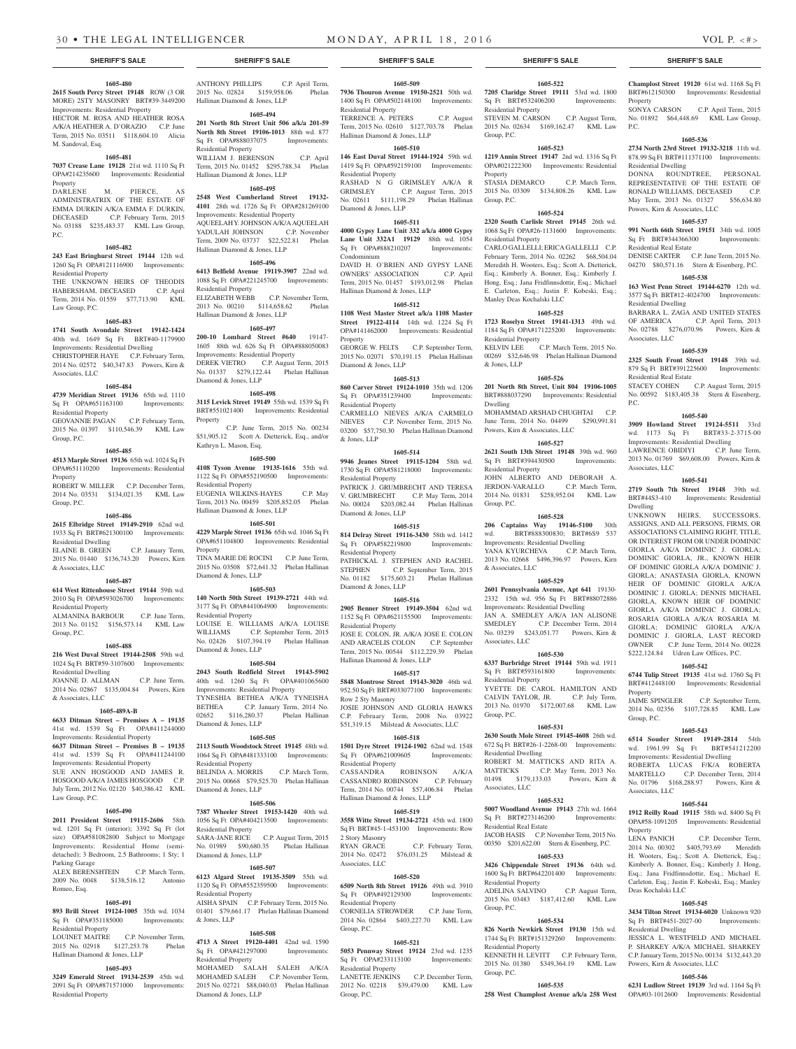#### **1605-480**

**2615 South Percy Street 19148** ROW (3 OR MORE) 2STY MASONRY BRT#39-3449200 Improvements: Residential Property HECTOR M. ROSA AND HEATHER ROSA

A/K/A HEATHER A. D'ORAZIO C.P. June Term, 2015 No. 03511 \$118,604.10 Alicia M. Sandoval, Esq.

## **1605-481**

**7037 Crease Lane 19128** 21st wd. 1110 Sq Ft OPA#214235600 Improvements: Residential Property

DARLENE M. PIERCE, AS ADMINISTRATRIX OF THE ESTATE OF EMMA DURKIN A/K/A EMMA F. DURKIN, DECEASED C.P. February Term, 2015 No. 03188 \$235,483.37 KML Law Group, P.C.

#### **1605-482**

**243 East Bringhurst Street 19144** 12th wd. 1260 Sq Ft OPA#121116900 Improvements: Residential Property THE UNKNOWN HEIRS OF THEODIS HABERSHAM, DECEASED C.P. April Term, 2014 No. 01559 \$77,713.90 KML Law Group, P.C.

#### **1605-483**

**1741 South Avondale Street 19142-1424** 40th wd. 1649 Sq Ft BRT#40-1179900 Improvements: Residential Dwelling CHRISTOPHER HAYE C.P. February Term, 2014 No. 02572 \$40,347.83 Powers, Kirn & Associates, LLC

#### **1605-484**

**4739 Meridian Street 19136** 65th wd. 1110 Sq Ft OPA#651163100 Improvements: Residential Property GEOVANNIE PAGAN C.P. February Term,

2015 No. 01397 \$110,546.39 KML Law Group, P.C.

## **1605-485**

**4513 Marple Street 19136** 65th wd. 1024 Sq Ft OPA#651110200 Improvements: Residential Property ROBERT W. MILLER C.P. December Term

2014 No. 03531 \$134,021.35 KML Law Group, P.C.

## **1605-486**

**2615 Elbridge Street 19149-2910** 62nd wd. 1933 Sq Ft BRT#621300100 Improvements: Residential Dwelling ELAINE B. GREEN C.P. January Term, 2015 No. 01440 \$136,743.20 Powers, Kirn

## **1605-487**

& Associates, LLC

**614 West Rittenhouse Street 19144** 59th wd. 2010 Sq Ft OPA#593026700 Improvements: Residential Property

ALMANINA BARBOUR C.P. June Term, 2013 No. 01152 \$156,573.14 KML Law Group, P.C.

#### **1605-488**

**216 West Duval Street 19144-2508** 59th wd. 1024 Sq Ft BRT#59-3107600 Improvements: Residential Dwelling JOANNE D. ALLMAN C.P. June Term, 2014 No. 02867 \$135,004.84 Powers, Kirn

& Associates, LLC

## **1605-489A-B**

**6633 Ditman Street – Premises A – 19135** 41st wd. 1539 Sq Ft OPA#411244000 Improvements: Residential Property **6637 Ditman Street – Premises B – 19135** 41st wd. 1539 Sq Ft OPA#411244100 Improvements: Residential Property SUE ANN HOSGOOD AND JAMES R. HOSGOOD A/K/A JAMES HOSGOOD C.P. July Term, 2012 No. 02120 \$40,386.42 KML Law Group, P.C.

#### **1605-490**

**2011 President Street 19115-2606** 58th wd. 1201 Sq Ft (interior): 3392 Sq Ft (lot size) OPA#581082800 Subject to Mortgage Improvements: Residential Home (semidetached); 3 Bedroom, 2.5 Bathrooms; 1 Sty; 1 Parking Garage

ALEX BERENSHTEIN C.P. March Term, 2009 No. 0048 \$138,516.12 Antonio Romeo, Esq.

#### **1605-491**

Sq Ft OPA#351185000 Improvements: Residential Property

LOUINET MAITRE C.P. November Term, 2015 No. 02918 \$127,253.78 Phelan Hallinan Diamond & Jones, LLP

#### **1605-493**

**3249 Emerald Street 19134-2539** 45th wd. 2091 Sq Ft OPA#871571000 Improvements: Residential Property

## ANTHONY PHILLIPS C.P. April Term,

2015 No. 02824 \$159,958.06 Phelan Hallinan Diamond & Jones, LLP **1605-494 201 North 8th Street Unit 506 a/k/a 201-59** 

**North 8th Street 19106-1013** 88th wd. 877 Sq Ft OPA#888037075 Improvements: Residential Property WILLIAM J. BERENSON C.P. April Term, 2015 No. 01452 \$295,788.34 Phelan

Hallinan Diamond & Jones, LLP **1605-495 2548 West Cumberland Street 19132-**

**4101** 28th wd. 1726 Sq Ft OPA#281269100 Improvements: Residential Property AQUEELAH Y. JOHNSON A/K/A AQUEELAH YADULAH JOHNSON C.P. November Term, 2009 No. 03737 \$22,522.81 Phelan Hallinan Diamond & Jones, LLP

## **1605-496**

**6413 Belfield Avenue 19119-3907** 22nd wd. 1088 Sq Ft OPA#221245700 Improvements: Residential Property ELIZABETH WEBB C.P. November Term, 2013 No. 00210 \$114,658.62 Phelan Hallinan Diamond & Jones, LLP

**1605-497**

**200-10 Lombard Street #640** 19147- 1605 88th wd. 626 Sq Ft OPA#888050083 Improvements: Residential Property DEREK VIETRO C.P. August Term, 2015 No. 01337 \$279,122.44 Phelan Hallinan Diamond & Jones, LLP

#### **1605-498**

**3115 Levick Street 19149** 55th wd. 1539 Sq Ft BRT#551021400 Improvements: Residential Property C.P. June Term, 2015 No. 00234

\$51,905.12 Scott A. Dietterick, Esq., and/or Kathryn L. Mason, Esq. **1605-500 4108 Tyson Avenue 19135-1616** 55th wd.

1122 Sq Ft OPA#552190500 Improvements: Residential Property EUGENIA WILKINS-HAYES C.P. May Term, 2013 No. 00459 \$205,852.05 Phelan Hallinan Diamond & Jones, LLP

## **1605-501**

**4229 Marple Street 19136** 65th wd. 1046 Sq Ft OPA#651104800 Improvements: Residential Property TINA MARIE DE ROCINI C.P. June Term, 2015 No. 03508 \$72,641.32 Phelan Hallinan

## **1605-503**

Diamond & Jones, LLP

**140 North 50th Street 19139-2721** 44th wd. 3177 Sq Ft OPA#441064900 Improvements: Residential Property LOUISE E. WILLIAMS A/K/A LOUISE WILLIAMS C.P. September Term, 2015 No. 02426 \$107,394.19 Phelan Hallinan Diamond & Jones, LLP

#### **1605-504**

**2043 South Redfield Street 19143-5902** 40th wd. 1260 Sq Ft OPA#401065600 Improvements: Residential Property

TYNESHIA BETHEA A/K/A TYNEISHA BETHEA C.P. January Term, 2014 No. 02652 \$116,280.37 Phelan Hallinan Diamond & Jones, LLP

## **1605-505**

**2113 South Woodstock Street 19145** 48th wd. 1064 Sq Ft OPA#481333100 Improvements: Residential Property BELINDA A. MORRIS C.P. March Term, 2015 No. 00668 \$79,525.70 Phelan Hallinan Diamond & Jones, LLP

## **1605-506**

**7387 Wheeler Street 19153-1420** 40th wd. 1056 Sq Ft OPA#404213500 Improvements: Residential Property SARA-JANE RICE C.P. August Term, 2015

No. 01989 \$90,680.35 Phelan Hallinan Diamond & Jones, LLP

#### **1605-507**

**893 Brill Street 19124-1005** 35th wd. 1034 01401 \$79,661.17 Phelan Hallinan Diamond **6123 Algard Street 19135-3509** 55th wd. 1120 Sq Ft OPA#552359500 Improvements: Residential Property AISHA SPAIN C.P. February Term, 2015 No. & Jones, LLP

#### **1605-508**

**4713 A Street 19120-4401** 42nd wd. 1590 Sq Ft OPA#421297000 Improvements: Residential Property MOHAMED SALAH SALEH A/K/A MOHAMED SALEH C.P. November Term, 2015 No. 02721 \$88,040.03 Phelan Hallinan Diamond & Jones, LLP

**1605-509 7936 Thouron Avenue 19150-2521** 50th wd. 1400 Sq Ft OPA#502148100 Improvements: Residential Property TERRENCE A. PETERS C.P. August

**1605-522 7205 Claridge Street 19111** 53rd wd. 1800 Sq Ft BRT#532406200 Improvements:

**Champlost Street 19120** 61st wd. 1168 Sq Ft BRT#612150300 Improvements: Residential

SONYA CARSON C.P. April Term, 2015 No. 01892 \$64,448.69 KML Law Group,

**1605-536 2734 North 23rd Street 19132-3218** 11th wd. 878.99 Sq Ft BRT#111371100 Improvements:

DONNA ROUNDTREE, PERSONAL REPRESENTATIVE OF THE ESTATE OF RONALD WILLIAMS, DECEASED C.P. May Term, 2013 No. 01327 \$56,634.80

**1605-537 991 North 66th Street 19151** 34th wd. 1005 Sq Ft BRT#344366300 Improvements:

DENISE CARTER C.P. June Term, 2015 No. 04270 \$80,571.16 Stern & Eisenberg, P.C. **1605-538 163 West Penn Street 19144-6270** 12th wd. 3577 Sq Ft BRT#12-4024700 Improvements:

BARBARA L. ZAGA AND UNITED STATES<br>OF AMERICA C.P. April Term, 2013

No. 02788 \$276,070.96 Powers, Kirn &

**1605-539 2325 South Front Street 19148** 39th wd. 879 Sq Ft BRT#391225600 Improvements:

STACEY COHEN C.P. August Term, 2015 No. 00592 \$183,405.38 Stern & Eisenberg,

**1605-540 3909 Howland Street 19124-5511** 33rd wd. 1173 Sq Ft BRT#33-2-3715-00 Improvements: Residential Dwelling LAWRENCE OBIDIYI C.P. June Term, 2013 No. 01769 \$69,608.00 Powers, Kirn &

**1605-541 2719 South 7th Street 19148** 39th wd. BRT#44S3-410 Improvements: Residential

UNKNOWN HEIRS, SUCCESSORS, ASSIGNS, AND ALL PERSONS, FIRMS, OR ASSOCIATIONS CLAIMING RIGHT, TITLE OR INTEREST FROM OR UNDER DOMINIC GIORLA A/K/A DOMINIC J. GIORLA; DOMINIC GIORLA, JR., KNOWN HEIR OF DOMINIC GIORLA A/K/A DOMINIC J. GIORLA; ANASTASIA GIORLA, KNOWN HEIR OF DOMINIC GIORLA A/K/A DOMINIC J. GIORLA; DENNIS MICHAEL GIORLA, KNOWN HEIR OF DOMINIC GIORLA A/K/A DOMINIC J. GIORLA; ROSARIA GIORLA A/K/A ROSARIA M. GIORLA; DOMINIC GIORLA A/K/A DOMINIC J. GIORLA, LAST RECORD OWNER C.P. June Term, 2014 No. 00228 \$222,124.84 Udren Law Offices, P.C. **1605-542 6744 Tulip Street 19135** 41st wd. 1760 Sq Ft BRT#412448100 Improvements: Residential

JAIME SPINGLER C.P. September Term, 2014 No. 02356 \$107,728.85 KML Law

**1605-543 6514 Souder Street 19149-2814** 54th wd. 1961.99 Sq Ft BRT#541212200 Improvements: Residential Dwelling ROBERTA LUCAS F/K/A ROBERTA MARTELLO C.P. December Term, 2014 No. 01796 \$168,288.97 Powers, Kirn &

**1605-544 1912 Reilly Road 19115** 58th wd. 8400 Sq Ft OPA#58-1091205 Improvements: Residential

LENA PANICH C.P. December Term, 2014 No. 00302 \$405,793.69 Meredith H. Wooters, Esq.; Scott A. Dietterick, Esq.; Kimberly A. Bonner, Esq.; Kimberly J. Hong, Esq.; Jana Fridfinnsdottir, Esq.; Michael E. Carleton, Esq.; Justin F. Kobeski, Esq.; Manley

**1605-545 3434 Tilton Street 19134-6020** Unknown 920 Sq Ft BRT#451-2027-00 Improvements:

JESSICA L. WESTFIELD AND MICHAEL P. SHARKEY A/K/A MICHAEL SHARKEY C.P. January Term, 2015 No. 00134 \$132,443.20

**1605-546 6231 Ludlow Street 19139** 3rd wd. 1164 Sq Ft OPA#03-1012600 Improvements: Residential

C.P. April Term, 2013

Property

Residential Dwelling

Residential Real Estate

Residential Dwelling

Associates, LLC

Associates, LLC

Dwelling

**Property** 

Group, P.C.

Associates, LLC

Deas Kochalski LLC

Residential Dwelling

Powers, Kirn & Associates, LLC

Property

P.C.

Residential Real Estate

Powers, Kirn & Associates, LLC

P.C.

STEVEN M. CARSON C.P. August Term, 2015 No. 02634 \$169,162.47 KML Law

**1605-523 1219 Annin Street 19147** 2nd wd. 1316 Sq Ft OPA#021222300 Improvements: Residential

STASIA DEMARCO C.P. March Term, 2015 No. 03309 \$134,808.26 KML Law

**1605-524 2320 South Carlisle Street 19145** 26th wd. 1068 Sq Ft OPA#26-1131600 Improvements:

CARLO GALLELLI; ERICA GALLELLI C.P. February Term, 2014 No. 02262 \$68,504.04 Meredith H. Wooters, Esq.; Scott A. Dietterick, Esq.; Kimberly A. Bonner, Esq.; Kimberly J. Hong, Esq.; Jana Fridfinnsdottir, Esq.; Michael E. Carleton, Esq.; Justin F. Kobeski, Esq.;

**1605-525 1723 Roselyn Street 19141-1313** 49th wd. 1184 Sq Ft OPA#171225200 Improvements:

KELVIN LEE C.P. March Term, 2015 No. 00269 \$32,646.98 Phelan Hallinan Diamond

**1605-526 201 North 8th Street, Unit 804 19106-1005** BRT#888037290 Improvements: Residential

MOHAMMAD ARSHAD CHUGHTAI C.P. June Term, 2014 No. 04499 \$290,991.81

**1605-527 2621 South 13th Street 19148** 39th wd. 960 Sq Ft BRT#394430500 Improvements:

JOHN ALBERTO AND DEBORAH A. JERDON-VARALLO C.P. March Term, 2014 No. 01831 \$258,952.04 KML Law

**1605-528 206 Captains Way 19146-5100** 30th wd. BRT#888300830; BRT#6S9 537 Improvements: Residential Dwelling YANA KYURCHEVA C.P. March Term, 2013 No. 02668 \$496,396.97 Powers, Kirn

**1605-529 2601 Pennsylvania Avenue, Apt 641** 19130- 2332 15th wd. 956 Sq Ft BRT#88072886 Improvements: Residential Dwelling

JAN A. SMEDLEY A/K/A JAN ALISONE<br>SMEDLEY C.P. December Term. 2014

No. 03239 \$243,051.77 Powers, Kirn &

**1605-530 6337 Burbridge Street 19144** 59th wd. 1911 Sq Ft BRT#593161800 Improvements:

YVETTE DE CAROL HAMILTON AND CALVIN TAYLOR, JR. C.P. July Term, 2013 No. 01970 \$172,007.68 KML Law

**1605-531 2630 South Mole Street 19145-4608** 26th wd. 672 Sq Ft BRT#26-1-2268-00 Improvements:

ROBERT M. MATTICKS AND RITA A. MATTICKS C.P. May Term, 2013 No. 01498 \$179,133.03 Powers, Kirn &

**1605-532 5007 Woodland Avenue 19143** 27th wd. 1664 Sq Ft BRT#273146200 Improvements:

JACOB HASIS C.P. November Term, 2015 No. 00350 \$201,622.00 Stern & Eisenberg, P.C. **1605-533 3426 Chippendale Street 19136** 64th wd. 1600 Sq Ft BRT#642201400 Improvements:

Residential Property<br>ADELINA SALVINO C.P. August Term, 2015 No. 03483 \$187,412.60 KML Law

**1605-534 826 North Newkirk Street 19130** 15th wd. 1744 Sq Ft BRT#151329260 Improvements:

KENNETH H. LEVITT C.P. February Term, 2015 No. 01380 \$349,364.19 KML Law

**1605-535 258 West Champlost Avenue a/k/a 258 West** 

C.P. December Term, 2014

Powers, Kirn & Associates, LLC

Residential Property

& Associates, LLC

Associates, LLC

Residential Property

Residential Dwelling

Associates, LLC

Residential Real Estate

Residential Property

Residential Property

Group, P.C.

Group, P.C.

Group, P.C.

Group, P.C.

Residential Property

Group, P.C.

Property

Group, P.C.

Residential Property

Manley Deas Kochalski LLC

Residential Property

& Jones, LLP

Dwelling

Term, 2015 No. 02610 \$127,703.78 Phelan Hallinan Diamond & Jones, LLP

#### **1605-510 146 East Duval Street 19144-1924** 59th wd.

1419 Sq Ft OPA#592159100 Improvements: Residential Property RASHAD N G GRIMSLEY A/K/A R

GRIMSLEY C.P. August Term, 2015 No. 02611 \$111,198.29 Phelan Hallinan Diamond & Jones, LLP

### **1605-511**

**4000 Gypsy Lane Unit 332 a/k/a 4000 Gypsy Lane Unit 332A1 19129** 88th wd. 1054 Sq Ft OPA#888210207 Improvements: Condominium

DAVID H. O'BRIEN AND GYPSY LANE OWNERS' ASSOCIATION C.P. April Term, 2015 No. 01457 \$193,012.98 Phelan Hallinan Diamond & Jones, LLP

## **1605-512**

**1108 West Master Street a/k/a 1108 Master Street 19122-4114** 14th wd. 1224 Sq Ft OPA#141462000 Improvements: Residential Property

GEORGE W. FELTS C.P. September Term, 2015 No. 02071 \$70,191.15 Phelan Hallinan Diamond & Jones, LLP

## **1605-513**

**860 Carver Street 19124-1010** 35th wd. 1206 Sq Ft OPA#351239400 Improvements: Residential Property CARMELLO NIEVES A/K/A CARMELO

NIEVES C.P. November Term, 2015 No. 03200 \$57,750.30 Phelan Hallinan Diamond & Jones, LLP

#### **1605-514**

**9946 Jeanes Street 19115-1204** 58th wd. 1730 Sq Ft OPA#581218000 Improvements: Residential Property PATRICK J. GRUMBRECHT AND TERESA V. GRUMBRECHT C.P. May Term, 2014 No. 00024 \$203,082.44 Phelan Hallinan Diamond & Jones, LLP

#### **1605-515**

**814 Delray Street 19116-3430** 58th wd. 1412 Sq Ft OPA#582219800 Improvements: Residential Property

PATHICKAL J. STEPHEN AND RACHEL STEPHEN C.P. September Term, 2015 No. 01182 \$175,603.21 Phelan Hallinan Diamond & Jones, LLP

#### **1605-516**

**2905 Benner Street 19149-3504** 62nd wd. 1152 Sq Ft OPA#621155500 Improvements: Residential Property JOSE E. COLON, JR. A/K/A JOSE E. COLON AND ARACELIS COLON C.P. September Term, 2015 No. 00544 \$112,229.39 Phelan Hallinan Diamond & Jones, LLP

## **1605-517**

**5848 Montrose Street 19143-3020** 46th wd. 952.50 Sq Ft BRT#033077100 Improvements: Row 2 Sty Masonry

JOSIE JOHNSON AND GLORIA HAWKS C.P. February Term, 2008 No. 03922 \$51,319.15 Milstead & Associates, LLC

#### **1605-518**

**1501 Dyre Street 19124-1902** 62nd wd. 1548 Sq Ft OPA#621009605 Improvements: Residential Property

CASSANDRA ROBINSON A/K/A CASSANDRO ROBINSON C.P. February Term, 2014 No. 00744 \$57,406.84 Phelan

Hallinan Diamond & Jones, LLP

## **1605-519**

**3558 Witte Street 19134-2721** 45th wd. 1800 Sq Ft BRT#45-1-453100 Improvements: Row 2 Story Masonry RYAN GRACE C.P. February Term, 2014 No. 02472 \$76,031.25 Milstead & Associates, LLC

#### **1605-520**

**6509 North 8th Street 19126** 49th wd. 3910 Sq Ft OPA#492129300 Improvements: Residential Property CORNELIA STROWDER C.P. June Term,

2014 No. 02864 \$403,227.70 KML Law Group, P.C. **1605-521**

## **5053 Pennway Street 19124** 23rd wd. 1235

Sq Ft OPA#233113100 Improvements: Residential Property LANETTE JENKINS C.P. December Term, 2012 No. 02218 \$39,479.00 KML Law Group, P.C.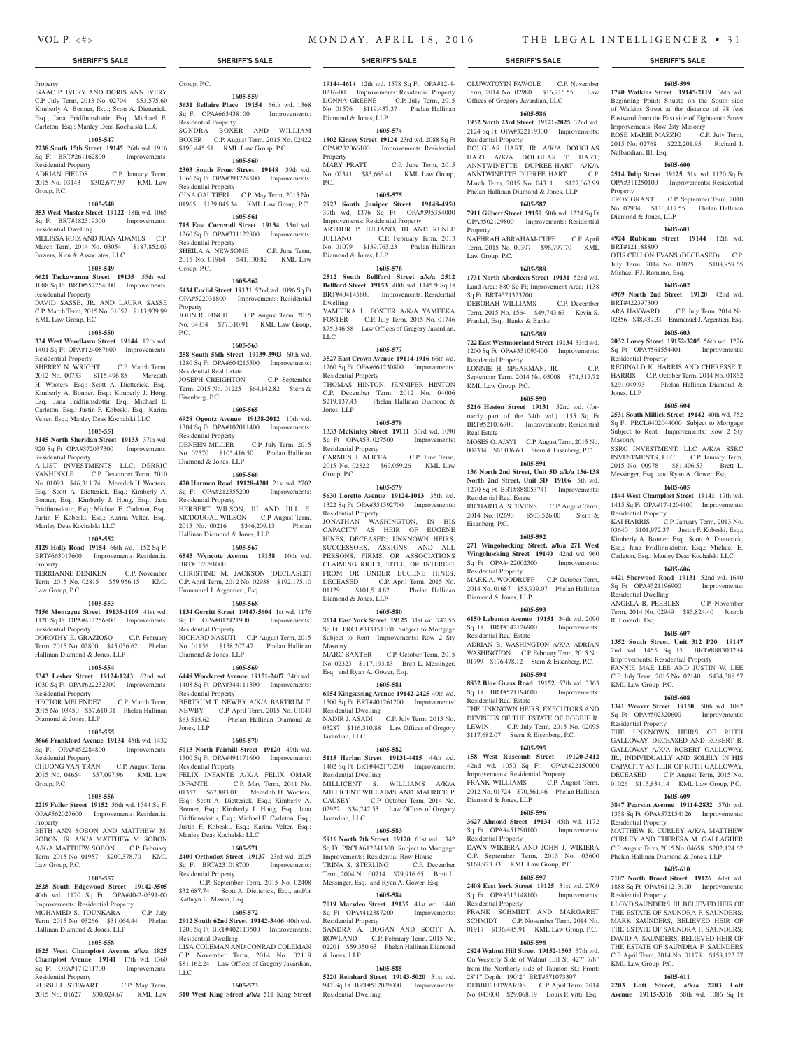**1605-599 1740 Watkins Street 19145-2119** 36th wd. Beginning Point: Situate on the South side of Watkins Street at the distance of 98 feet Eastward from the East side of Eighteenth Street

ROSE MARIE MAZZIO C.P. July Term, 2015 No. 02768 \$222,201.95 Richard J.

**1605-600 2514 Tulip Street 19125** 31st wd. 1120 Sq Ft OPA#311250100 Improvements: Residential

TROY GRANT C.P. September Term, 2010 No. 02934 \$110,417.55 Phelan Hallinan

**1605-601 4924 Rubicam Street 19144** 12th wd.

OTIS CELLON EVANS (DECEASED) C.P. July Term, 2014 No. 02025 \$108,959.65

**1605-602 4969 North 2nd Street 19120** 42nd wd.

ARA HAYWARD C.P. July Term, 2014 No. 02356 \$48,439.33 Emmanuel J. Argentieri, Esq. **1605-603 2032 Loney Street 19152-3205** 56th wd. 1226 Sq Ft OPA#561554401 Improvements:

REGINALD K. HARRIS AND CHERESSE T. HARRIS C.P. October Term, 2014 No. 01862 \$291,049.93 Phelan Hallinan Diamond &

**1605-604 2531 South Millick Street 19142** 40th wd. 752 Sq Ft PRCL#402044000 Subject to Mortgage Subject to Rent Improvements: Row 2 Sty

SSRC INVESTMENT, LLC A/K/A SSRC INVESTMENTS, LLC C.P. January Term, 2015 No. 00978 \$81,406.53 Brett L. Messinger, Esq. and Ryan A. Gower, Esq. **1605-605 1844 West Champlost Street 19141** 17th wd. 1415 Sq Ft OPA#17-1204400 Improvements:

KAI HARRIS C.P. January Term, 2013 No. 03640 \$101,972.37 Justin F. Kobeski, Esq.; Kimberly A. Bonner, Esq.; Scott A. Dietterick, Esq.; Jana Fridfinnsdottir, Esq.; Michael E. Carleton, Esq.; Manley Deas Kochalski LLC **1605-606 4421 Sherwood Road 19131** 52nd wd. 1640 Sq Ft OPA#521196900 Improvements:

ANGELA B. PEEBLES C.P. November Term, 2014 No. 02949 \$85,824.40 Joseph

**1605-607 1352 South Street, Unit 312 P20 19147** 2nd wd. 1455 Sq Ft BRT#888303284 Improvements: Residential Property FANNIE MAE LEE AND JUSTIN W. LEE C.P. July Term, 2015 No. 02140 \$434,388.57

**1605-608 1341 Weaver Street 19150** 50th wd. 1082 Sq Ft OPA#502320600 Improvements:

THE UNKNOWN HEIRS OF RUTH GALLOWAY, DECEASED AND ROBERT B. GALLOWAY A/K/A ROBERT GALLOWAY, JR., INDIVIDUALLY AND SOLELY IN HIS CAPACITY AS HEIR OF RUTH GALLOWAY, DECEASED C.P. August Term, 2015 No. 01026 \$115,834.14 KML Law Group, P.C. **1605-609 3847 Pearson Avenue 19114-2832** 57th wd. 1358 Sq Ft OPA#572154126 Improvements:

MATTHEW R. CURLEY A/K/A MATTHEW CURLEY AND THERESA M. GALLAGHER C.P. August Term, 2015 No. 04658 \$202,124.62 Phelan Hallinan Diamond & Jones, LLP **1605-610 7107 North Broad Street 19126** 61st wd. 1888 Sq Ft OPA#611213100 Improvements:

LLOYD SAUNDERS, III, BELIEVED HEIR OF THE ESTATE OF SAUNDRA F. SAUNDERS; MARK SAUNDERS, BELIEVED HEIR OF THE ESTATE OF SAUNDRA F. SAUNDERS; DAVID A. SAUNDERS, BELIEVED HEIR OF THE ESTATE OF SAUNDRA F. SAUNDERS C.P. April Term, 2014 No. 01178 \$158,123.27

**1605-611 2203 Lott Street, a/k/a 2203 Lott Avenue 19115-3316** 58th wd. 1086 Sq Ft

Improvements: Row 2sty Masonry

Nalbandian, III, Esq.

Diamond & Jones, LLP

Michael F.J. Romano, Esq.

BRT#121188800

BRT#422397300

Residential Property

Jones, LLP

Masonry

Residential Property

Residential Dwelling

KML Law Group, P.C.

Residential Property

Residential Property

Residential Property

KML Law Group, P.C.

R. Loverdi, Esq.

Property

OLUWATOYIN FAWOLE C.P. November Term, 2014 No. 02980 \$16,216.55 Law

DOUGLAS HART, JR. A/K/A DOUGLAS HART A/K/A DOUGLAS T. HART; ANNTWINETTE DUPREE-HART A/K/A ANNTWINETTE DUPREE HART C.P. March Term, 2015 No. 04311 \$127,063.99 Phelan Hallinan Diamond & Jones, LLP **1605-587 7911 Gilbert Street 19150** 50th wd. 1224 Sq Ft OPA#502129800 Improvements: Residential

NAFHRAH ABRAHAM-CUFF C.P. April Term, 2015 No. 00397 \$96,797.70 KML

**1605-588 1731 North Aberdeen Street 19131** 52nd wd. Land Area: 880 Sq Ft; Improvement Area: 1138

DEBORAH WILLIAMS C.P. December Term, 2015 No. 1564 \$49,743.63 Kevin S.

**1605-589 722 East Westmoreland Street 19134** 33rd wd. 1200 Sq Ft OPA#331095400 Improvements:

LONNIE H. SPEARMAN, JR. C.P. September Term, 2014 No. 03008 \$74,317.72

**1605-590 5216 Heston Street 19131** 52nd wd. (formerly part of the 34th wd.) 1155 Sq Ft BRT#521036700 Improvements: Residential

MOSES O. AJAYI C.P. August Term, 2015 No. 002334 \$61,036.60 Stern & Eisenberg, P.C. **1605-591 136 North 2nd Street, Unit 5D a/k/a 136-138 North 2nd Street, Unit 5D 19106** 5th wd. 1270 Sq Ft BRT#888053741 Improvements:

RICHARD A. STEVENS C.P. August Term, 2014 No. 02690 \$503,526.00 Stern &

**1605-592 271 Wingohocking Street, a/k/a 271 West Wingohocking Street 19140** 42nd wd. 960 Sq Ft OPA#422002300 Improvements:

MARK A. WOODRUFF C.P. October Term, 2014 No. 01687 \$53,939.07 Phelan Hallinan

**1605-593 6150 Lebanon Avenue 19151** 34th wd. 2090 Sq Ft BRT#342126900 Improvements:

ADRIAN B. WASHINGTON A/K/A ADRIAN WASHINGTON C.P. February Term, 2015 No. 01799 \$176,478.12 Stern & Eisenberg, P.C. **1605-594 8832 Blue Grass Road 19152** 57th wd. 3363 Sq Ft BRT#571194600 Improvements:

THE UNKNOWN HEIRS, EXECUTORS AND DEVISEES OF THE ESTATE OF BOBBIE R. LEWIN C.P. July Term, 2015 No. 02095 \$117,682.07 Stern & Eisenberg, P.C. **1605-595 158 West Ruscomb Street 19120-3412** 42nd wd. 1050 Sq Ft OPA#422150000 Improvements: Residential Property FRANK WILLIAMS C.P. August Term, 2012 No. 01724 \$70,561.46 Phelan Hallinan

**1605-596 3627 Almond Street 19134** 45th wd. 1172 Sq Ft OPA#451290100 Improvements:

DAWN WIKIERA AND JOHN J. WIKIERA C.P. September Term, 2013 No. 03600 \$168,923.83 KML Law Group, P.C. **1605-597 2408 East York Street 19125** 31st wd. 2709 Sq Ft OPA#313148100 Improvements:

FRANK SCHMIDT AND MARGARET SCHMIDT C.P. November Term, 2014 No. 01917 \$136,485.91 KML Law Group, P.C. **1605-598 2824 Walnut Hill Street 19152-1503** 57th wd. On Westerly Side of Walnut Hill St. 427' 7/8" from the Northerly side of Taunton St.; Front: 28'1" Depth: 190'2" BRT#571073307 DEBBIE EDWARDS C.P. April Term, 2014 No. 043000 \$29,068.19 Louis P. Vitti, Esq.

Offices of Gregory Javardian, LLC **1605-586 1932 North 23rd Street 19121-2025** 32nd wd. 2124 Sq Ft OPA#322119300 Improvements:

Residential Property

Property

Law Group, P.C.

Sq Ft BRT#521323700

Residential Property

KML Law Group, P.C.

Residential Real Estate

Eisenberg, P.C.

Residential Property

Diamond & Jones, LLP

Residential Real Estate

Residential Real Estate

Diamond & Jones, LLP

Residential Property

Residential Property

Real Estate

Frankel, Esq.; Banks & Banks

## Property

ISAAC P. IVERY AND DORIS ANN IVERY C.P. July Term, 2013 No. 02704 \$53,575.60 Kimberly A. Bonner, Esq.; Scott A. Dietterick, Esq.; Jana Fridfinnsdottir, Esq.; Michael E. Carleton, Esq.; Manley Deas Kochalski LLC

#### **1605-547**

**2238 South 15th Street 19145** 26th wd. 1916 Sq Ft BRT#261162800 Improvements: Residential Property

#### ADRIAN FIELDS C.P. January Term, 2015 No. 03143 \$302,677.97 KML Law Group, P.C.

## **1605-548**

**353 West Master Street 19122** 18th wd. 1065 Sq Ft BRT#182319300 Improvements:

Residential Dwelling MELISSA RUIZ AND JUAN ADAMES C.P. March Term, 2014 No. 03054 \$187,852.03 Powers, Kirn & Associates, LLC

## **1605-549**

**6621 Tackawanna Street 19135** 55th wd. 1088 Sq Ft BRT#552254000 Improvements: Residential Property DAVID SASSE, JR. AND LAURA SASSE

C.P. March Term, 2015 No. 01057 \$113,939.99 KML Law Group, P.C.

### **1605-550**

**334 West Woodlawn Street 19144** 12th wd. 1401 Sq Ft OPA#124087600 Improvements: Residential Property

SHERRY N. WRIGHT C.P. March Term, 2012 No. 00733 \$115,496.85 Meredith H. Wooters, Esq.; Scott A. Dietterick, Esq.; Kimberly A. Bonner, Esq.; Kimberly J. Hong, Esq.; Jana Fridfinnsdottir, Esq.; Michael E. Carleton, Esq.; Justin F. Kobeski, Esq.; Karina Velter, Esq.; Manley Deas Kochalski LLC

#### **1605-551**

**3145 North Sheridan Street 19133** 37th wd. 920 Sq Ft OPA#372037300 Improvements: Residential Property

A-LIST INVESTMENTS, LLC; DERRIC VANHINKLE C.P. December Term, 2010 No. 01093 \$46,311.74 Meredith H. Wooters, Esq.; Scott A. Dietterick, Esq.; Kimberly A. Bonner, Esq.; Kimberly J. Hong, Esq.; Jana Fridfinnsdottir, Esq.; Michael E. Carleton, Esq.; Justin F. Kobeski, Esq.; Karina Velter, Esq.; Manley Deas Kochalski LLC

#### **1605-552**

**3129 Holly Road 19154** 66th wd. 1152 Sq Ft BRT#663017600 Improvements: Residential **Property** 

TERRIANNE DENIKEN C.P. November Term, 2015 No. 02815 \$59,956.15 KML Law Group, P.C.

#### **1605-553**

**7156 Montague Street 19135-1109** 41st wd. 1120 Sq Ft OPA#412256800 Improvements:

Residential Property DOROTHY E. GRAZIOSO C.P. February Term, 2015 No. 02800 \$45,056.62 Phelan

Hallinan Diamond & Jones, LLP

### **1605-554**

**5343 Lesher Street 19124-1243** 62nd wd. 1030 Sq Ft OPA#622232700 Improvements: Residential Property HECTOR MELENDEZ C.P. March Term,

2015 No. 03450 \$57,610.31 Phelan Hallinan Diamond & Jones, LLP

### **1605-555**

**3666 Frankford Avenue 19134** 45th wd. 1432

## Sq Ft OPA#452284800 Improvements:

Residential Property CHUONG VAN TRAN C.P. August Term, 2015 No. 04654 \$57,097.96 KML Law

## Group, P.C.

**1605-556 2219 Fuller Street 19152** 56th wd. 1344 Sq Ft

#### OPA#562027600 Improvements: Residential Property

BETH ANN SOBON AND MATTHEW M. SOBON, JR. A/K/A MATTHEW M. SOBON A/K/A MATTHEW SOBON C.P. February Term, 2015 No. 01957 \$200,378.70 KML Law Group, P.C.

#### **1605-557**

**2528 South Edgewood Street 19142-3505**  40th wd. 1120 Sq Ft OPA#40-2-0391-00 Improvements: Residential Property MOHAMED S. TOUNKARA C.P. July Term, 2015 No. 03266 \$31,064.44 Phelan Hallinan Diamond & Jones, LLP

#### **1605-558**

**1825 West Champlost Avenue a/k/a 1825 Champlost Avenue 19141** 17th wd. 1360 Sq Ft OPA#171211700 Improvements: Residential Property<br>RUSSELL STEWART C.P. May Term,

2015 No. 01627 \$30,024.67 KML Law

Group, P.C.

**1605-559 3631 Bellaire Place 19154** 66th wd. 1368 Sq Ft OPA#663438100 Improvements: Residential Property SONDRA BOXER AND WILLIAM BOXER C.P. August Term, 2015 No. 02422 \$190,445.51 KML Law Group, P.C.

## **1605-560**

**2303 South Front Street 19148** 39th wd. 1066 Sq Ft OPA#391224500 Improvements: Residential Property GINA GAUTIERI C.P. May Term, 2015 No. 01965 \$139,045.34 KML Law Group, P.C. **1605-561**

**715 East Cornwall Street 19134** 33rd wd. 1260 Sq Ft OPA#331122800 Improvements: Residential Property SHEILA A. NEWSOME C.P. June Term, 2015 No. 01964 \$41,130.82 KML Law Group, P.C.

#### **1605-562**

**5434 Euclid Street 19131** 52nd wd. 1096 Sq Ft OPA#522031800 Improvements: Residential Property JOHN R. FINCH C.P. August Term, 2015

No. 04834 \$77,310.91 KML Law Group, P.C.

## **1605-563**

**258 South 56th Street 19139-3903** 60th wd. 1280 Sq Ft OPA#604215500 Improvements: Residential Real Estate JOSEPH CREIGHTON C.P. September Term, 2015 No. 01225 \$64,142.82 Stern & Eisenberg, P.C.

#### **1605-565**

**6928 Ogontz Avenue 19138-2012** 10th wd. 1304 Sq Ft OPA#102011400 Improvements: Residential Property DENEEN MILLER C.P. July Term, 2015 No. 02570 \$105,416.50 Phelan Hallinan Diamond & Jones, LLP

**1605-566 470 Harmon Road 19128-4201** 21st wd. 2702 Sq Ft OPA#212355200 Improvements: Residential Property HERBERT WILSON, III AND JILL E.

MCDOUGAL WILSON C.P. August Term, 2015 No. 00216 \$346,209.13 Phelan Hallinan Diamond & Jones, LLP

## **1605-567**

**6545 Wyncote Avenue 19138** 10th wd. BRT#102091000 CHRISTINE M. JACKSON (DECEASED)

C.P. April Term, 2012 No. 02938 \$192,175.10 Emmanuel J. Argentieri, Esq.

### **1605-568**

**1134 Gerritt Street 19147-5604** 1st wd. 1176 Sq Ft OPA#012421900 Improvements: Residential Property RICHARD NASUTI C.P. August Term, 2015

No. 01156 \$158,207.47 Phelan Hallinan Diamond & Jones, LLP **1605-569**

**6448 Woodcrest Avenue 19151-2407** 34th wd. 1408 Sq Ft OPA#344111300 Improvements: Residential Property BERTRUM T. NEWBY A/K/A BARTRUM T. NEWBY C.P. April Term, 2015 No. 01049<br>\$63,515.62 Phelan Hallinan Diamond & Phelan Hallinan Diamond & Jones, LLP

### **1605-570**

**5013 North Fairhill Street 19120** 49th wd. 1500 Sq Ft OPA#491171600 Improvements: Residential Property FELIX INFANTE A/K/A FELIX OMAR<br>INFANTE C.P. May Term, 2011 No. C.P. May Term, 2011 No. 01357 \$67,883.01 Meredith H. Wooters, Esq.; Scott A. Dietterick, Esq.; Kimberly A. Bonner, Esq.; Kimberly J. Hong, Esq.; Jana Fridfinnsdottir, Esq.; Michael E. Carleton, Esq.; Justin F. Kobeski, Esq.; Karina Velter, Esq.; Manley Deas Kochalski LLC

## **1605-571**

**2400 Orthodox Street 19137** 23rd wd. 2025 Sq Ft BRT#231018700 Improvements: Residential Property

 C.P. September Term, 2015 No. 02408 \$32,687.74 Scott A. Dietterick, Esq., and/or Kathryn L. Mason, Esq.

#### **1605-572**

**2912 South 62nd Street 19142-3406** 40th wd. 1200 Sq Ft BRT#402113500 Improvements: Residential Dwelling LISA COLEMAN AND CONRAD COLEMAN C.P. November Term, 2014 No. 02119 \$81,162.24 Law Offices of Gregory Javardian, LLC

## **1605-573**

**510 West King Street a/k/a 510 King Street**  Residential Dwelling

#### **SHERIFF'S SALE SHERIFF'S SALE SHERIFF'S SALE SHERIFF'S SALE SHERIFF'S SALE**

**19144-4614** 12th wd. 1578 Sq Ft OPA#12-4- 0216-00 Improvements: Residential Property DONNA GREENE C.P. July Term, 2015 No. 01576 \$119,437.37 Phelan Hallinan Diamond & Jones, LLP

#### **1605-574**

P.C.

**1802 Kinsey Street 19124** 23rd wd. 2088 Sq Ft OPA#232066100 Improvements: Residential Property MARY PRATT C.P. June Term, 2015 No. 02341 \$83,663.41 KML Law Group,

**1605-575**

## **2923 South Juniper Street 19148-4950** 39th wd. 1376 Sq Ft OPA#395354000 Improvements: Residential Property ARTHUR P. JULIANO, III AND RENEE

JULIANO C.P. February Term, 2013 No. 01079 \$139,763.23 Phelan Hallinan Diamond & Jones, LLP **1605-576**

## **2512 South Bellford Street a/k/a 2512**

**Bellford Street 19153** 40th wd. 1145.9 Sq Ft BRT#404145800 Improvements: Residential Dwelling YAMEEKA L. FOSTER A/K/A YAMEEKA

FOSTER C.P. July Term, 2015 No. 01746 \$75,346.58 Law Offices of Gregory Javardian, LLC

#### **1605-577**

**3527 East Crown Avenue 19114-1916** 66th wd. 1260 Sq Ft OPA#661230800 Improvements: Residential Property THOMAS HINTON; JENNIFER HINTON C.P. December Term, 2012 No. 04006 \$219,137.43 Phelan Hallinan Diamond &

### **1605-578**

Jones, LLP

**1333 McKinley Street 19111** 53rd wd. 1090 Sq Ft OPA#531027500 Improvements: Residential Property CARMEN J. ALICEA C.P. June Term,

2015 No. 02822 \$69,059.26 KML Law Group, P.C. **1605-579**

**5630 Loretto Avenue 19124-1013** 35th wd. 1322 Sq Ft OPA#351392700 Improvements: Residential Property

JONATHAN WASHINGTON, IN HIS CAPACITY AS HEIR OF EUGENE HINES, DECEASED; UNKNOWN HEIRS, SUCCESSORS, ASSIGNS, AND ALL PERSONS, FIRMS, OR ASSOCIATIONS CLAIMING RIGHT, TITLE, OR INTEREST FROM OR UNDER EUGENE HINES, DECEASED C.P. April Term, 2015 No. 01129 \$101,514.82 Phelan Hallinan Diamond & Jones, LLP

#### **1605-580**

**2614 East York Street 19125** 31st wd. 742.55 Sq Ft PRCL#313151100 Subject to Mortgage Subject to Rent Improvements: Row 2 Sty Masonry MARC BAXTER C.P. October Term, 2015

No. 02323 \$117,193.83 Brett L. Messinger, Esq. and Ryan A. Gower, Esq.

### **1605-581**

**6054 Kingsessing Avenue 19142-2425** 40th wd. 1500 Sq Ft BRT#401261200 Improvements: Residential Dwelling NADIR J. ASADI C.P. July Term, 2015 No.

03287 \$116,310.88 Law Offices of Gregory

**1605-582 5115 Harlan Street 19131-4415** 44th wd. 1402 Sq Ft BRT#442173200 Improvements:

MILLICENT S. WILLIAMS A/K/A MILLICENT WILLAIMS AND MAURICE P. CAUSEY C.P. October Term, 2014 No. 02922 \$34,242.53 Law Offices of Gregory

**1605-583 5916 North 7th Street 19120** 61st wd. 1342 Sq Ft PRCL#612241300 Subject to Mortgage Improvements: Residential Row House<br>TRINA S. STERLING C.P. December

Term, 2004 No. 00714 \$79,916.65 Brett L. Messinger, Esq. and Ryan A. Gower, Esq. **1605-584 7019 Marsden Street 19135** 41st wd. 1440

SANDRA A. BOGAN AND SCOTT A. ROWLAND C.P. February Term, 2015 No. 02201 \$59,350.63 Phelan Hallinan Diamond

**1605-585 5220 Reinhard Street 19143-5020** 51st wd. 942 Sq Ft BRT#512029000 Improvements:

Javardian, LLC

Javardian, LLC

Residential Dwelling

TRINA S. STERLING

Sq Ft OPA#412387200 Residential Property

& Jones, LLP